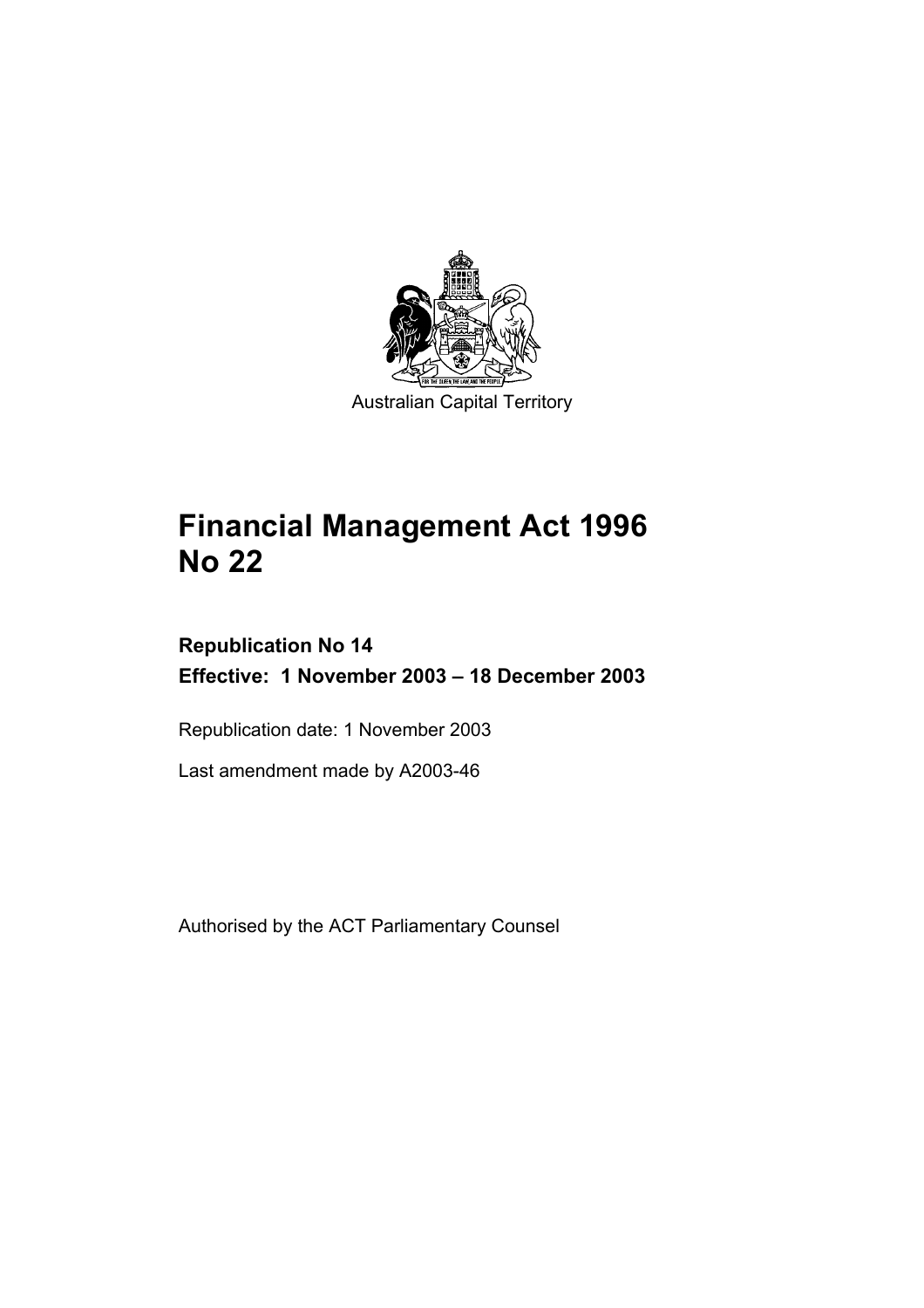

# **Financial Management Act 1996 No 22**

# **Republication No 14 Effective: 1 November 2003 – 18 December 2003**

Republication date: 1 November 2003

Last amendment made by A2003-46

Authorised by the ACT Parliamentary Counsel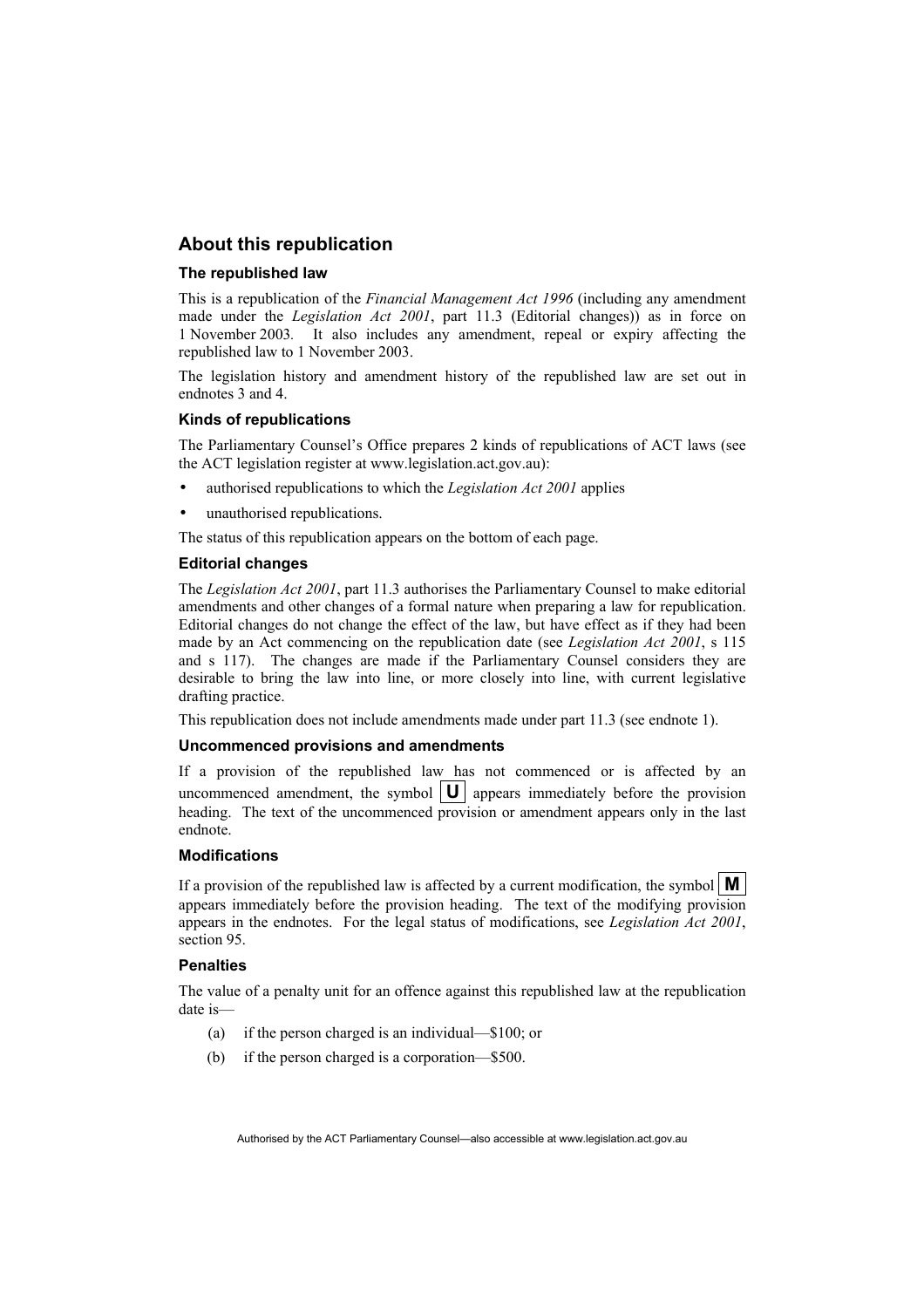#### **About this republication**

#### **The republished law**

This is a republication of the *Financial Management Act 1996* (including any amendment made under the *Legislation Act 2001*, part 11.3 (Editorial changes)) as in force on 1 November 2003*.* It also includes any amendment, repeal or expiry affecting the republished law to 1 November 2003.

The legislation history and amendment history of the republished law are set out in endnotes 3 and 4.

#### **Kinds of republications**

The Parliamentary Counsel's Office prepares 2 kinds of republications of ACT laws (see the ACT legislation register at www.legislation.act.gov.au):

- authorised republications to which the *Legislation Act 2001* applies
- unauthorised republications.

The status of this republication appears on the bottom of each page.

#### **Editorial changes**

The *Legislation Act 2001*, part 11.3 authorises the Parliamentary Counsel to make editorial amendments and other changes of a formal nature when preparing a law for republication. Editorial changes do not change the effect of the law, but have effect as if they had been made by an Act commencing on the republication date (see *Legislation Act 2001*, s 115 and s 117). The changes are made if the Parliamentary Counsel considers they are desirable to bring the law into line, or more closely into line, with current legislative drafting practice.

This republication does not include amendments made under part 11.3 (see endnote 1).

#### **Uncommenced provisions and amendments**

If a provision of the republished law has not commenced or is affected by an uncommenced amendment, the symbol  $|\mathbf{U}|$  appears immediately before the provision heading. The text of the uncommenced provision or amendment appears only in the last endnote.

#### **Modifications**

If a provision of the republished law is affected by a current modification, the symbol  $\mathbf{M}$ appears immediately before the provision heading. The text of the modifying provision appears in the endnotes. For the legal status of modifications, see *Legislation Act 2001*, section 95.

#### **Penalties**

The value of a penalty unit for an offence against this republished law at the republication date is—

- (a) if the person charged is an individual—\$100; or
- (b) if the person charged is a corporation—\$500.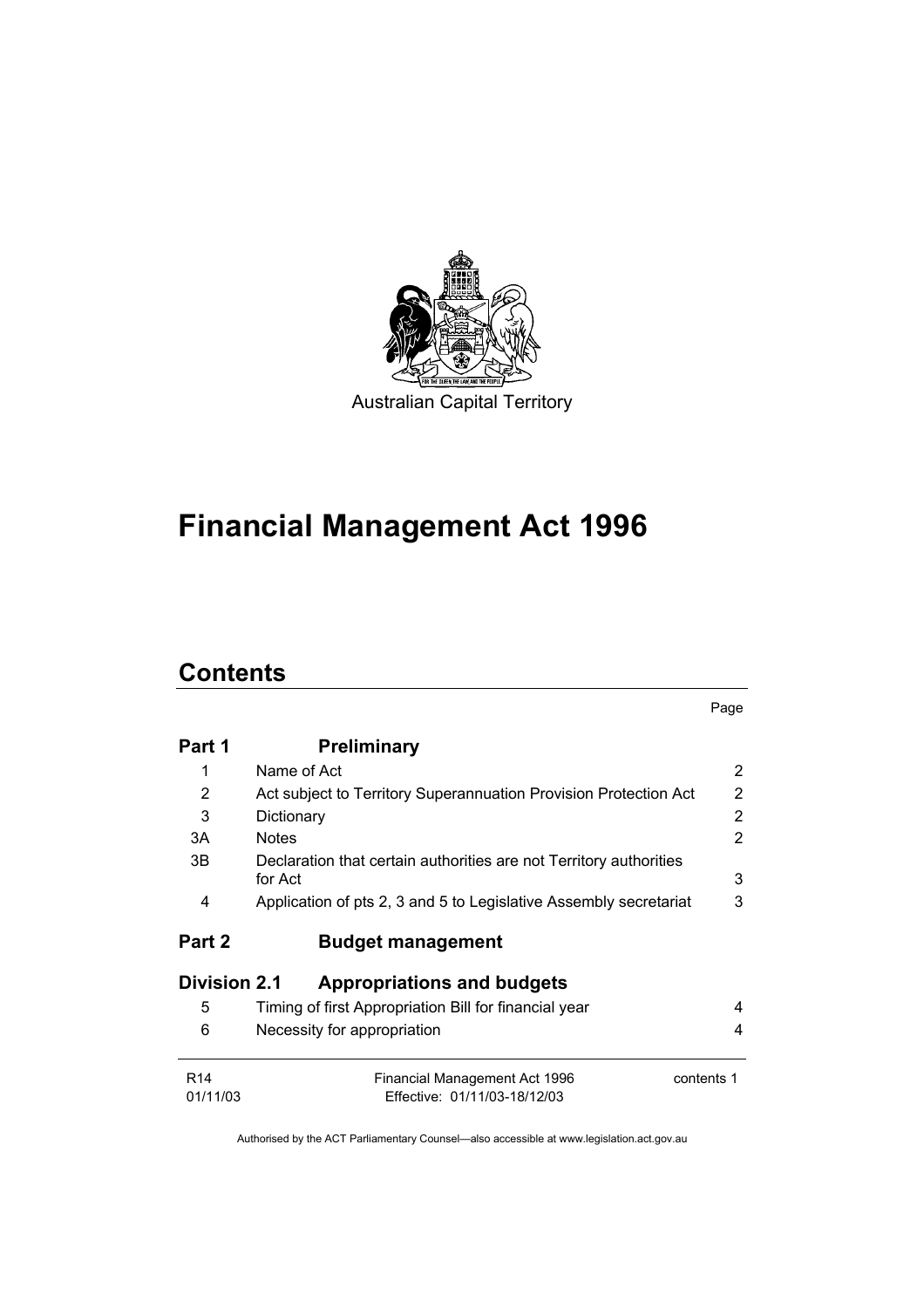

# **Financial Management Act 1996**

# **Contents**

|                             |                                                                               | Page           |
|-----------------------------|-------------------------------------------------------------------------------|----------------|
| Part 1                      | <b>Preliminary</b>                                                            |                |
| 1                           | Name of Act                                                                   | $\overline{2}$ |
| 2                           | Act subject to Territory Superannuation Provision Protection Act              | $\overline{2}$ |
| 3                           | Dictionary                                                                    | $\overline{2}$ |
| 3A                          | <b>Notes</b>                                                                  | $\mathcal{P}$  |
| 3B                          | Declaration that certain authorities are not Territory authorities<br>for Act | 3              |
| 4                           | Application of pts 2, 3 and 5 to Legislative Assembly secretariat             | 3              |
| Part 2                      | <b>Budget management</b>                                                      |                |
| <b>Division 2.1</b>         | <b>Appropriations and budgets</b>                                             |                |
| 5                           | Timing of first Appropriation Bill for financial year                         | 4              |
| 6                           | Necessity for appropriation                                                   | 4              |
| R <sub>14</sub><br>01/11/03 | Financial Management Act 1996<br>Effective: 01/11/03-18/12/03                 | contents 1     |
|                             |                                                                               |                |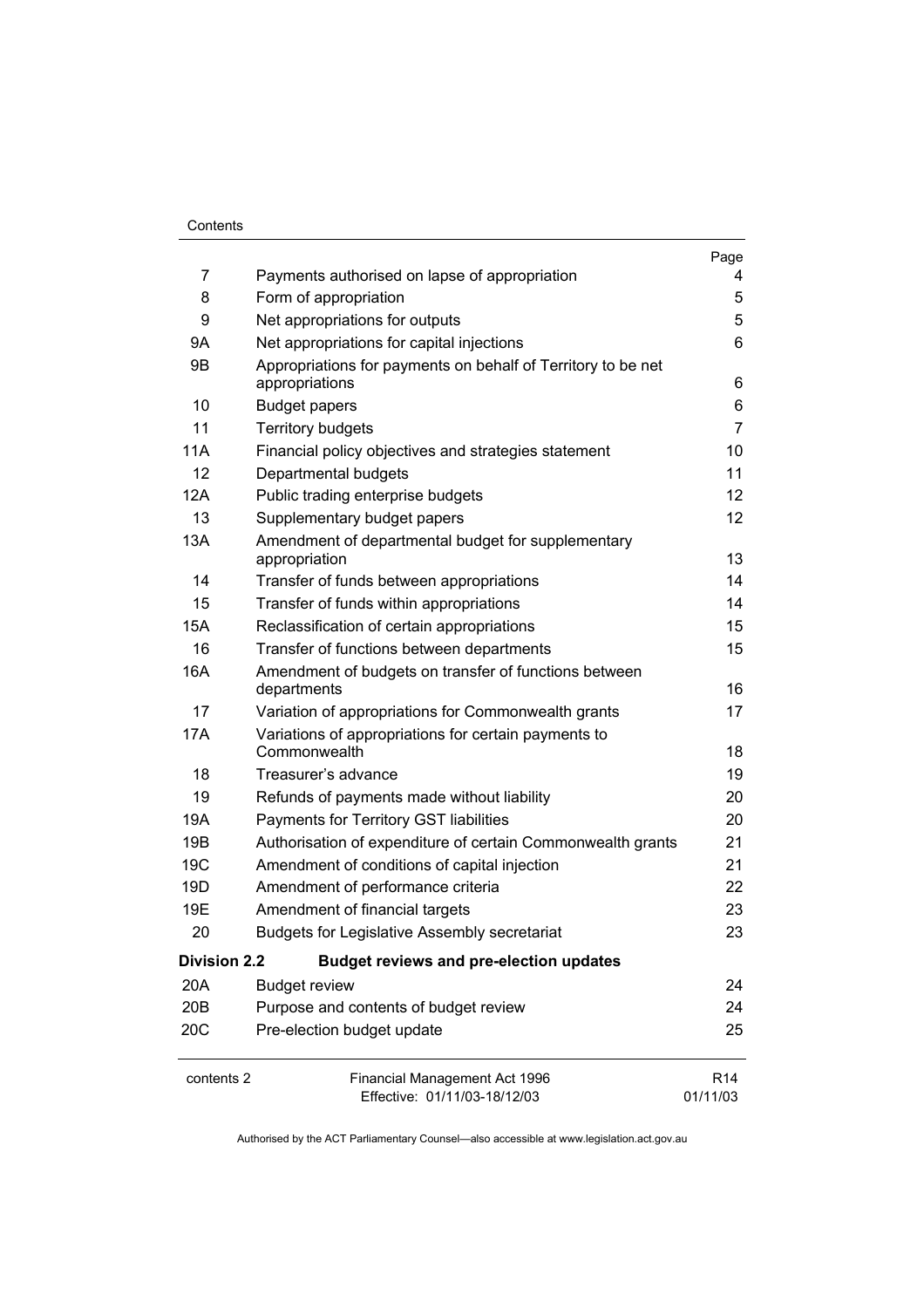#### Contents

|                     |                                                                                | Page                        |
|---------------------|--------------------------------------------------------------------------------|-----------------------------|
| 7                   | Payments authorised on lapse of appropriation                                  | 4                           |
| 8                   | Form of appropriation                                                          | 5                           |
| 9                   | Net appropriations for outputs                                                 | 5                           |
| 9Α                  | Net appropriations for capital injections                                      | 6                           |
| 9B                  | Appropriations for payments on behalf of Territory to be net<br>appropriations | 6                           |
| 10                  | <b>Budget papers</b>                                                           | 6                           |
| 11                  | <b>Territory budgets</b>                                                       | 7                           |
| 11A                 | Financial policy objectives and strategies statement                           | 10                          |
| 12                  | Departmental budgets                                                           | 11                          |
| 12A                 | Public trading enterprise budgets                                              | 12                          |
| 13                  | Supplementary budget papers                                                    | 12                          |
| 13A                 | Amendment of departmental budget for supplementary<br>appropriation            | 13                          |
| 14                  | Transfer of funds between appropriations                                       | 14                          |
| 15                  | Transfer of funds within appropriations                                        | 14                          |
| <b>15A</b>          | Reclassification of certain appropriations                                     | 15                          |
| 16                  | Transfer of functions between departments                                      | 15                          |
| 16A                 | Amendment of budgets on transfer of functions between<br>departments           | 16                          |
| 17                  | Variation of appropriations for Commonwealth grants                            | 17                          |
| 17A                 | Variations of appropriations for certain payments to<br>Commonwealth           | 18                          |
| 18                  | Treasurer's advance                                                            | 19                          |
| 19                  | Refunds of payments made without liability                                     | 20                          |
| 19A                 | Payments for Territory GST liabilities                                         | 20                          |
| 19B                 | Authorisation of expenditure of certain Commonwealth grants                    | 21                          |
| 19 <sub>C</sub>     | Amendment of conditions of capital injection                                   | 21                          |
| 19D                 | Amendment of performance criteria                                              | 22                          |
| 19E                 | Amendment of financial targets                                                 | 23                          |
| 20                  | <b>Budgets for Legislative Assembly secretariat</b>                            | 23                          |
| <b>Division 2.2</b> | <b>Budget reviews and pre-election updates</b>                                 |                             |
| 20A                 | <b>Budget review</b>                                                           | 24                          |
| 20B                 | Purpose and contents of budget review                                          | 24                          |
| 20 <sub>C</sub>     | Pre-election budget update                                                     | 25                          |
| contents 2          | Financial Management Act 1996<br>Effective: 01/11/03-18/12/03                  | R <sub>14</sub><br>01/11/03 |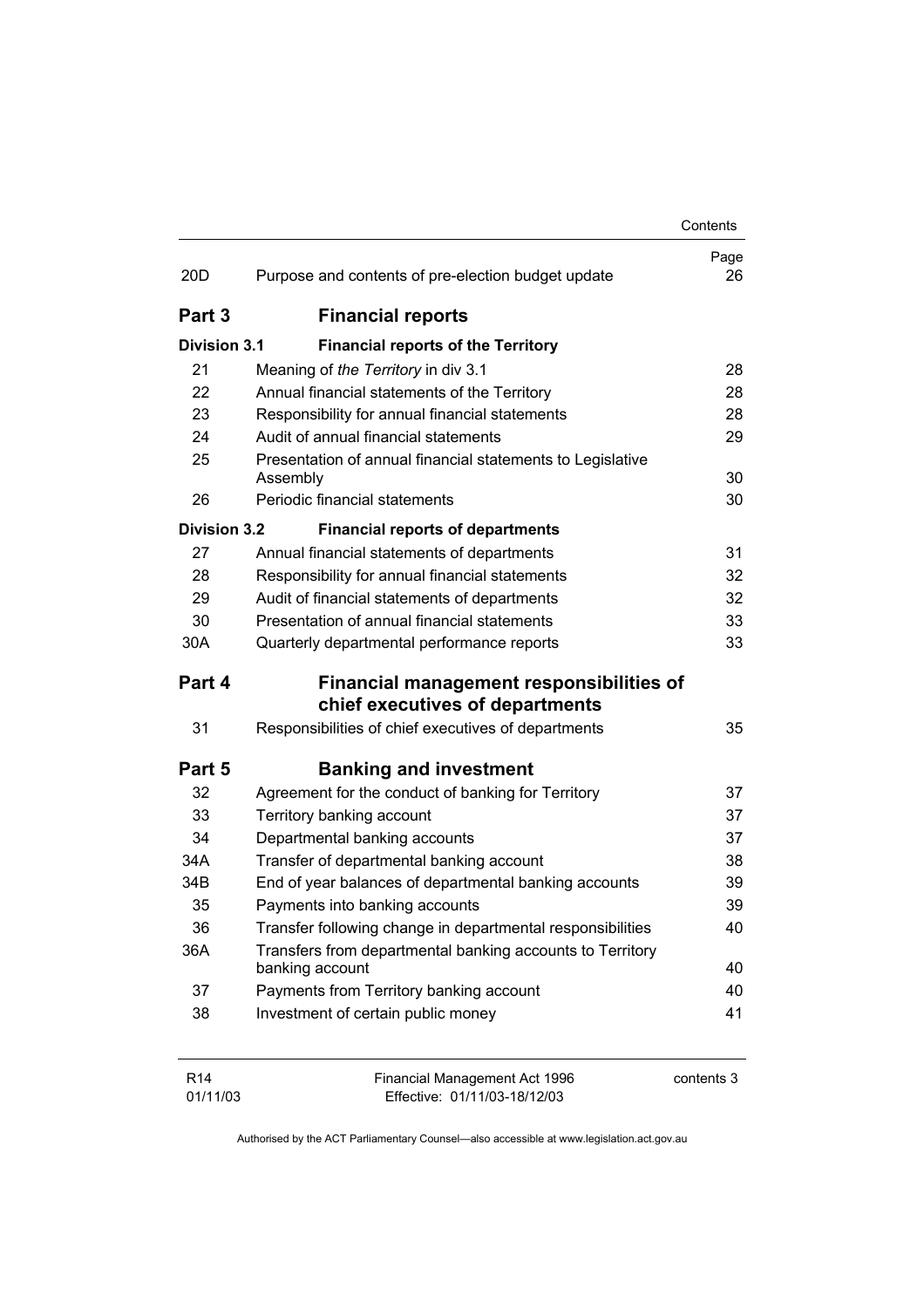|                     |                                                                                    | Contents   |
|---------------------|------------------------------------------------------------------------------------|------------|
| 20 <sub>D</sub>     | Purpose and contents of pre-election budget update                                 | Page<br>26 |
| Part 3              | <b>Financial reports</b>                                                           |            |
| <b>Division 3.1</b> | <b>Financial reports of the Territory</b>                                          |            |
| 21                  | Meaning of the Territory in div 3.1                                                | 28         |
| 22                  | Annual financial statements of the Territory                                       | 28         |
| 23                  | Responsibility for annual financial statements                                     | 28         |
| 24                  | Audit of annual financial statements                                               | 29         |
| 25                  | Presentation of annual financial statements to Legislative<br>Assembly             | 30         |
| 26                  | Periodic financial statements                                                      | 30         |
| <b>Division 3.2</b> | <b>Financial reports of departments</b>                                            |            |
| 27                  | Annual financial statements of departments                                         | 31         |
| 28                  | Responsibility for annual financial statements                                     | 32         |
| 29                  | Audit of financial statements of departments                                       | 32         |
| 30                  | Presentation of annual financial statements                                        | 33         |
| 30A                 | Quarterly departmental performance reports                                         | 33         |
| Part 4              | <b>Financial management responsibilities of</b><br>chief executives of departments |            |
| 31                  | Responsibilities of chief executives of departments                                | 35         |
| Part 5              | <b>Banking and investment</b>                                                      |            |
| 32                  | Agreement for the conduct of banking for Territory                                 | 37         |
| 33                  | Territory banking account                                                          | 37         |
| 34                  | Departmental banking accounts                                                      | 37         |
| 34A                 | Transfer of departmental banking account                                           | 38         |
| 34B                 | End of year balances of departmental banking accounts                              | 39         |
| 35                  | Payments into banking accounts                                                     | 39         |
| 36                  | Transfer following change in departmental responsibilities                         | 40         |
| 36A                 | Transfers from departmental banking accounts to Territory<br>banking account       | 40         |
| 37                  | Payments from Territory banking account                                            | 40         |
| 38                  | Investment of certain public money                                                 | 41         |
| R <sub>14</sub>     | Financial Management Act 1996                                                      | contents 3 |

Authorised by the ACT Parliamentary Counsel—also accessible at www.legislation.act.gov.au

Effective: 01/11/03-18/12/03

01/11/03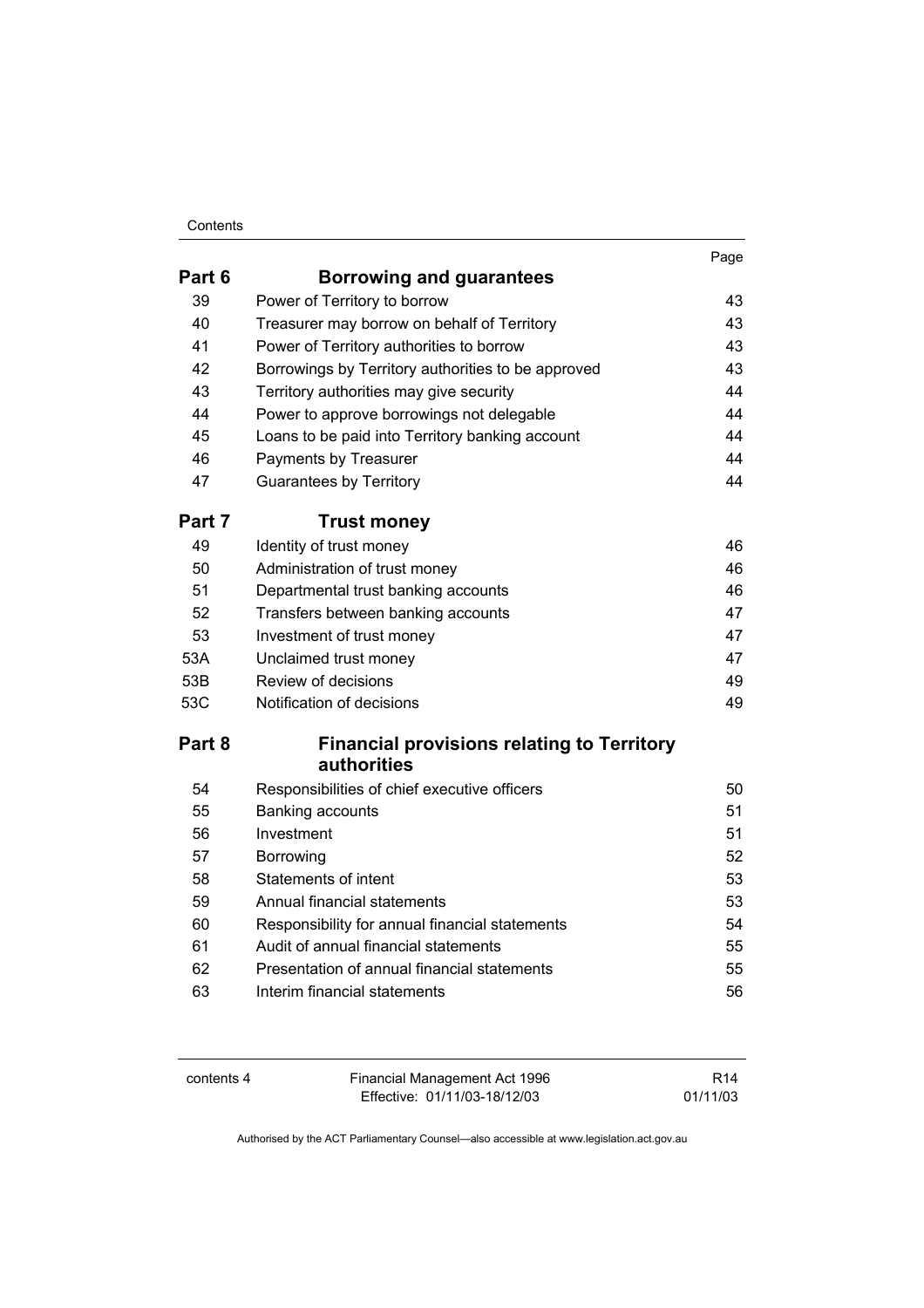#### **Contents**

|        |                                                                  | Page |
|--------|------------------------------------------------------------------|------|
| Part 6 | Borrowing and guarantees                                         |      |
| 39     | Power of Territory to borrow                                     | 43   |
| 40     | Treasurer may borrow on behalf of Territory                      | 43   |
| 41     | Power of Territory authorities to borrow                         | 43   |
| 42     | Borrowings by Territory authorities to be approved               | 43   |
| 43     | Territory authorities may give security                          | 44   |
| 44     | Power to approve borrowings not delegable                        | 44   |
| 45     | Loans to be paid into Territory banking account                  | 44   |
| 46     | Payments by Treasurer                                            | 44   |
| 47     | <b>Guarantees by Territory</b>                                   | 44   |
| Part 7 | <b>Trust money</b>                                               |      |
| 49     | Identity of trust money                                          | 46   |
| 50     | Administration of trust money                                    | 46   |
| 51     | Departmental trust banking accounts                              | 46   |
| 52     | Transfers between banking accounts                               | 47   |
| 53     | Investment of trust money                                        | 47   |
| 53A    | Unclaimed trust money                                            | 47   |
| 53B    | Review of decisions                                              | 49   |
| 53C    | Notification of decisions                                        | 49   |
| Part 8 | <b>Financial provisions relating to Territory</b><br>authorities |      |
| 54     | Responsibilities of chief executive officers                     | 50   |
| 55     | Banking accounts                                                 | 51   |
| 56     | Investment                                                       | 51   |
| 57     | Borrowing                                                        | 52   |
| 58     | Statements of intent                                             | 53   |
| 59     | Annual financial statements                                      | 53   |
| 60     | Responsibility for annual financial statements                   | 54   |
| 61     | Audit of annual financial statements                             | 55   |
| 62     | Presentation of annual financial statements                      | 55   |
| 63     | Interim financial statements                                     | 56   |
|        |                                                                  |      |

contents 4 Financial Management Act 1996 Effective: 01/11/03-18/12/03

R14 01/11/03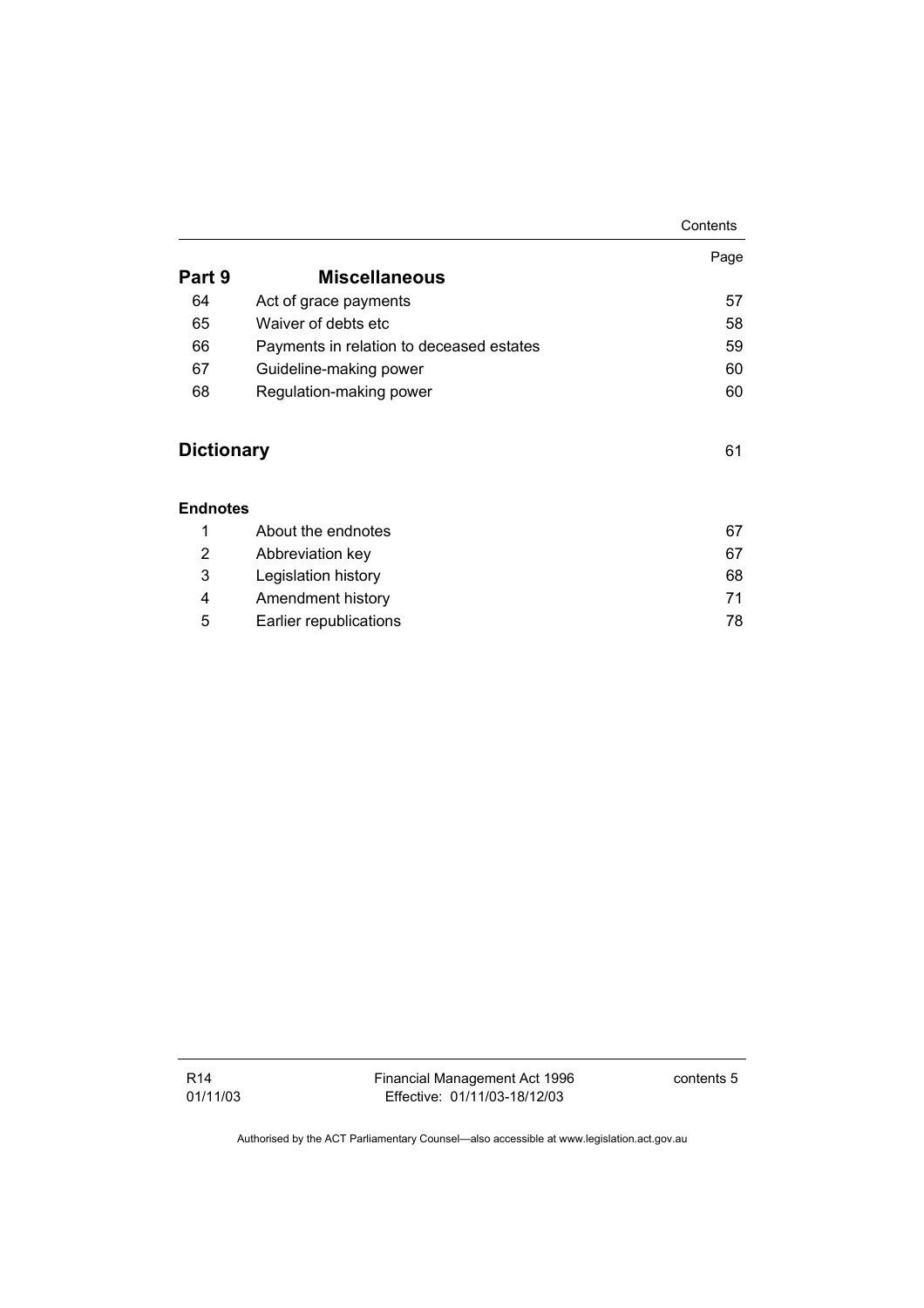|                   |                                          | Contents |
|-------------------|------------------------------------------|----------|
|                   |                                          | Page     |
| Part 9            | <b>Miscellaneous</b>                     |          |
| 64                | Act of grace payments                    | 57       |
| 65                | Waiver of debts etc                      | 58       |
| 66                | Payments in relation to deceased estates | 59       |
| 67                | Guideline-making power                   | 60       |
| 68                | Regulation-making power                  | 60       |
| <b>Dictionary</b> |                                          | 61       |
| <b>Endnotes</b>   |                                          |          |
| 1                 | About the endnotes                       | 67       |
| 2                 | Abbreviation key                         | 67       |
| 3                 | Legislation history                      | 68       |
| 4                 | Amendment history                        | 71       |
| 5                 | Earlier republications                   | 78       |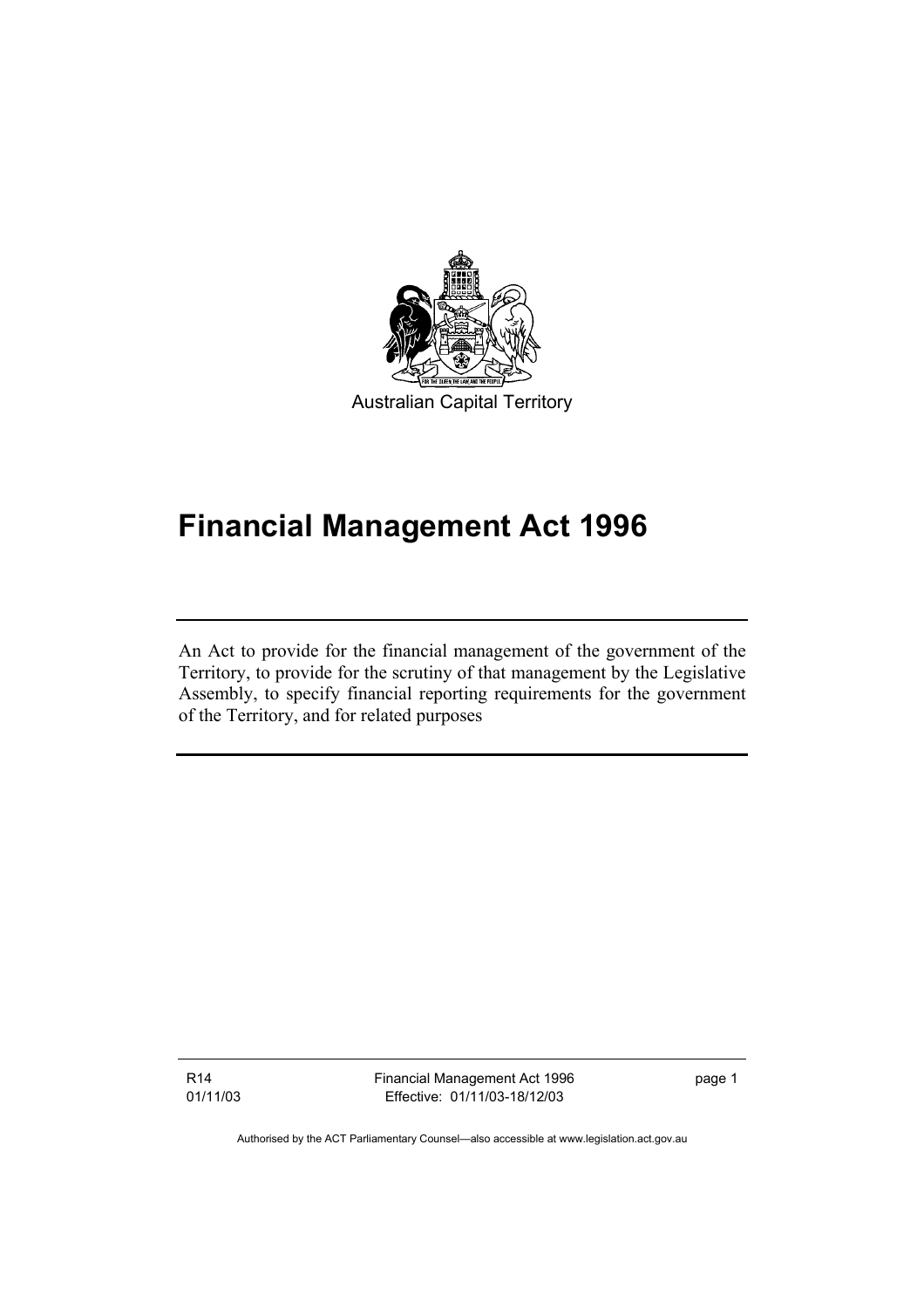

# **Financial Management Act 1996**

An Act to provide for the financial management of the government of the Territory, to provide for the scrutiny of that management by the Legislative Assembly, to specify financial reporting requirements for the government of the Territory, and for related purposes

R14 01/11/03 Financial Management Act 1996 Effective: 01/11/03-18/12/03

page 1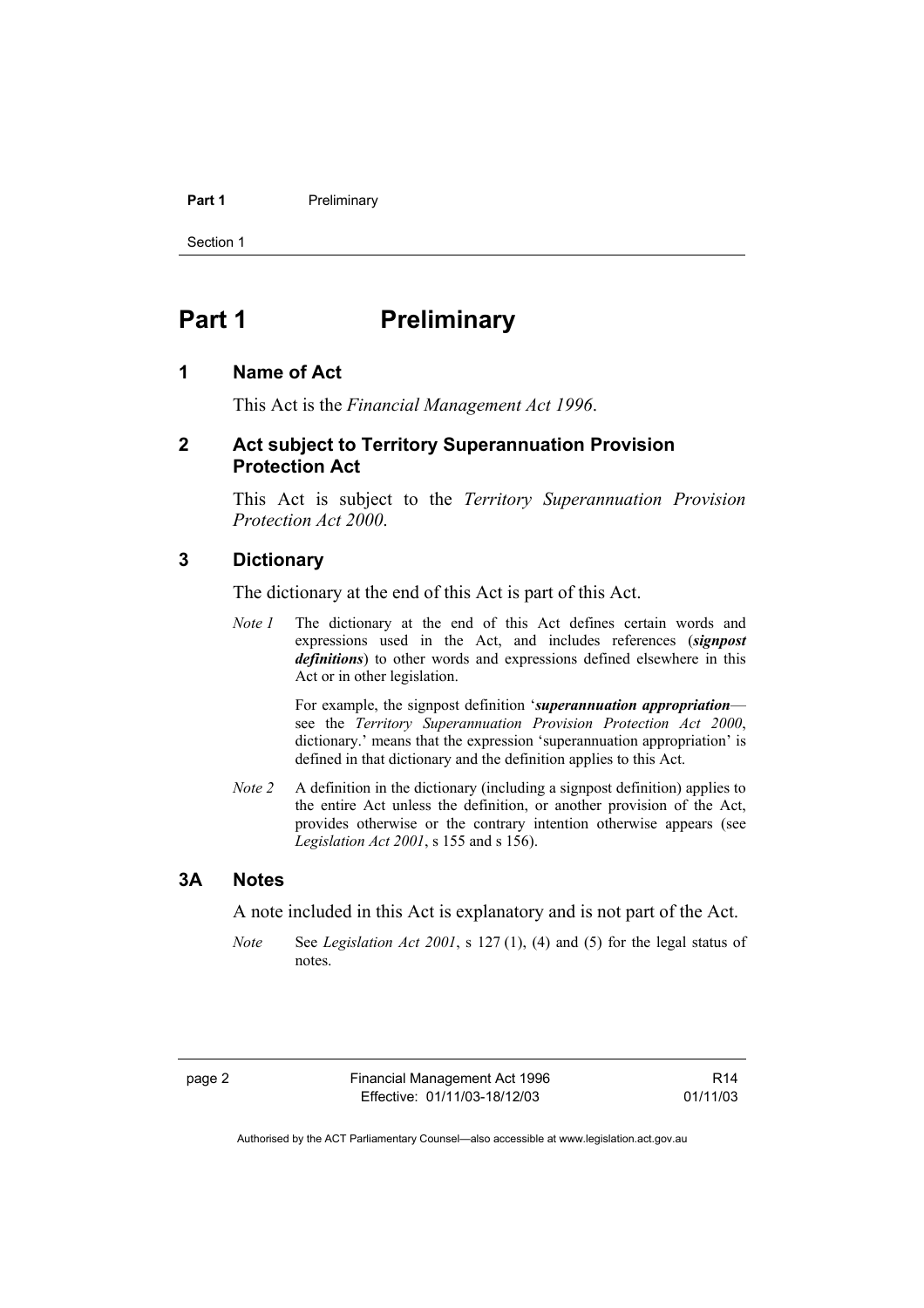#### Part 1 **Preliminary**

Section 1

# **Part 1** Preliminary

#### **1 Name of Act**

This Act is the *Financial Management Act 1996*.

#### **2 Act subject to Territory Superannuation Provision Protection Act**

This Act is subject to the *Territory Superannuation Provision Protection Act 2000*.

#### **3 Dictionary**

The dictionary at the end of this Act is part of this Act.

*Note 1* The dictionary at the end of this Act defines certain words and expressions used in the Act, and includes references (*signpost definitions*) to other words and expressions defined elsewhere in this Act or in other legislation.

> For example, the signpost definition '*superannuation appropriation* see the *Territory Superannuation Provision Protection Act 2000*, dictionary.' means that the expression 'superannuation appropriation' is defined in that dictionary and the definition applies to this Act.

*Note 2* A definition in the dictionary (including a signpost definition) applies to the entire Act unless the definition, or another provision of the Act, provides otherwise or the contrary intention otherwise appears (see *Legislation Act 2001*, s 155 and s 156).

#### **3A Notes**

A note included in this Act is explanatory and is not part of the Act.

*Note* See *Legislation Act 2001*, s 127 (1), (4) and (5) for the legal status of notes.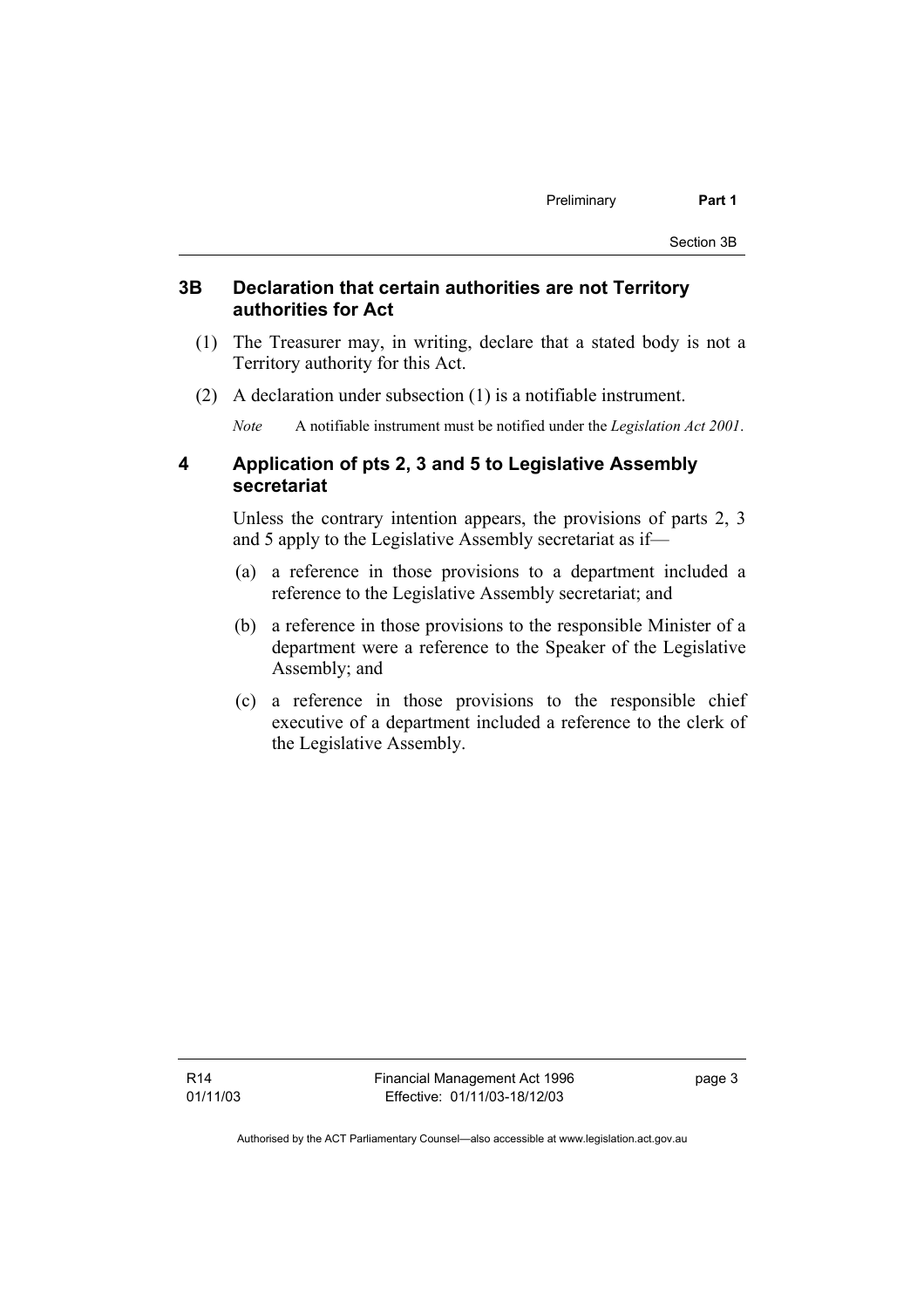#### **3B Declaration that certain authorities are not Territory authorities for Act**

- (1) The Treasurer may, in writing, declare that a stated body is not a Territory authority for this Act.
- (2) A declaration under subsection (1) is a notifiable instrument.

*Note* A notifiable instrument must be notified under the *Legislation Act 2001*.

#### **4 Application of pts 2, 3 and 5 to Legislative Assembly secretariat**

Unless the contrary intention appears, the provisions of parts 2, 3 and 5 apply to the Legislative Assembly secretariat as if—

- (a) a reference in those provisions to a department included a reference to the Legislative Assembly secretariat; and
- (b) a reference in those provisions to the responsible Minister of a department were a reference to the Speaker of the Legislative Assembly; and
- (c) a reference in those provisions to the responsible chief executive of a department included a reference to the clerk of the Legislative Assembly.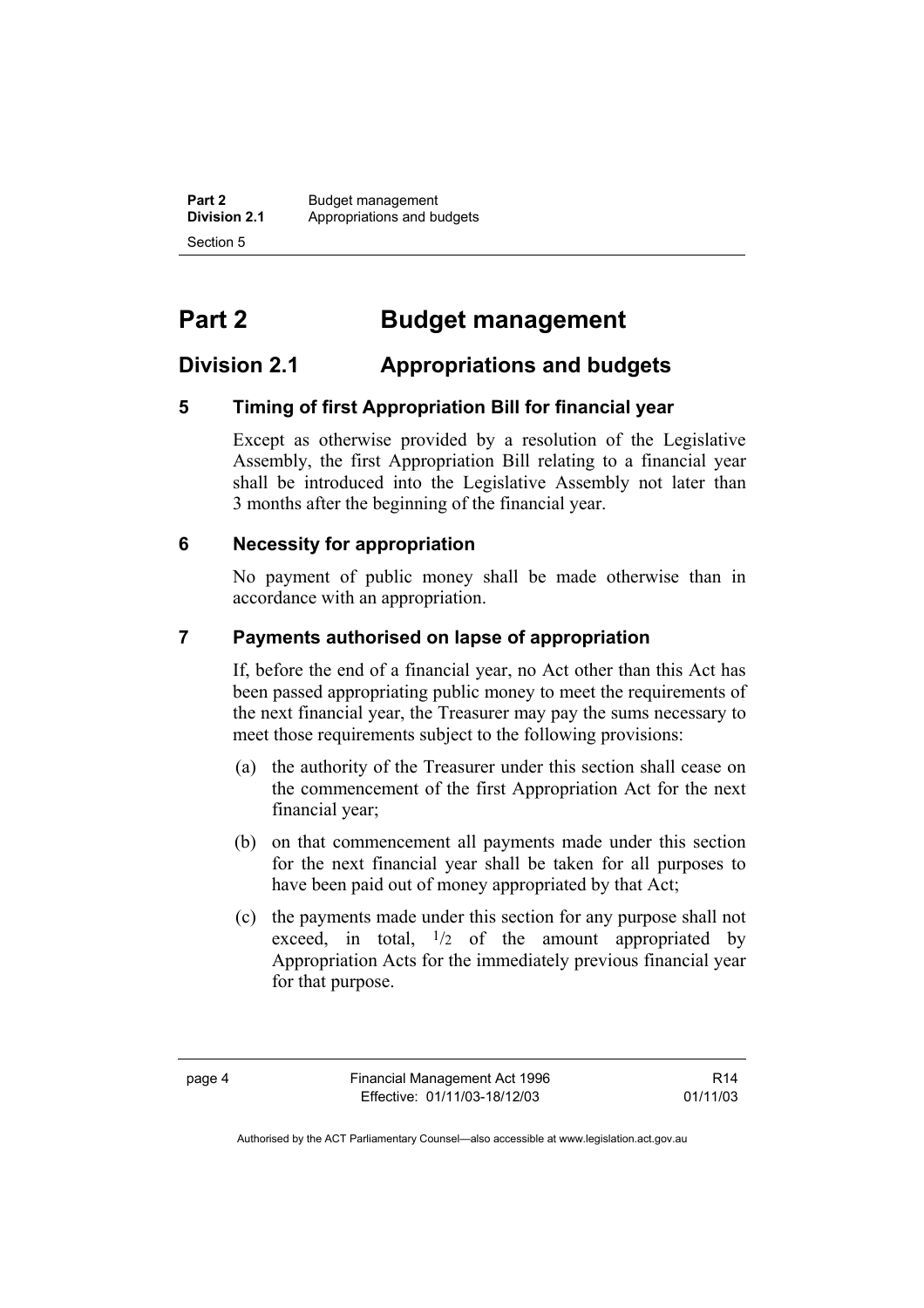**Part 2 Budget management**<br>**Division 2.1 Appropriations and by Division 2.1** Appropriations and budgets Section 5

# **Part 2 Budget management**

## **Division 2.1 Appropriations and budgets**

## **5 Timing of first Appropriation Bill for financial year**

Except as otherwise provided by a resolution of the Legislative Assembly, the first Appropriation Bill relating to a financial year shall be introduced into the Legislative Assembly not later than 3 months after the beginning of the financial year.

#### **6 Necessity for appropriation**

No payment of public money shall be made otherwise than in accordance with an appropriation.

#### **7 Payments authorised on lapse of appropriation**

If, before the end of a financial year, no Act other than this Act has been passed appropriating public money to meet the requirements of the next financial year, the Treasurer may pay the sums necessary to meet those requirements subject to the following provisions:

- (a) the authority of the Treasurer under this section shall cease on the commencement of the first Appropriation Act for the next financial year;
- (b) on that commencement all payments made under this section for the next financial year shall be taken for all purposes to have been paid out of money appropriated by that Act;
- (c) the payments made under this section for any purpose shall not exceed, in total,  $\frac{1}{2}$  of the amount appropriated by Appropriation Acts for the immediately previous financial year for that purpose.

R14 01/11/03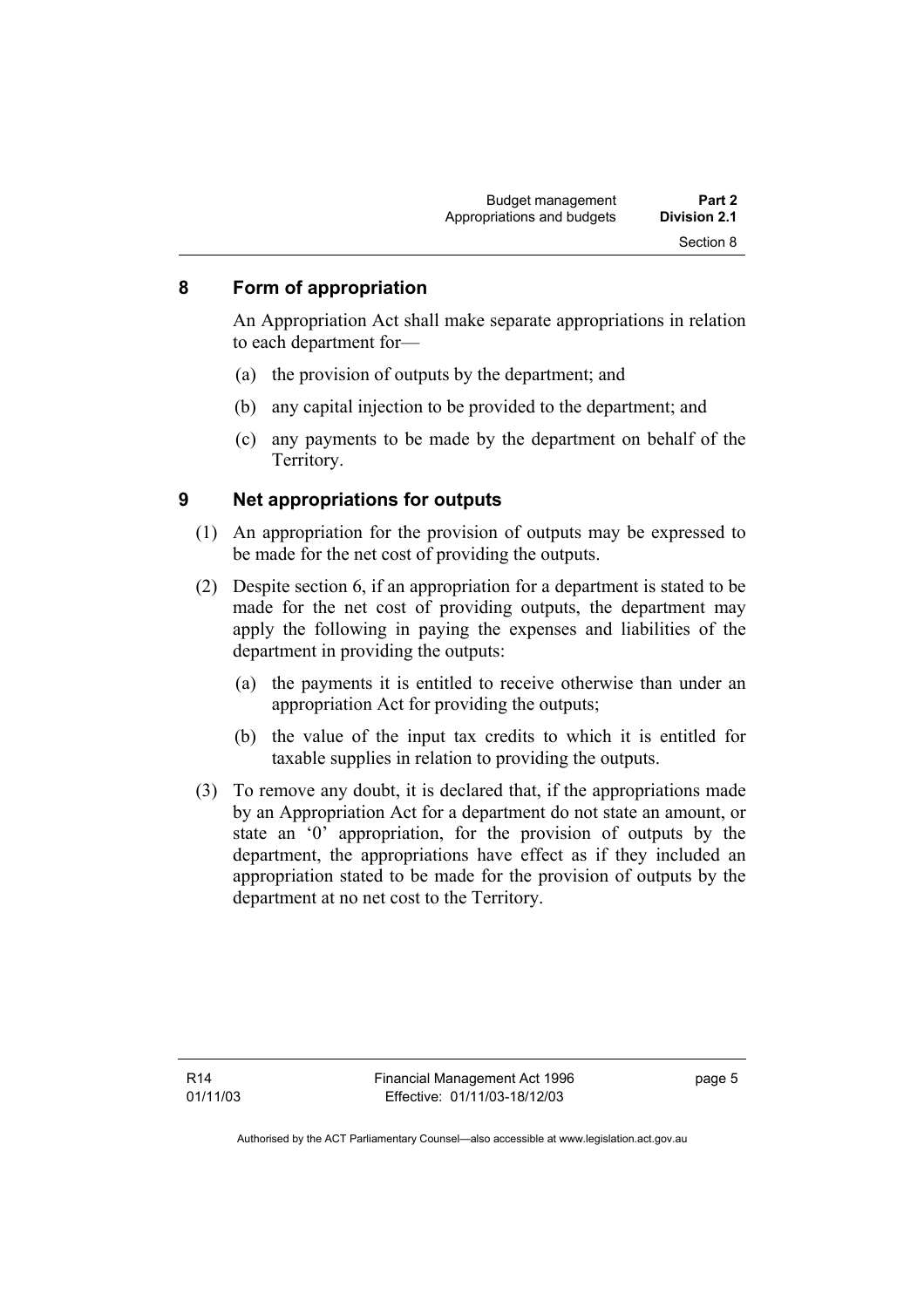### **8 Form of appropriation**

An Appropriation Act shall make separate appropriations in relation to each department for—

- (a) the provision of outputs by the department; and
- (b) any capital injection to be provided to the department; and
- (c) any payments to be made by the department on behalf of the Territory.

#### **9 Net appropriations for outputs**

- (1) An appropriation for the provision of outputs may be expressed to be made for the net cost of providing the outputs.
- (2) Despite section 6, if an appropriation for a department is stated to be made for the net cost of providing outputs, the department may apply the following in paying the expenses and liabilities of the department in providing the outputs:
	- (a) the payments it is entitled to receive otherwise than under an appropriation Act for providing the outputs;
	- (b) the value of the input tax credits to which it is entitled for taxable supplies in relation to providing the outputs.
- (3) To remove any doubt, it is declared that, if the appropriations made by an Appropriation Act for a department do not state an amount, or state an '0' appropriation, for the provision of outputs by the department, the appropriations have effect as if they included an appropriation stated to be made for the provision of outputs by the department at no net cost to the Territory.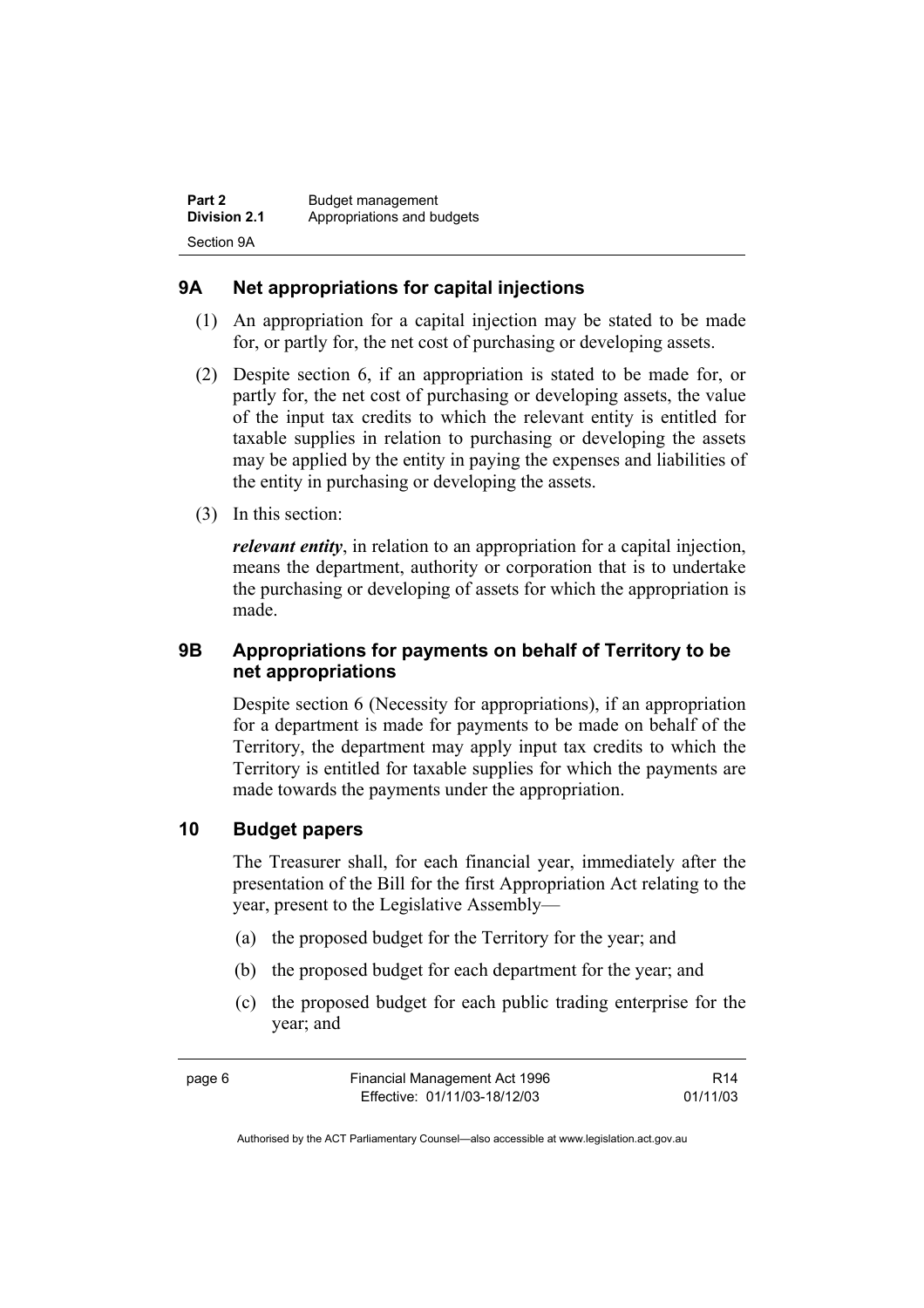## **9A Net appropriations for capital injections**

- (1) An appropriation for a capital injection may be stated to be made for, or partly for, the net cost of purchasing or developing assets.
- (2) Despite section 6, if an appropriation is stated to be made for, or partly for, the net cost of purchasing or developing assets, the value of the input tax credits to which the relevant entity is entitled for taxable supplies in relation to purchasing or developing the assets may be applied by the entity in paying the expenses and liabilities of the entity in purchasing or developing the assets.
- (3) In this section:

*relevant entity*, in relation to an appropriation for a capital injection, means the department, authority or corporation that is to undertake the purchasing or developing of assets for which the appropriation is made.

## **9B Appropriations for payments on behalf of Territory to be net appropriations**

Despite section 6 (Necessity for appropriations), if an appropriation for a department is made for payments to be made on behalf of the Territory, the department may apply input tax credits to which the Territory is entitled for taxable supplies for which the payments are made towards the payments under the appropriation.

## **10 Budget papers**

The Treasurer shall, for each financial year, immediately after the presentation of the Bill for the first Appropriation Act relating to the year, present to the Legislative Assembly—

- (a) the proposed budget for the Territory for the year; and
- (b) the proposed budget for each department for the year; and
- (c) the proposed budget for each public trading enterprise for the year; and

| page 6 | Financial Management Act 1996 | R14      |
|--------|-------------------------------|----------|
|        | Effective: 01/11/03-18/12/03  | 01/11/03 |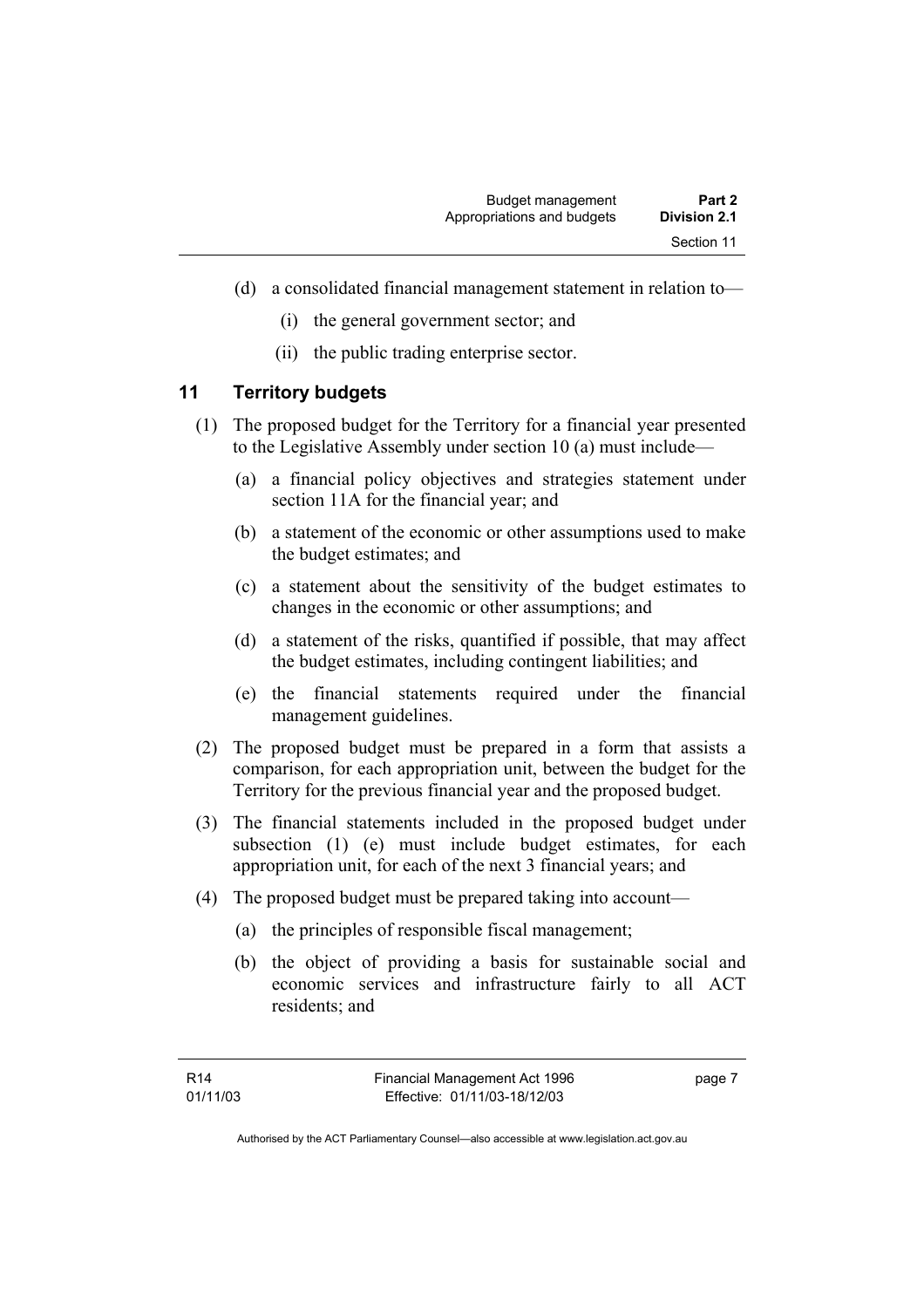- (d) a consolidated financial management statement in relation to—
	- (i) the general government sector; and
	- (ii) the public trading enterprise sector.

#### **11 Territory budgets**

- (1) The proposed budget for the Territory for a financial year presented to the Legislative Assembly under section 10 (a) must include—
	- (a) a financial policy objectives and strategies statement under section 11A for the financial year; and
	- (b) a statement of the economic or other assumptions used to make the budget estimates; and
	- (c) a statement about the sensitivity of the budget estimates to changes in the economic or other assumptions; and
	- (d) a statement of the risks, quantified if possible, that may affect the budget estimates, including contingent liabilities; and
	- (e) the financial statements required under the financial management guidelines.
- (2) The proposed budget must be prepared in a form that assists a comparison, for each appropriation unit, between the budget for the Territory for the previous financial year and the proposed budget.
- (3) The financial statements included in the proposed budget under subsection (1) (e) must include budget estimates, for each appropriation unit, for each of the next 3 financial years; and
- (4) The proposed budget must be prepared taking into account—
	- (a) the principles of responsible fiscal management;
	- (b) the object of providing a basis for sustainable social and economic services and infrastructure fairly to all ACT residents; and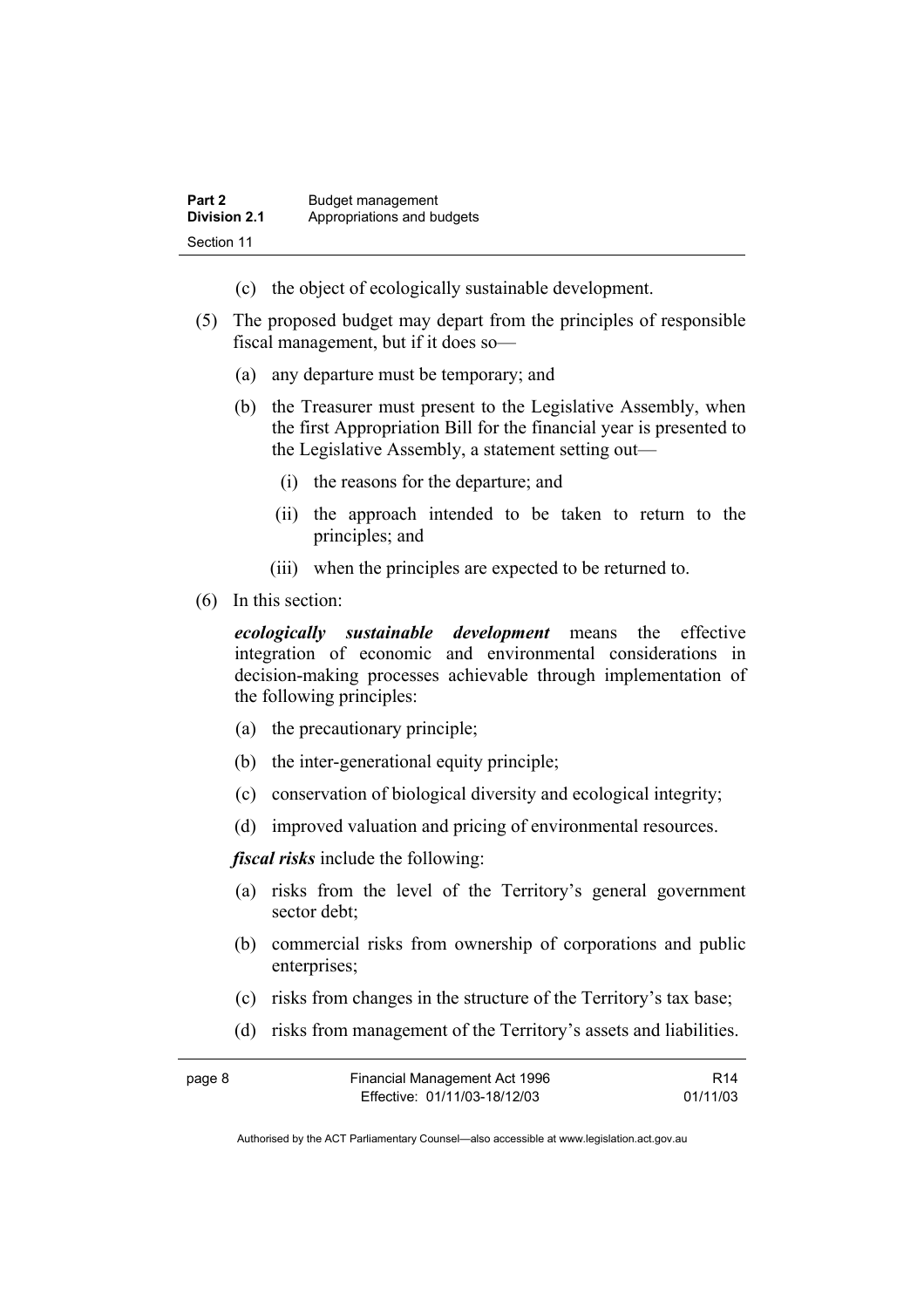- (c) the object of ecologically sustainable development.
- (5) The proposed budget may depart from the principles of responsible fiscal management, but if it does so—
	- (a) any departure must be temporary; and
	- (b) the Treasurer must present to the Legislative Assembly, when the first Appropriation Bill for the financial year is presented to the Legislative Assembly, a statement setting out—
		- (i) the reasons for the departure; and
		- (ii) the approach intended to be taken to return to the principles; and
		- (iii) when the principles are expected to be returned to.
- (6) In this section:

*ecologically sustainable development* means the effective integration of economic and environmental considerations in decision-making processes achievable through implementation of the following principles:

- (a) the precautionary principle;
- (b) the inter-generational equity principle;
- (c) conservation of biological diversity and ecological integrity;
- (d) improved valuation and pricing of environmental resources.

*fiscal risks* include the following:

- (a) risks from the level of the Territory's general government sector debt;
- (b) commercial risks from ownership of corporations and public enterprises;
- (c) risks from changes in the structure of the Territory's tax base;
- (d) risks from management of the Territory's assets and liabilities.

| page 8 | Financial Management Act 1996 | R14      |
|--------|-------------------------------|----------|
|        | Effective: 01/11/03-18/12/03  | 01/11/03 |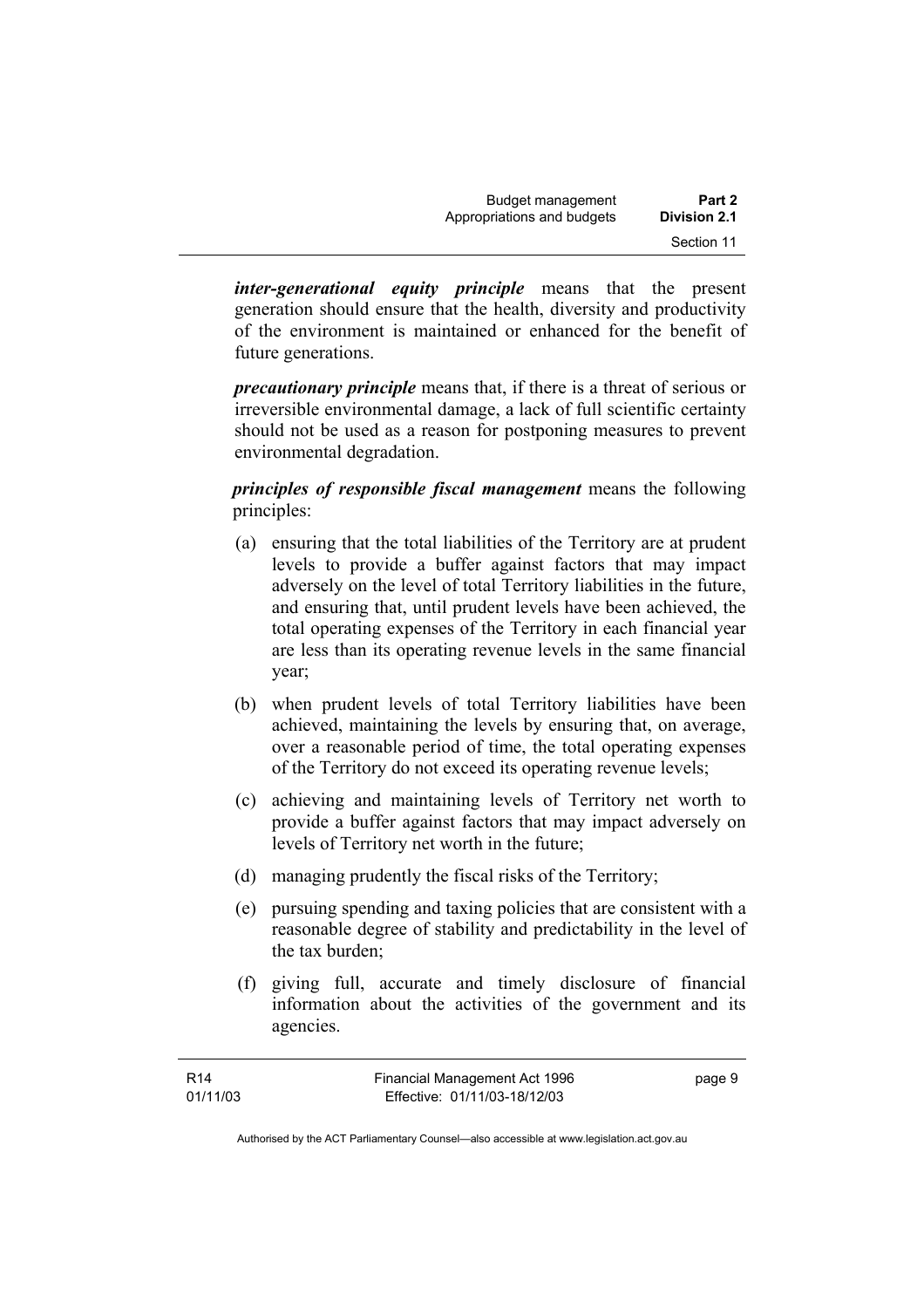*inter-generational equity principle* means that the present generation should ensure that the health, diversity and productivity of the environment is maintained or enhanced for the benefit of future generations.

*precautionary principle* means that, if there is a threat of serious or irreversible environmental damage, a lack of full scientific certainty should not be used as a reason for postponing measures to prevent environmental degradation.

*principles of responsible fiscal management* means the following principles:

- (a) ensuring that the total liabilities of the Territory are at prudent levels to provide a buffer against factors that may impact adversely on the level of total Territory liabilities in the future, and ensuring that, until prudent levels have been achieved, the total operating expenses of the Territory in each financial year are less than its operating revenue levels in the same financial year;
- (b) when prudent levels of total Territory liabilities have been achieved, maintaining the levels by ensuring that, on average, over a reasonable period of time, the total operating expenses of the Territory do not exceed its operating revenue levels;
- (c) achieving and maintaining levels of Territory net worth to provide a buffer against factors that may impact adversely on levels of Territory net worth in the future;
- (d) managing prudently the fiscal risks of the Territory;
- (e) pursuing spending and taxing policies that are consistent with a reasonable degree of stability and predictability in the level of the tax burden;
- (f) giving full, accurate and timely disclosure of financial information about the activities of the government and its agencies.

page 9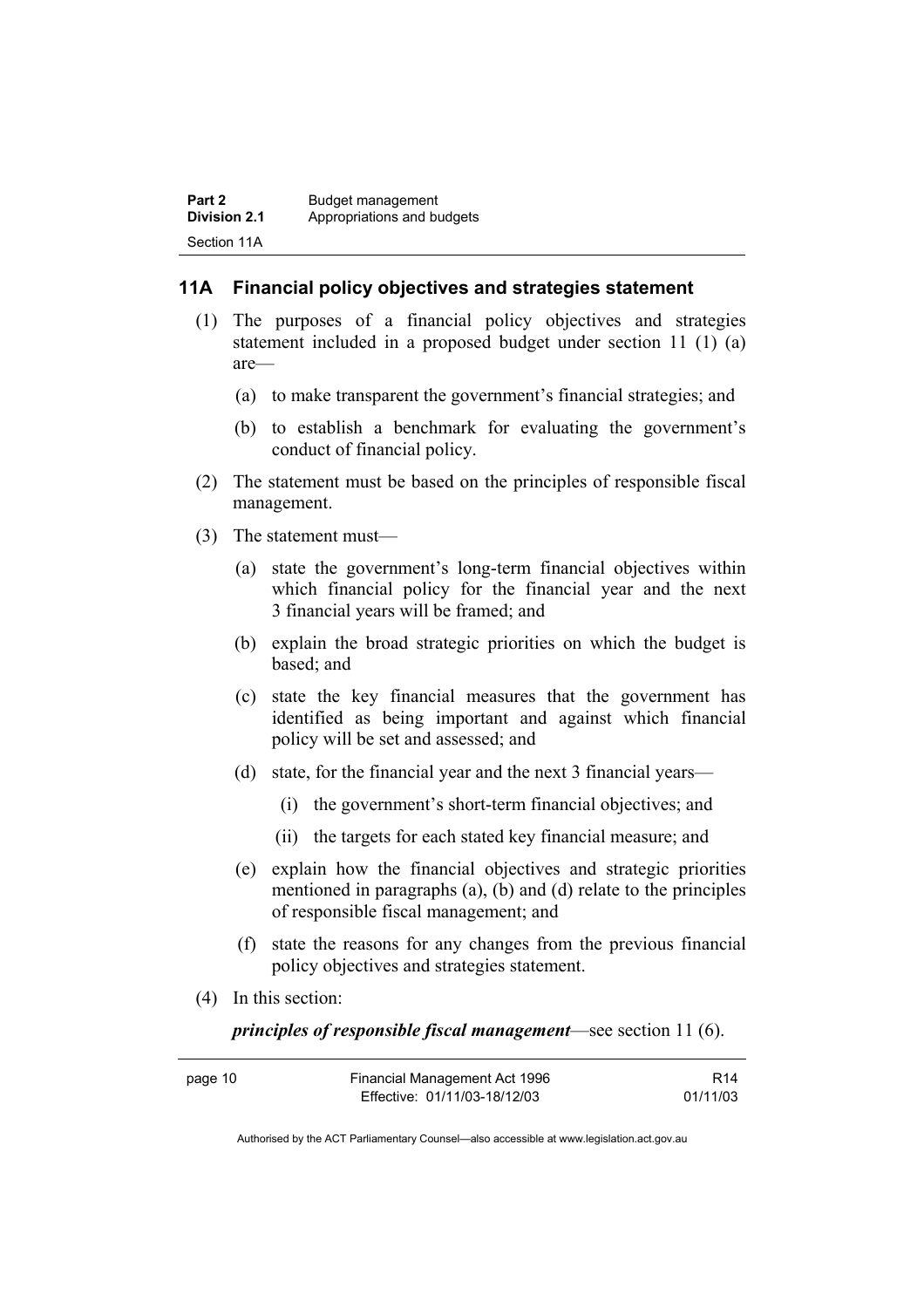#### **11A Financial policy objectives and strategies statement**

- (1) The purposes of a financial policy objectives and strategies statement included in a proposed budget under section 11 (1) (a) are—
	- (a) to make transparent the government's financial strategies; and
	- (b) to establish a benchmark for evaluating the government's conduct of financial policy.
- (2) The statement must be based on the principles of responsible fiscal management.
- (3) The statement must—
	- (a) state the government's long-term financial objectives within which financial policy for the financial year and the next 3 financial years will be framed; and
	- (b) explain the broad strategic priorities on which the budget is based; and
	- (c) state the key financial measures that the government has identified as being important and against which financial policy will be set and assessed; and
	- (d) state, for the financial year and the next 3 financial years—
		- (i) the government's short-term financial objectives; and
		- (ii) the targets for each stated key financial measure; and
	- (e) explain how the financial objectives and strategic priorities mentioned in paragraphs (a), (b) and (d) relate to the principles of responsible fiscal management; and
	- (f) state the reasons for any changes from the previous financial policy objectives and strategies statement.
- (4) In this section:

*principles of responsible fiscal management*—see section 11 (6).

| page 10 | Financial Management Act 1996 | R <sub>14</sub> |
|---------|-------------------------------|-----------------|
|         | Effective: 01/11/03-18/12/03  | 01/11/03        |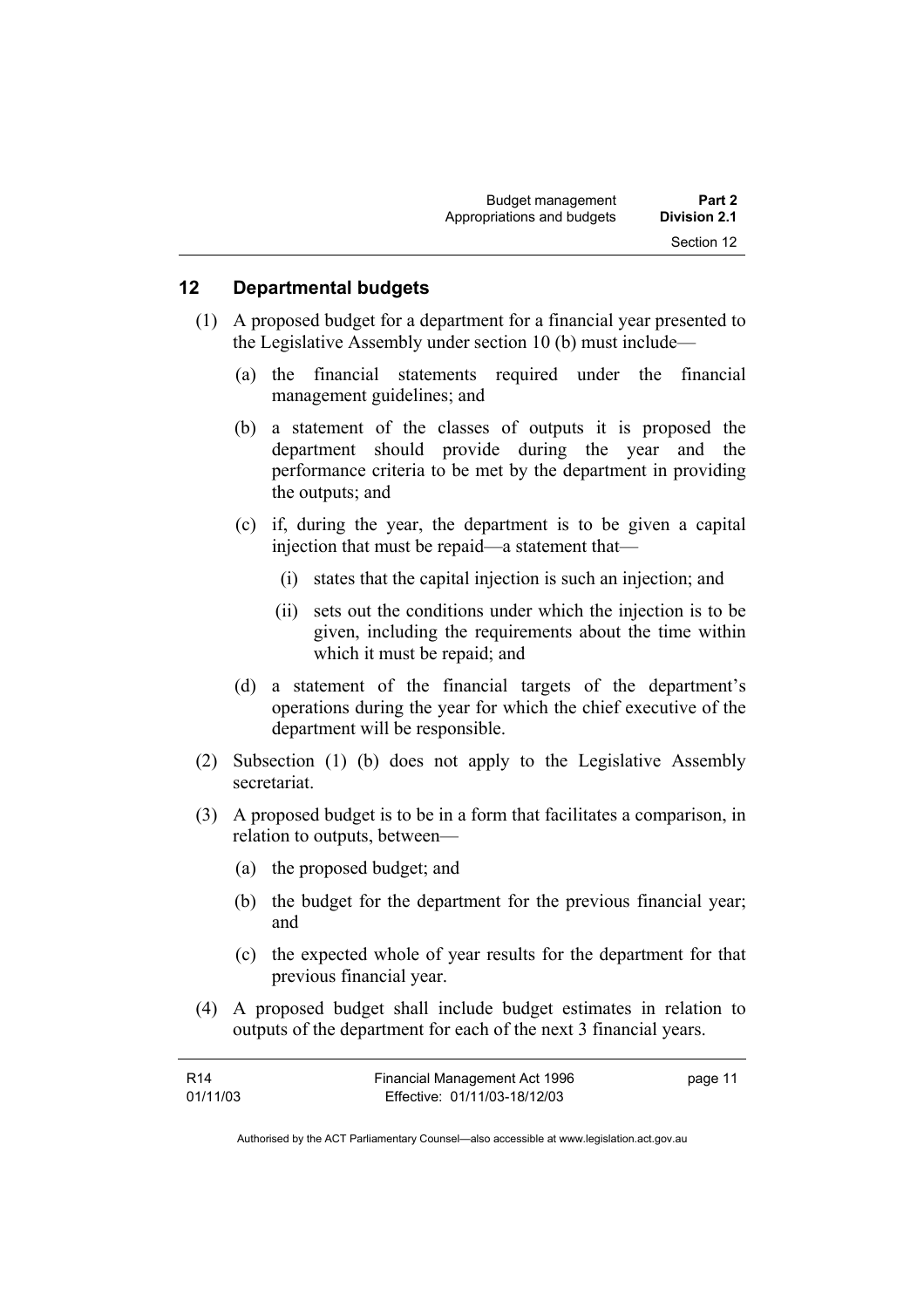#### **12 Departmental budgets**

- (1) A proposed budget for a department for a financial year presented to the Legislative Assembly under section 10 (b) must include—
	- (a) the financial statements required under the financial management guidelines; and
	- (b) a statement of the classes of outputs it is proposed the department should provide during the year and the performance criteria to be met by the department in providing the outputs; and
	- (c) if, during the year, the department is to be given a capital injection that must be repaid—a statement that—
		- (i) states that the capital injection is such an injection; and
		- (ii) sets out the conditions under which the injection is to be given, including the requirements about the time within which it must be repaid; and
	- (d) a statement of the financial targets of the department's operations during the year for which the chief executive of the department will be responsible.
- (2) Subsection (1) (b) does not apply to the Legislative Assembly secretariat.
- (3) A proposed budget is to be in a form that facilitates a comparison, in relation to outputs, between—
	- (a) the proposed budget; and
	- (b) the budget for the department for the previous financial year; and
	- (c) the expected whole of year results for the department for that previous financial year.
- (4) A proposed budget shall include budget estimates in relation to outputs of the department for each of the next 3 financial years.

| R14      | Financial Management Act 1996 | page 11 |
|----------|-------------------------------|---------|
| 01/11/03 | Effective: 01/11/03-18/12/03  |         |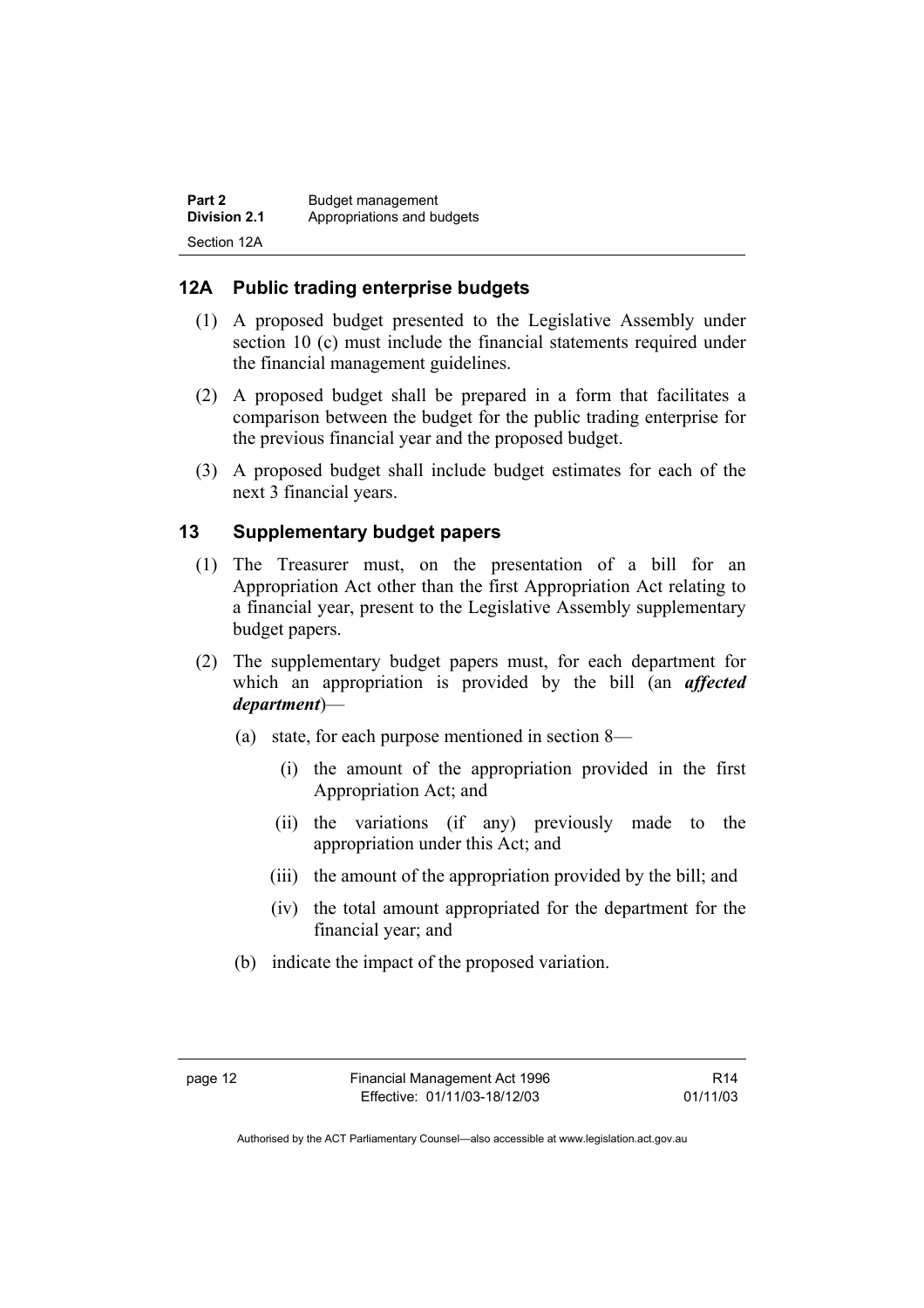| Part 2       | Budget management          |
|--------------|----------------------------|
| Division 2.1 | Appropriations and budgets |
| Section 12A  |                            |

## **12A Public trading enterprise budgets**

- (1) A proposed budget presented to the Legislative Assembly under section 10 (c) must include the financial statements required under the financial management guidelines.
- (2) A proposed budget shall be prepared in a form that facilitates a comparison between the budget for the public trading enterprise for the previous financial year and the proposed budget.
- (3) A proposed budget shall include budget estimates for each of the next 3 financial years.

#### **13 Supplementary budget papers**

- (1) The Treasurer must, on the presentation of a bill for an Appropriation Act other than the first Appropriation Act relating to a financial year, present to the Legislative Assembly supplementary budget papers.
- (2) The supplementary budget papers must, for each department for which an appropriation is provided by the bill (an *affected department*)—
	- (a) state, for each purpose mentioned in section 8—
		- (i) the amount of the appropriation provided in the first Appropriation Act; and
		- (ii) the variations (if any) previously made to the appropriation under this Act; and
		- (iii) the amount of the appropriation provided by the bill; and
		- (iv) the total amount appropriated for the department for the financial year; and
	- (b) indicate the impact of the proposed variation.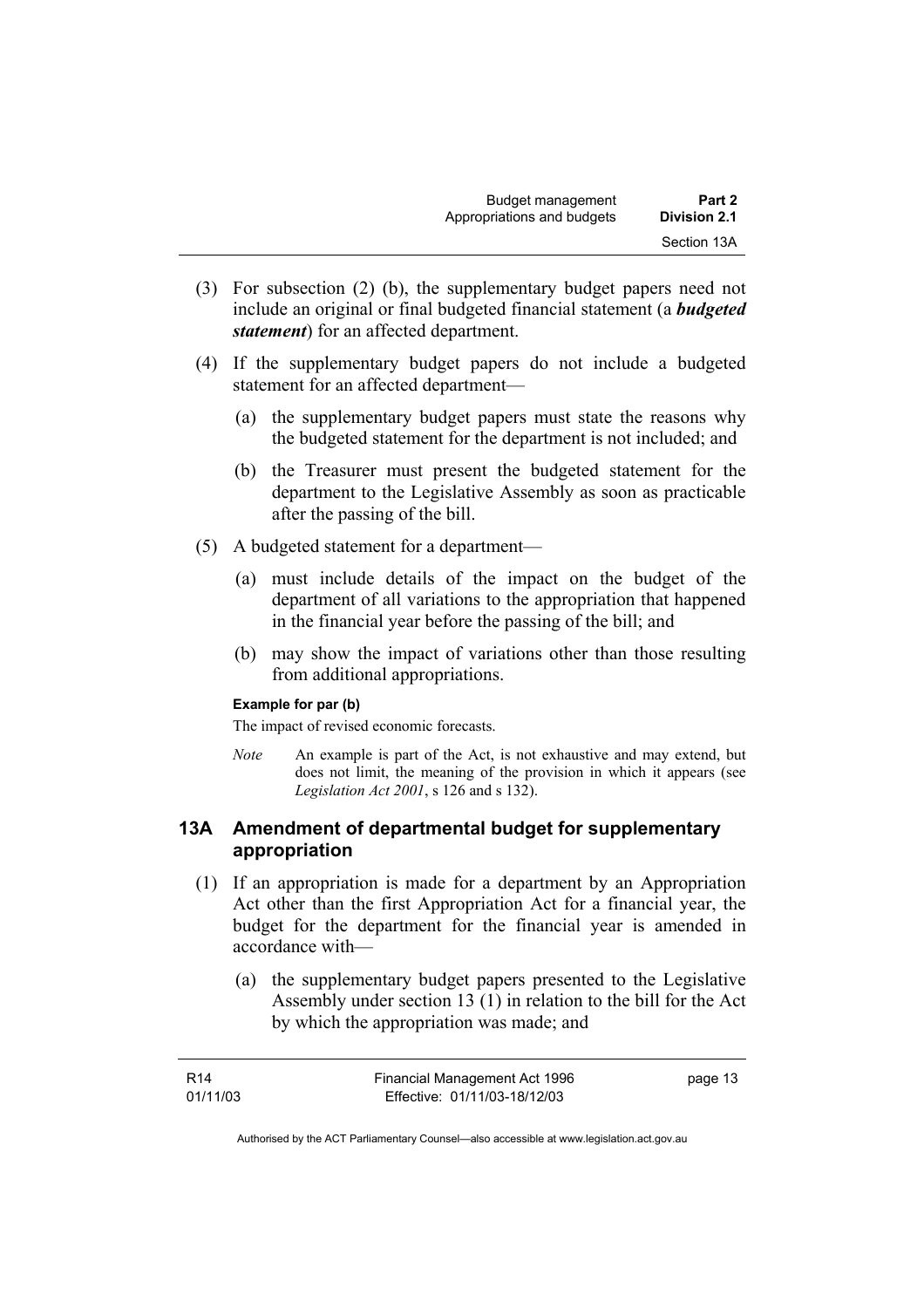- (3) For subsection (2) (b), the supplementary budget papers need not include an original or final budgeted financial statement (a *budgeted statement*) for an affected department.
- (4) If the supplementary budget papers do not include a budgeted statement for an affected department—
	- (a) the supplementary budget papers must state the reasons why the budgeted statement for the department is not included; and
	- (b) the Treasurer must present the budgeted statement for the department to the Legislative Assembly as soon as practicable after the passing of the bill.
- (5) A budgeted statement for a department—
	- (a) must include details of the impact on the budget of the department of all variations to the appropriation that happened in the financial year before the passing of the bill; and
	- (b) may show the impact of variations other than those resulting from additional appropriations.

#### **Example for par (b)**

The impact of revised economic forecasts.

*Note* An example is part of the Act, is not exhaustive and may extend, but does not limit, the meaning of the provision in which it appears (see *Legislation Act 2001*, s 126 and s 132).

#### **13A Amendment of departmental budget for supplementary appropriation**

- (1) If an appropriation is made for a department by an Appropriation Act other than the first Appropriation Act for a financial year, the budget for the department for the financial year is amended in accordance with—
	- (a) the supplementary budget papers presented to the Legislative Assembly under section 13 (1) in relation to the bill for the Act by which the appropriation was made; and

| R14      | Financial Management Act 1996 | page 13 |
|----------|-------------------------------|---------|
| 01/11/03 | Effective: 01/11/03-18/12/03  |         |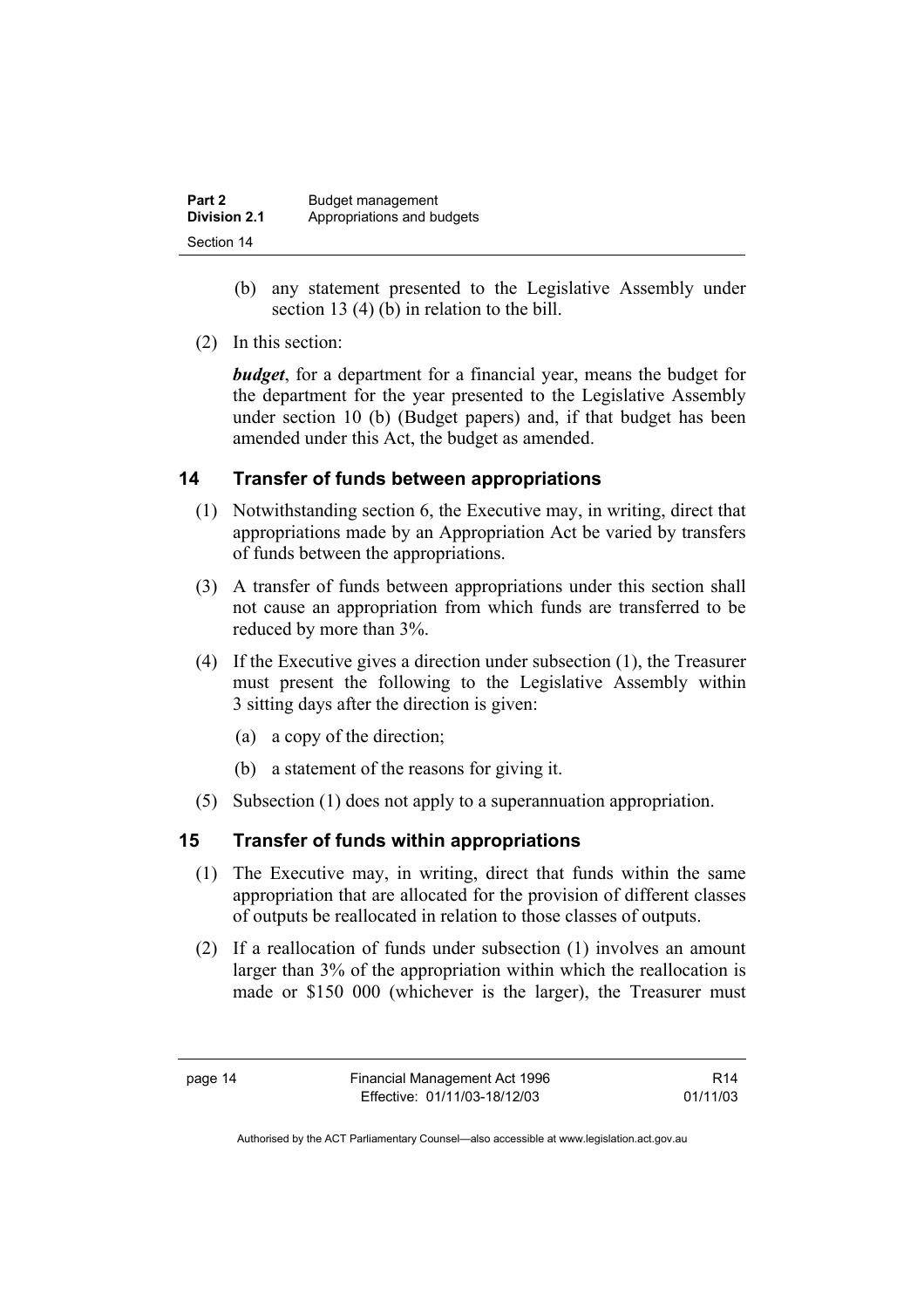| Part 2              | Budget management          |
|---------------------|----------------------------|
| <b>Division 2.1</b> | Appropriations and budgets |
| Section 14          |                            |

- (b) any statement presented to the Legislative Assembly under section 13 (4) (b) in relation to the bill.
- (2) In this section:

*budget*, for a department for a financial year, means the budget for the department for the year presented to the Legislative Assembly under section 10 (b) (Budget papers) and, if that budget has been amended under this Act, the budget as amended.

## **14 Transfer of funds between appropriations**

- (1) Notwithstanding section 6, the Executive may, in writing, direct that appropriations made by an Appropriation Act be varied by transfers of funds between the appropriations.
- (3) A transfer of funds between appropriations under this section shall not cause an appropriation from which funds are transferred to be reduced by more than 3%.
- (4) If the Executive gives a direction under subsection (1), the Treasurer must present the following to the Legislative Assembly within 3 sitting days after the direction is given:
	- (a) a copy of the direction;
	- (b) a statement of the reasons for giving it.
- (5) Subsection (1) does not apply to a superannuation appropriation.

## **15 Transfer of funds within appropriations**

- (1) The Executive may, in writing, direct that funds within the same appropriation that are allocated for the provision of different classes of outputs be reallocated in relation to those classes of outputs.
- (2) If a reallocation of funds under subsection (1) involves an amount larger than 3% of the appropriation within which the reallocation is made or \$150 000 (whichever is the larger), the Treasurer must

R14 01/11/03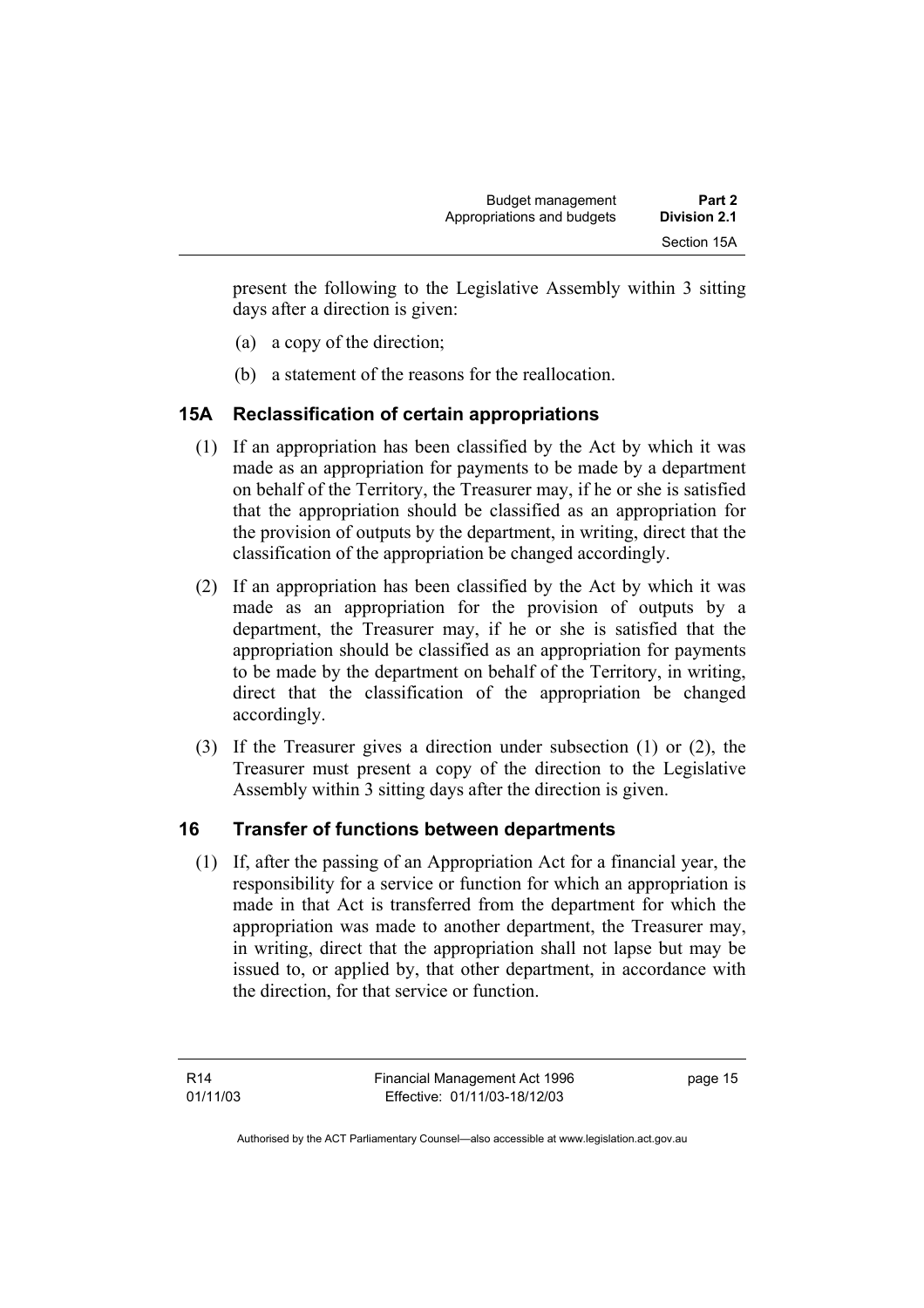present the following to the Legislative Assembly within 3 sitting days after a direction is given:

- (a) a copy of the direction;
- (b) a statement of the reasons for the reallocation.

## **15A Reclassification of certain appropriations**

- (1) If an appropriation has been classified by the Act by which it was made as an appropriation for payments to be made by a department on behalf of the Territory, the Treasurer may, if he or she is satisfied that the appropriation should be classified as an appropriation for the provision of outputs by the department, in writing, direct that the classification of the appropriation be changed accordingly.
- (2) If an appropriation has been classified by the Act by which it was made as an appropriation for the provision of outputs by a department, the Treasurer may, if he or she is satisfied that the appropriation should be classified as an appropriation for payments to be made by the department on behalf of the Territory, in writing, direct that the classification of the appropriation be changed accordingly.
- (3) If the Treasurer gives a direction under subsection (1) or (2), the Treasurer must present a copy of the direction to the Legislative Assembly within 3 sitting days after the direction is given.

## **16 Transfer of functions between departments**

 (1) If, after the passing of an Appropriation Act for a financial year, the responsibility for a service or function for which an appropriation is made in that Act is transferred from the department for which the appropriation was made to another department, the Treasurer may, in writing, direct that the appropriation shall not lapse but may be issued to, or applied by, that other department, in accordance with the direction, for that service or function.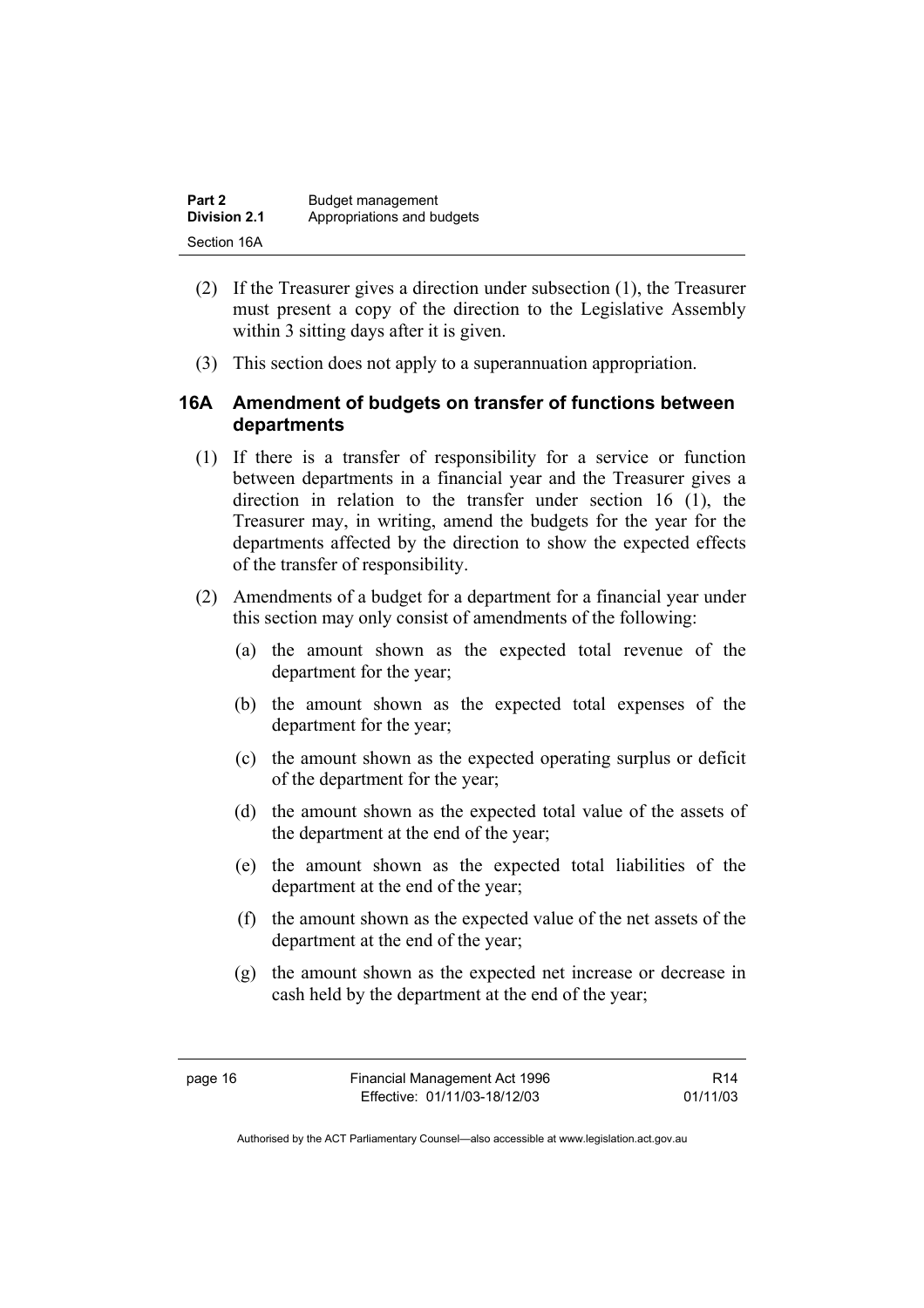| Part 2       | Budget management          |
|--------------|----------------------------|
| Division 2.1 | Appropriations and budgets |
| Section 16A  |                            |

- (2) If the Treasurer gives a direction under subsection (1), the Treasurer must present a copy of the direction to the Legislative Assembly within 3 sitting days after it is given.
- (3) This section does not apply to a superannuation appropriation.

#### **16A Amendment of budgets on transfer of functions between departments**

- (1) If there is a transfer of responsibility for a service or function between departments in a financial year and the Treasurer gives a direction in relation to the transfer under section 16 (1), the Treasurer may, in writing, amend the budgets for the year for the departments affected by the direction to show the expected effects of the transfer of responsibility.
- (2) Amendments of a budget for a department for a financial year under this section may only consist of amendments of the following:
	- (a) the amount shown as the expected total revenue of the department for the year;
	- (b) the amount shown as the expected total expenses of the department for the year;
	- (c) the amount shown as the expected operating surplus or deficit of the department for the year;
	- (d) the amount shown as the expected total value of the assets of the department at the end of the year;
	- (e) the amount shown as the expected total liabilities of the department at the end of the year;
	- (f) the amount shown as the expected value of the net assets of the department at the end of the year;
	- (g) the amount shown as the expected net increase or decrease in cash held by the department at the end of the year;

R14 01/11/03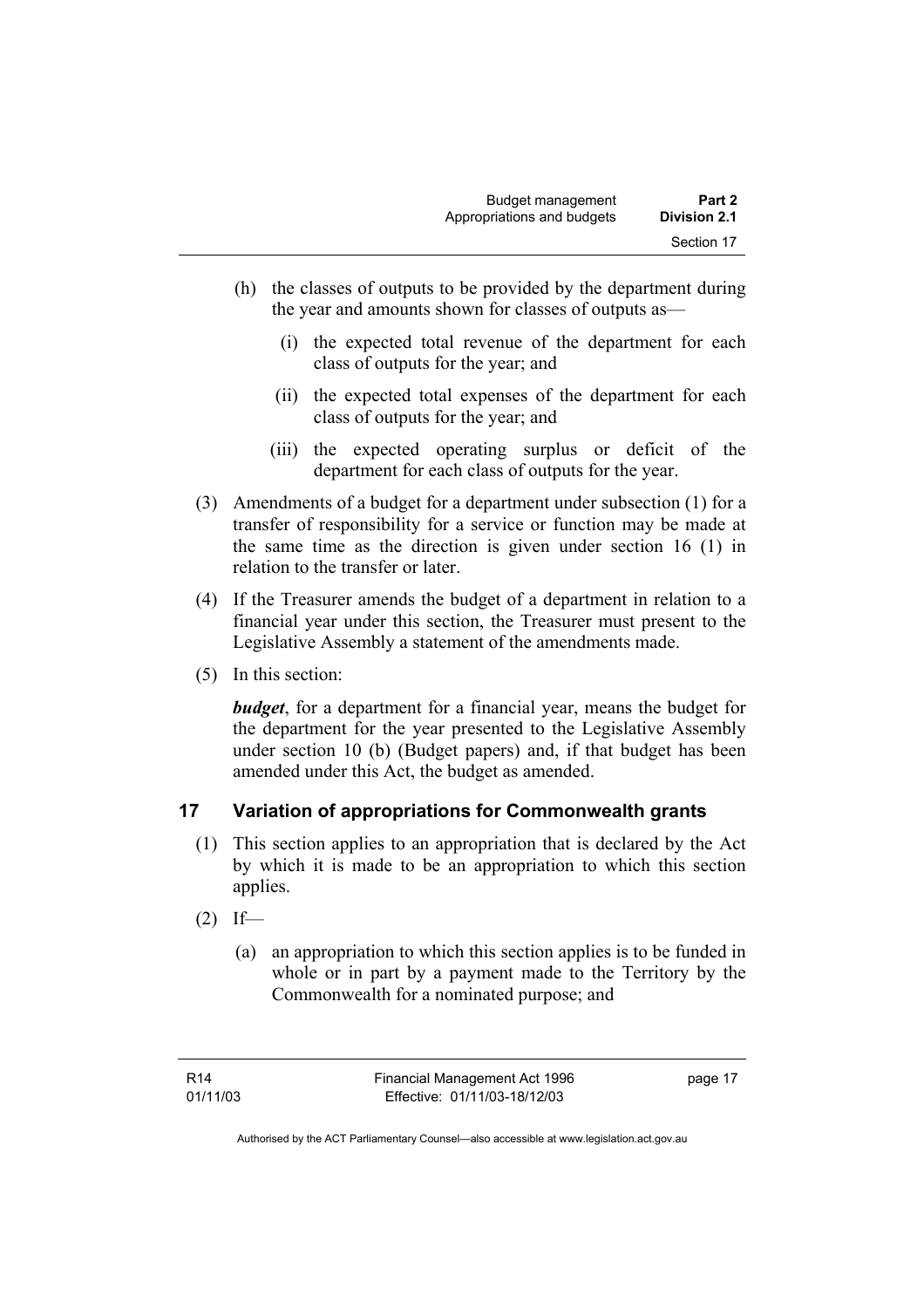- (h) the classes of outputs to be provided by the department during the year and amounts shown for classes of outputs as—
	- (i) the expected total revenue of the department for each class of outputs for the year; and
	- (ii) the expected total expenses of the department for each class of outputs for the year; and
	- (iii) the expected operating surplus or deficit of the department for each class of outputs for the year.
- (3) Amendments of a budget for a department under subsection (1) for a transfer of responsibility for a service or function may be made at the same time as the direction is given under section 16 (1) in relation to the transfer or later.
- (4) If the Treasurer amends the budget of a department in relation to a financial year under this section, the Treasurer must present to the Legislative Assembly a statement of the amendments made.
- (5) In this section:

*budget*, for a department for a financial year, means the budget for the department for the year presented to the Legislative Assembly under section 10 (b) (Budget papers) and, if that budget has been amended under this Act, the budget as amended.

## **17 Variation of appropriations for Commonwealth grants**

- (1) This section applies to an appropriation that is declared by the Act by which it is made to be an appropriation to which this section applies.
- $(2)$  If—
	- (a) an appropriation to which this section applies is to be funded in whole or in part by a payment made to the Territory by the Commonwealth for a nominated purpose; and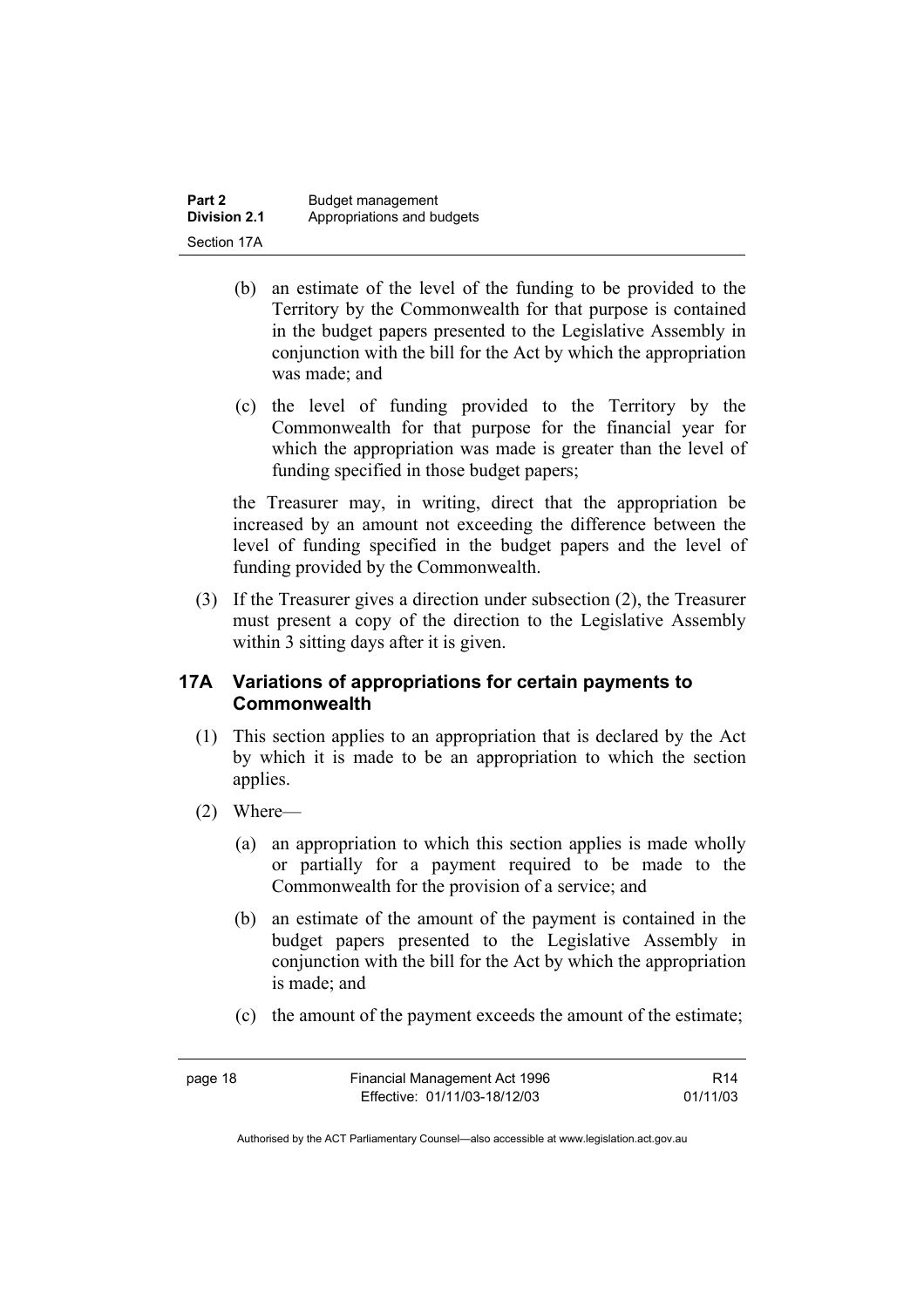| Part 2              | Budget management          |
|---------------------|----------------------------|
| <b>Division 2.1</b> | Appropriations and budgets |
| Section 17A         |                            |

- (b) an estimate of the level of the funding to be provided to the Territory by the Commonwealth for that purpose is contained in the budget papers presented to the Legislative Assembly in conjunction with the bill for the Act by which the appropriation was made; and
- (c) the level of funding provided to the Territory by the Commonwealth for that purpose for the financial year for which the appropriation was made is greater than the level of funding specified in those budget papers;

the Treasurer may, in writing, direct that the appropriation be increased by an amount not exceeding the difference between the level of funding specified in the budget papers and the level of funding provided by the Commonwealth.

 (3) If the Treasurer gives a direction under subsection (2), the Treasurer must present a copy of the direction to the Legislative Assembly within 3 sitting days after it is given.

#### **17A Variations of appropriations for certain payments to Commonwealth**

- (1) This section applies to an appropriation that is declared by the Act by which it is made to be an appropriation to which the section applies.
- (2) Where—
	- (a) an appropriation to which this section applies is made wholly or partially for a payment required to be made to the Commonwealth for the provision of a service; and
	- (b) an estimate of the amount of the payment is contained in the budget papers presented to the Legislative Assembly in conjunction with the bill for the Act by which the appropriation is made; and
	- (c) the amount of the payment exceeds the amount of the estimate;

page 18 Financial Management Act 1996 Effective: 01/11/03-18/12/03 R14 01/11/03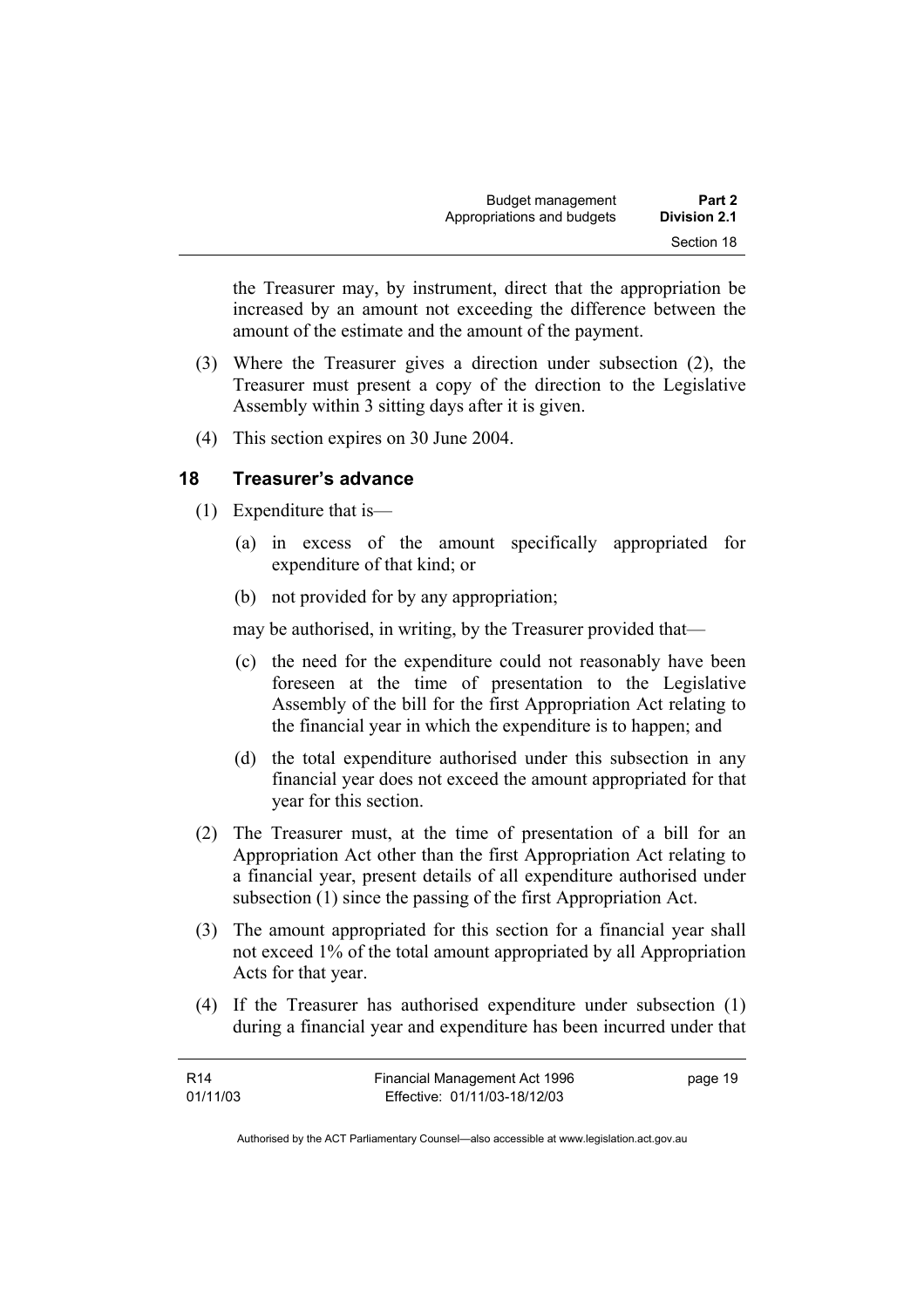the Treasurer may, by instrument, direct that the appropriation be increased by an amount not exceeding the difference between the amount of the estimate and the amount of the payment.

- (3) Where the Treasurer gives a direction under subsection (2), the Treasurer must present a copy of the direction to the Legislative Assembly within 3 sitting days after it is given.
- (4) This section expires on 30 June 2004.

#### **18 Treasurer's advance**

- (1) Expenditure that is—
	- (a) in excess of the amount specifically appropriated for expenditure of that kind; or
	- (b) not provided for by any appropriation;

may be authorised, in writing, by the Treasurer provided that—

- (c) the need for the expenditure could not reasonably have been foreseen at the time of presentation to the Legislative Assembly of the bill for the first Appropriation Act relating to the financial year in which the expenditure is to happen; and
- (d) the total expenditure authorised under this subsection in any financial year does not exceed the amount appropriated for that year for this section.
- (2) The Treasurer must, at the time of presentation of a bill for an Appropriation Act other than the first Appropriation Act relating to a financial year, present details of all expenditure authorised under subsection (1) since the passing of the first Appropriation Act.
- (3) The amount appropriated for this section for a financial year shall not exceed 1% of the total amount appropriated by all Appropriation Acts for that year.
- (4) If the Treasurer has authorised expenditure under subsection (1) during a financial year and expenditure has been incurred under that

| R14      | Financial Management Act 1996 | page 19 |
|----------|-------------------------------|---------|
| 01/11/03 | Effective: 01/11/03-18/12/03  |         |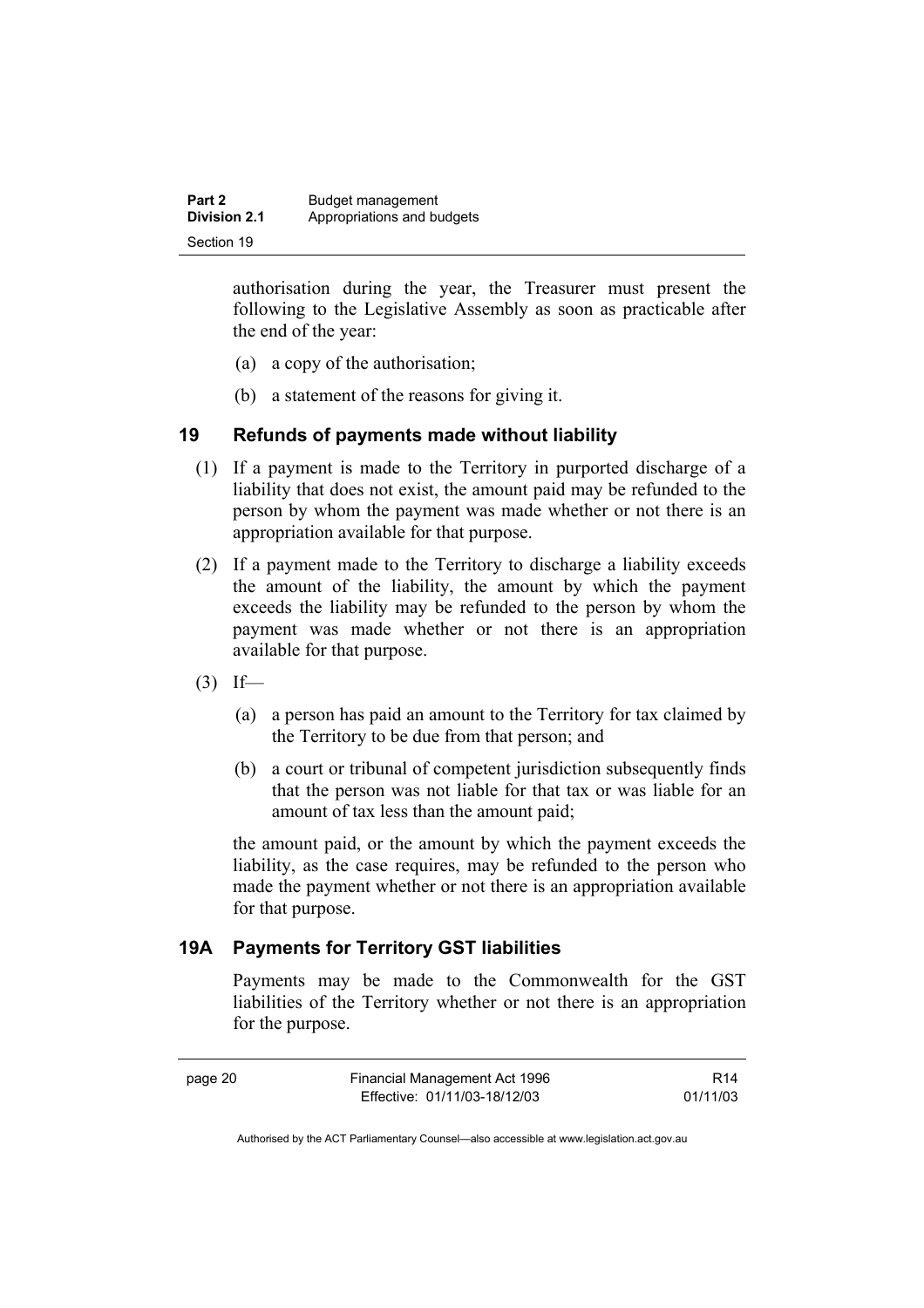| Part 2       | Budget management          |
|--------------|----------------------------|
| Division 2.1 | Appropriations and budgets |
| Section 19   |                            |

authorisation during the year, the Treasurer must present the following to the Legislative Assembly as soon as practicable after the end of the year:

- (a) a copy of the authorisation;
- (b) a statement of the reasons for giving it.

#### **19 Refunds of payments made without liability**

- (1) If a payment is made to the Territory in purported discharge of a liability that does not exist, the amount paid may be refunded to the person by whom the payment was made whether or not there is an appropriation available for that purpose.
- (2) If a payment made to the Territory to discharge a liability exceeds the amount of the liability, the amount by which the payment exceeds the liability may be refunded to the person by whom the payment was made whether or not there is an appropriation available for that purpose.
- $(3)$  If—
	- (a) a person has paid an amount to the Territory for tax claimed by the Territory to be due from that person; and
	- (b) a court or tribunal of competent jurisdiction subsequently finds that the person was not liable for that tax or was liable for an amount of tax less than the amount paid;

the amount paid, or the amount by which the payment exceeds the liability, as the case requires, may be refunded to the person who made the payment whether or not there is an appropriation available for that purpose.

#### **19A Payments for Territory GST liabilities**

Payments may be made to the Commonwealth for the GST liabilities of the Territory whether or not there is an appropriation for the purpose.

| r<br>. .<br>٧<br>× |
|--------------------|
|--------------------|

R14 01/11/03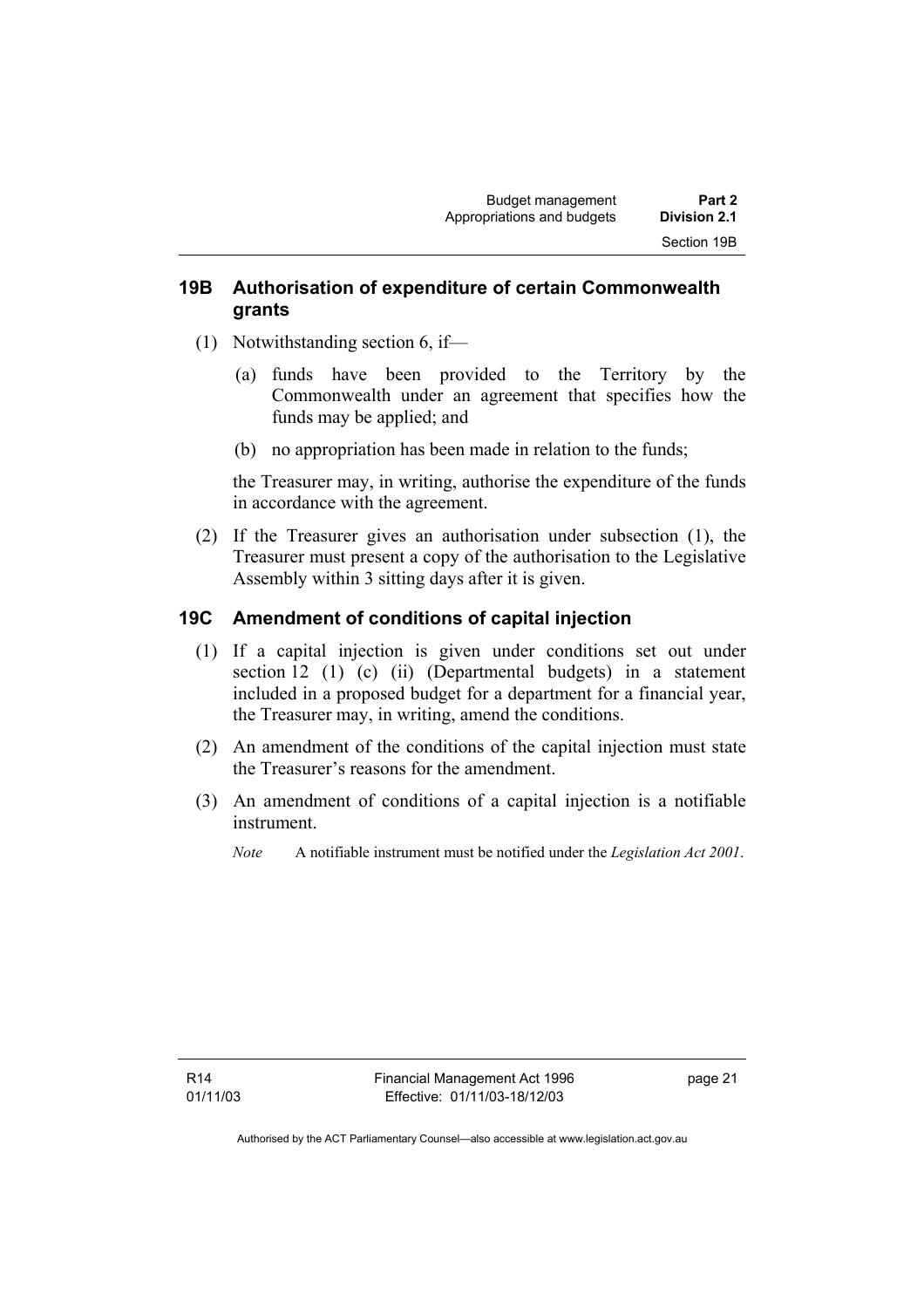#### **19B Authorisation of expenditure of certain Commonwealth grants**

- (1) Notwithstanding section 6, if—
	- (a) funds have been provided to the Territory by the Commonwealth under an agreement that specifies how the funds may be applied; and
	- (b) no appropriation has been made in relation to the funds;

the Treasurer may, in writing, authorise the expenditure of the funds in accordance with the agreement.

 (2) If the Treasurer gives an authorisation under subsection (1), the Treasurer must present a copy of the authorisation to the Legislative Assembly within 3 sitting days after it is given.

#### **19C Amendment of conditions of capital injection**

- (1) If a capital injection is given under conditions set out under section 12 (1) (c) (ii) (Departmental budgets) in a statement included in a proposed budget for a department for a financial year, the Treasurer may, in writing, amend the conditions.
- (2) An amendment of the conditions of the capital injection must state the Treasurer's reasons for the amendment.
- (3) An amendment of conditions of a capital injection is a notifiable instrument.
	- *Note* A notifiable instrument must be notified under the *Legislation Act 2001*.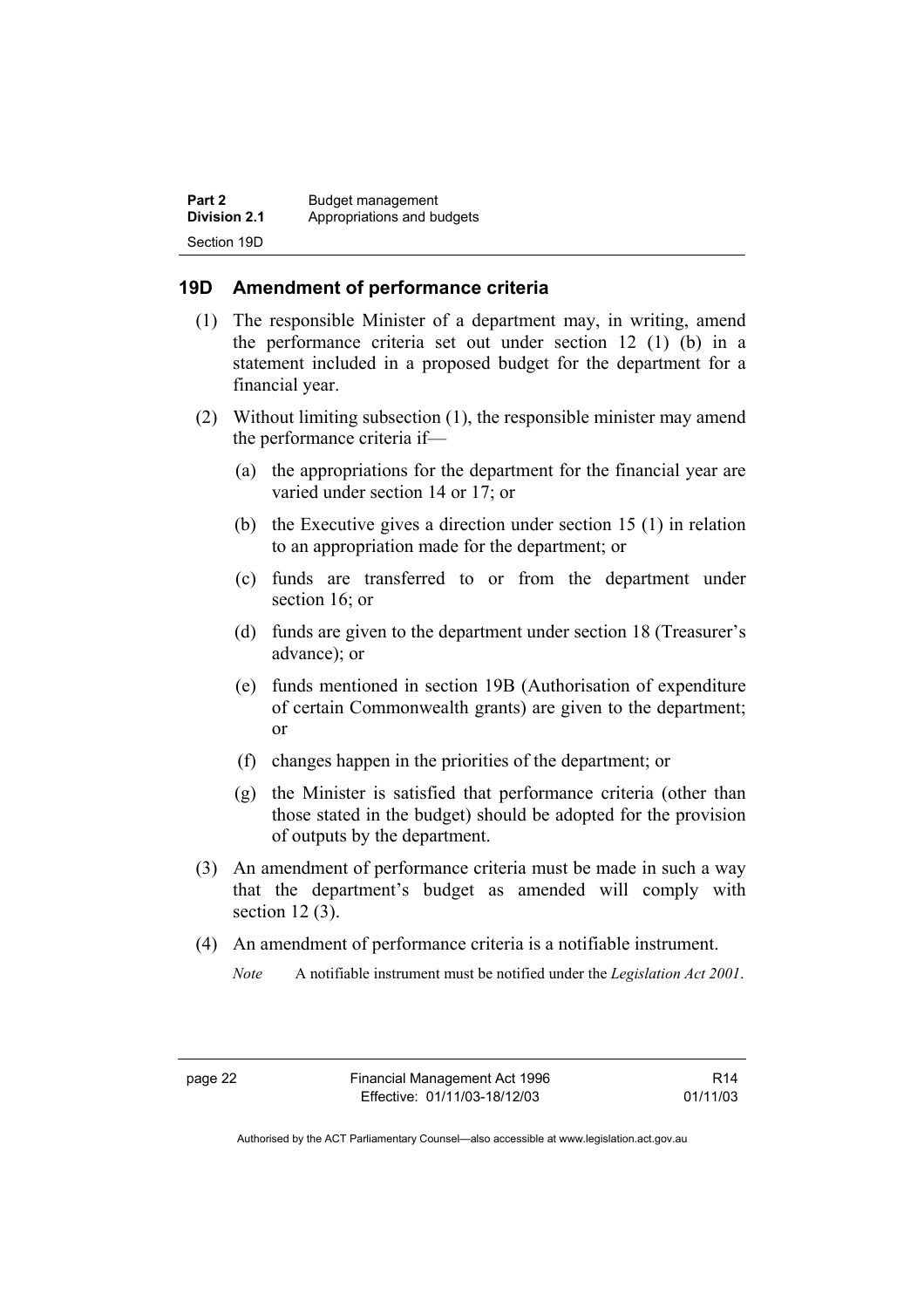| Part 2              | Budget management          |
|---------------------|----------------------------|
| <b>Division 2.1</b> | Appropriations and budgets |
| Section 19D         |                            |

#### **19D Amendment of performance criteria**

- (1) The responsible Minister of a department may, in writing, amend the performance criteria set out under section 12 (1) (b) in a statement included in a proposed budget for the department for a financial year.
- (2) Without limiting subsection (1), the responsible minister may amend the performance criteria if—
	- (a) the appropriations for the department for the financial year are varied under section 14 or 17; or
	- (b) the Executive gives a direction under section 15 (1) in relation to an appropriation made for the department; or
	- (c) funds are transferred to or from the department under section 16; or
	- (d) funds are given to the department under section 18 (Treasurer's advance); or
	- (e) funds mentioned in section 19B (Authorisation of expenditure of certain Commonwealth grants) are given to the department; or
	- (f) changes happen in the priorities of the department; or
	- (g) the Minister is satisfied that performance criteria (other than those stated in the budget) should be adopted for the provision of outputs by the department.
- (3) An amendment of performance criteria must be made in such a way that the department's budget as amended will comply with section 12 (3).
- (4) An amendment of performance criteria is a notifiable instrument.
	- *Note* A notifiable instrument must be notified under the *Legislation Act 2001*.

R14 01/11/03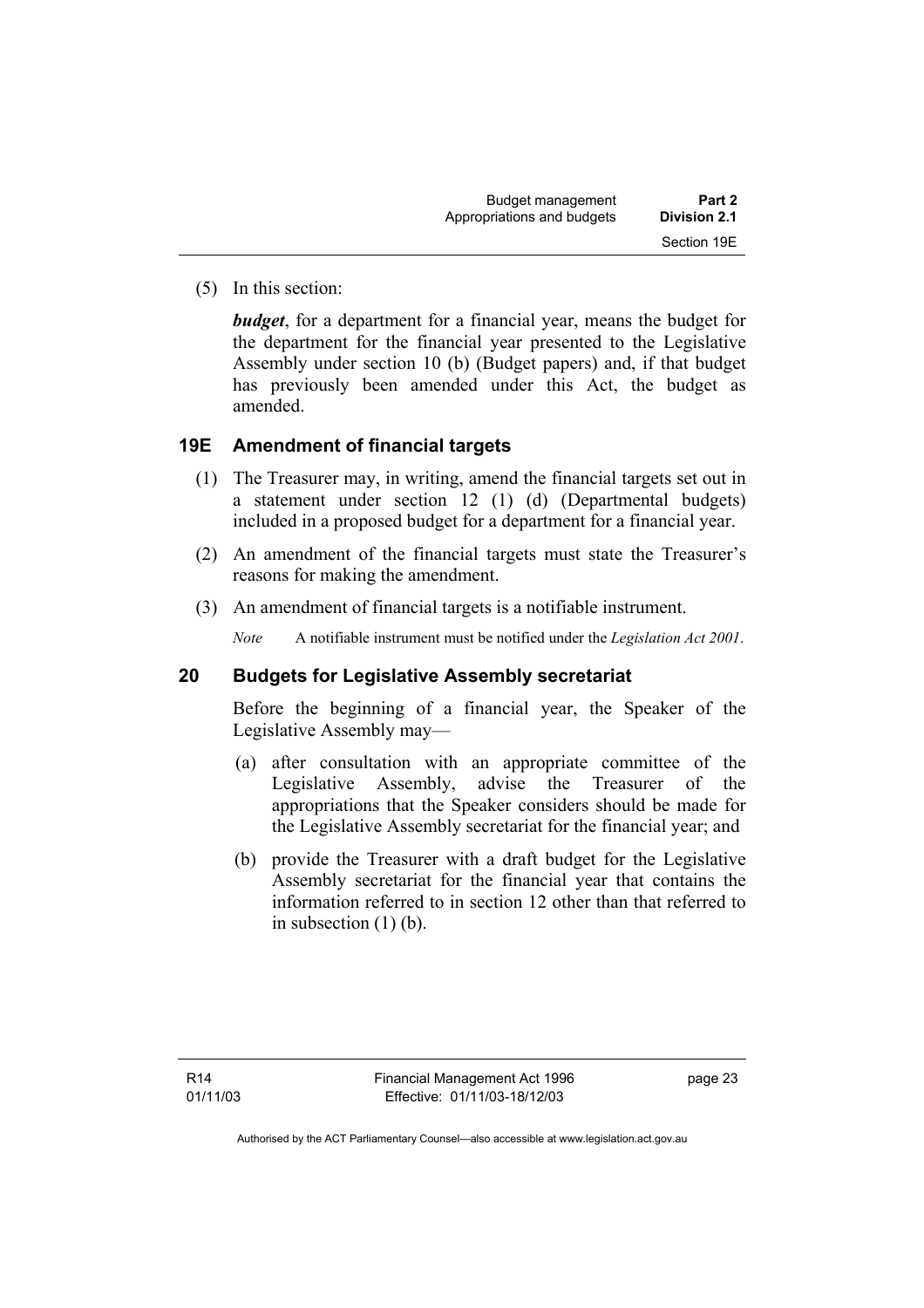| Budget management          | Part 2              |  |
|----------------------------|---------------------|--|
| Appropriations and budgets | <b>Division 2.1</b> |  |
|                            | Section 19E         |  |

(5) In this section:

*budget*, for a department for a financial year, means the budget for the department for the financial year presented to the Legislative Assembly under section 10 (b) (Budget papers) and, if that budget has previously been amended under this Act, the budget as amended.

#### **19E Amendment of financial targets**

- (1) The Treasurer may, in writing, amend the financial targets set out in a statement under section 12 (1) (d) (Departmental budgets) included in a proposed budget for a department for a financial year.
- (2) An amendment of the financial targets must state the Treasurer's reasons for making the amendment.
- (3) An amendment of financial targets is a notifiable instrument.

*Note* A notifiable instrument must be notified under the *Legislation Act 2001*.

#### **20 Budgets for Legislative Assembly secretariat**

Before the beginning of a financial year, the Speaker of the Legislative Assembly may—

- (a) after consultation with an appropriate committee of the Legislative Assembly, advise the Treasurer of the appropriations that the Speaker considers should be made for the Legislative Assembly secretariat for the financial year; and
- (b) provide the Treasurer with a draft budget for the Legislative Assembly secretariat for the financial year that contains the information referred to in section 12 other than that referred to in subsection (1) (b).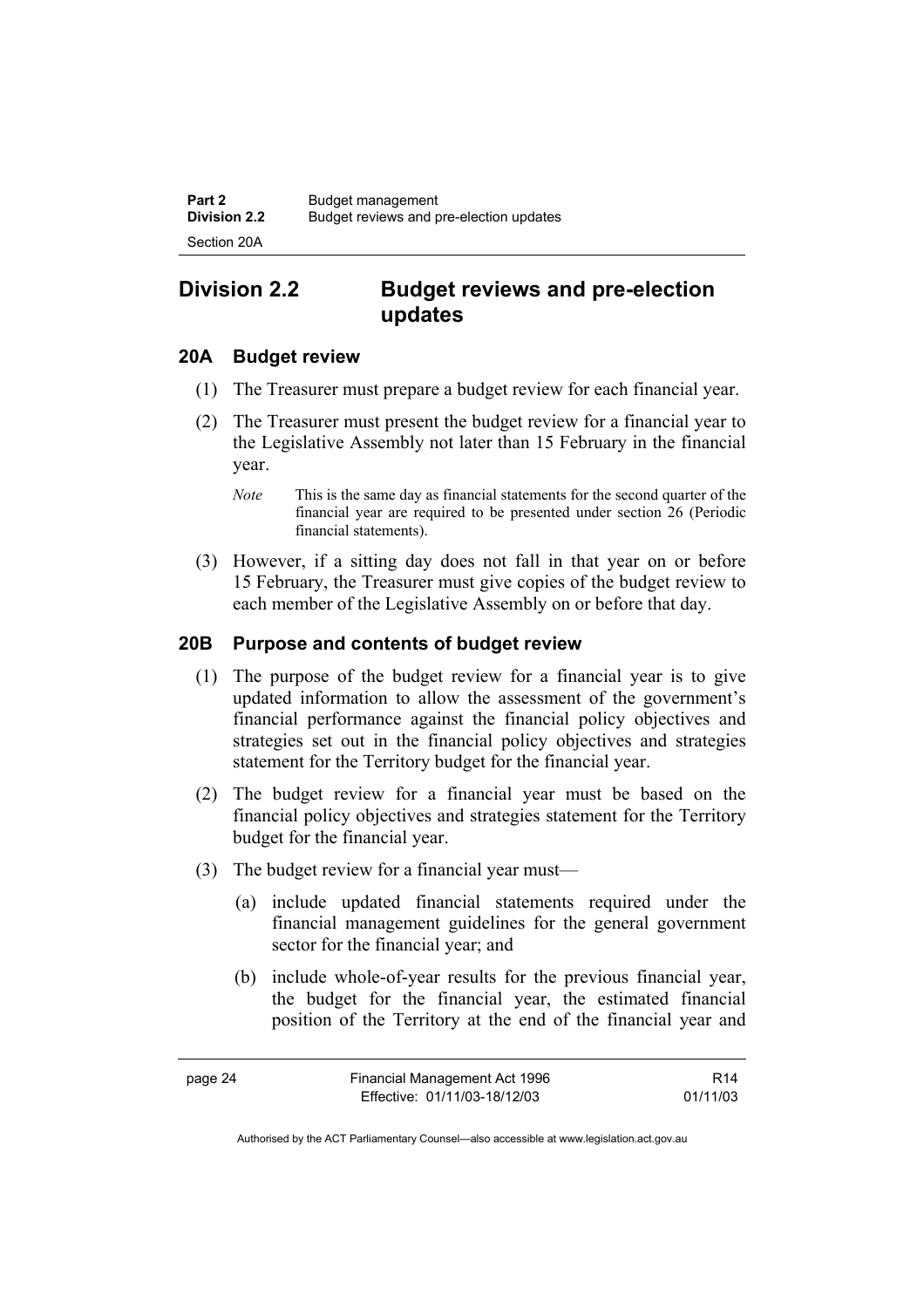# **Division 2.2 Budget reviews and pre-election updates**

#### **20A Budget review**

- (1) The Treasurer must prepare a budget review for each financial year.
- (2) The Treasurer must present the budget review for a financial year to the Legislative Assembly not later than 15 February in the financial year.
	- *Note* This is the same day as financial statements for the second quarter of the financial year are required to be presented under section 26 (Periodic financial statements).
- (3) However, if a sitting day does not fall in that year on or before 15 February, the Treasurer must give copies of the budget review to each member of the Legislative Assembly on or before that day.

#### **20B Purpose and contents of budget review**

- (1) The purpose of the budget review for a financial year is to give updated information to allow the assessment of the government's financial performance against the financial policy objectives and strategies set out in the financial policy objectives and strategies statement for the Territory budget for the financial year.
- (2) The budget review for a financial year must be based on the financial policy objectives and strategies statement for the Territory budget for the financial year.
- (3) The budget review for a financial year must—
	- (a) include updated financial statements required under the financial management guidelines for the general government sector for the financial year; and
	- (b) include whole-of-year results for the previous financial year, the budget for the financial year, the estimated financial position of the Territory at the end of the financial year and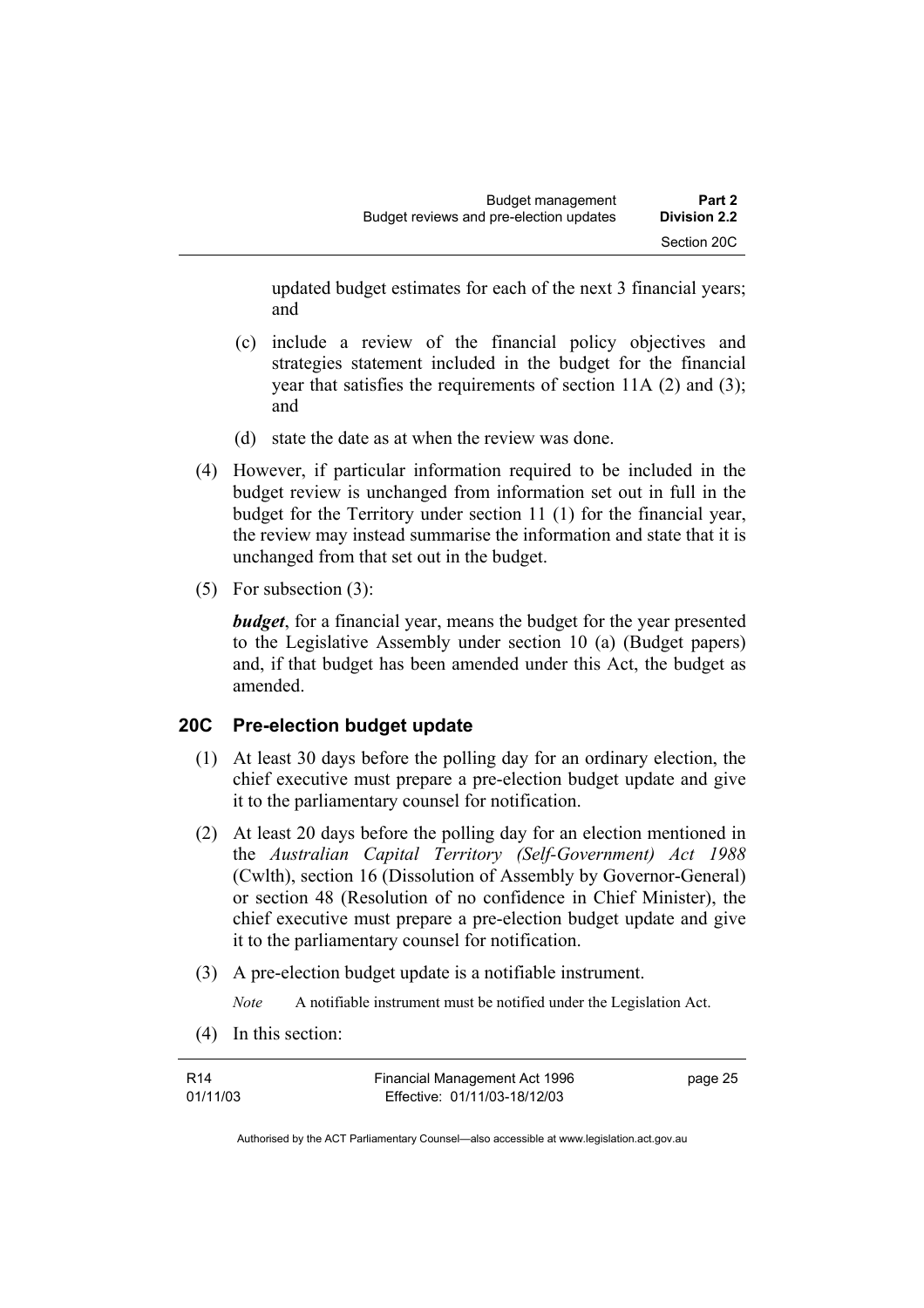updated budget estimates for each of the next 3 financial years; and

- (c) include a review of the financial policy objectives and strategies statement included in the budget for the financial year that satisfies the requirements of section 11A (2) and (3); and
- (d) state the date as at when the review was done.
- (4) However, if particular information required to be included in the budget review is unchanged from information set out in full in the budget for the Territory under section 11 (1) for the financial year, the review may instead summarise the information and state that it is unchanged from that set out in the budget.
- (5) For subsection (3):

*budget*, for a financial year, means the budget for the year presented to the Legislative Assembly under section 10 (a) (Budget papers) and, if that budget has been amended under this Act, the budget as amended.

## **20C Pre-election budget update**

- (1) At least 30 days before the polling day for an ordinary election, the chief executive must prepare a pre-election budget update and give it to the parliamentary counsel for notification.
- (2) At least 20 days before the polling day for an election mentioned in the *Australian Capital Territory (Self-Government) Act 1988* (Cwlth), section 16 (Dissolution of Assembly by Governor-General) or section 48 (Resolution of no confidence in Chief Minister), the chief executive must prepare a pre-election budget update and give it to the parliamentary counsel for notification.
- (3) A pre-election budget update is a notifiable instrument.

*Note* A notifiable instrument must be notified under the Legislation Act.

(4) In this section:

| R14      | Financial Management Act 1996 | page 25 |
|----------|-------------------------------|---------|
| 01/11/03 | Effective: 01/11/03-18/12/03  |         |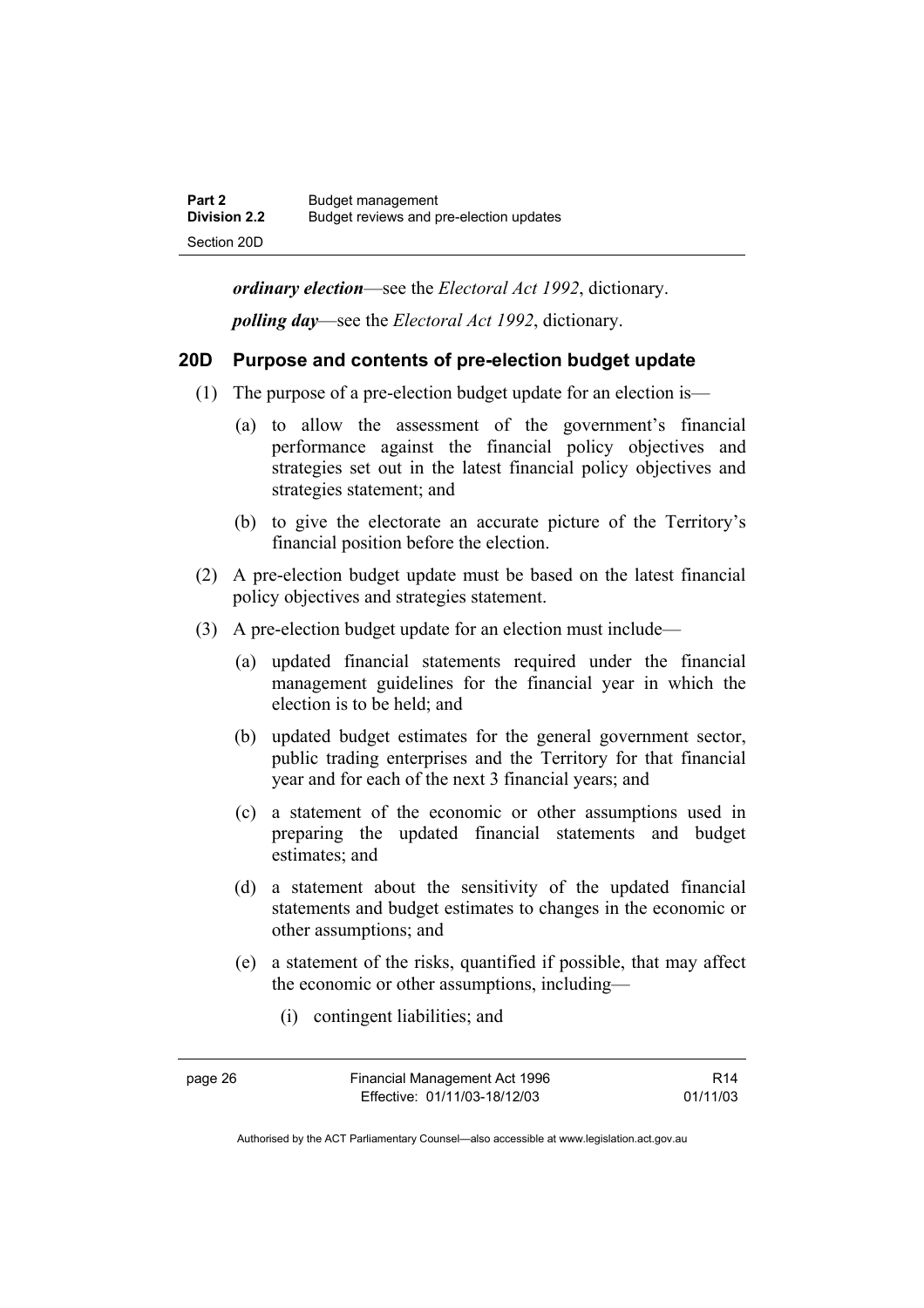*ordinary election*—see the *Electoral Act 1992*, dictionary. *polling day*—see the *Electoral Act 1992*, dictionary.

#### **20D Purpose and contents of pre-election budget update**

- (1) The purpose of a pre-election budget update for an election is—
	- (a) to allow the assessment of the government's financial performance against the financial policy objectives and strategies set out in the latest financial policy objectives and strategies statement; and
	- (b) to give the electorate an accurate picture of the Territory's financial position before the election.
- (2) A pre-election budget update must be based on the latest financial policy objectives and strategies statement.
- (3) A pre-election budget update for an election must include—
	- (a) updated financial statements required under the financial management guidelines for the financial year in which the election is to be held; and
	- (b) updated budget estimates for the general government sector, public trading enterprises and the Territory for that financial year and for each of the next 3 financial years; and
	- (c) a statement of the economic or other assumptions used in preparing the updated financial statements and budget estimates; and
	- (d) a statement about the sensitivity of the updated financial statements and budget estimates to changes in the economic or other assumptions; and
	- (e) a statement of the risks, quantified if possible, that may affect the economic or other assumptions, including—
		- (i) contingent liabilities; and

R14 01/11/03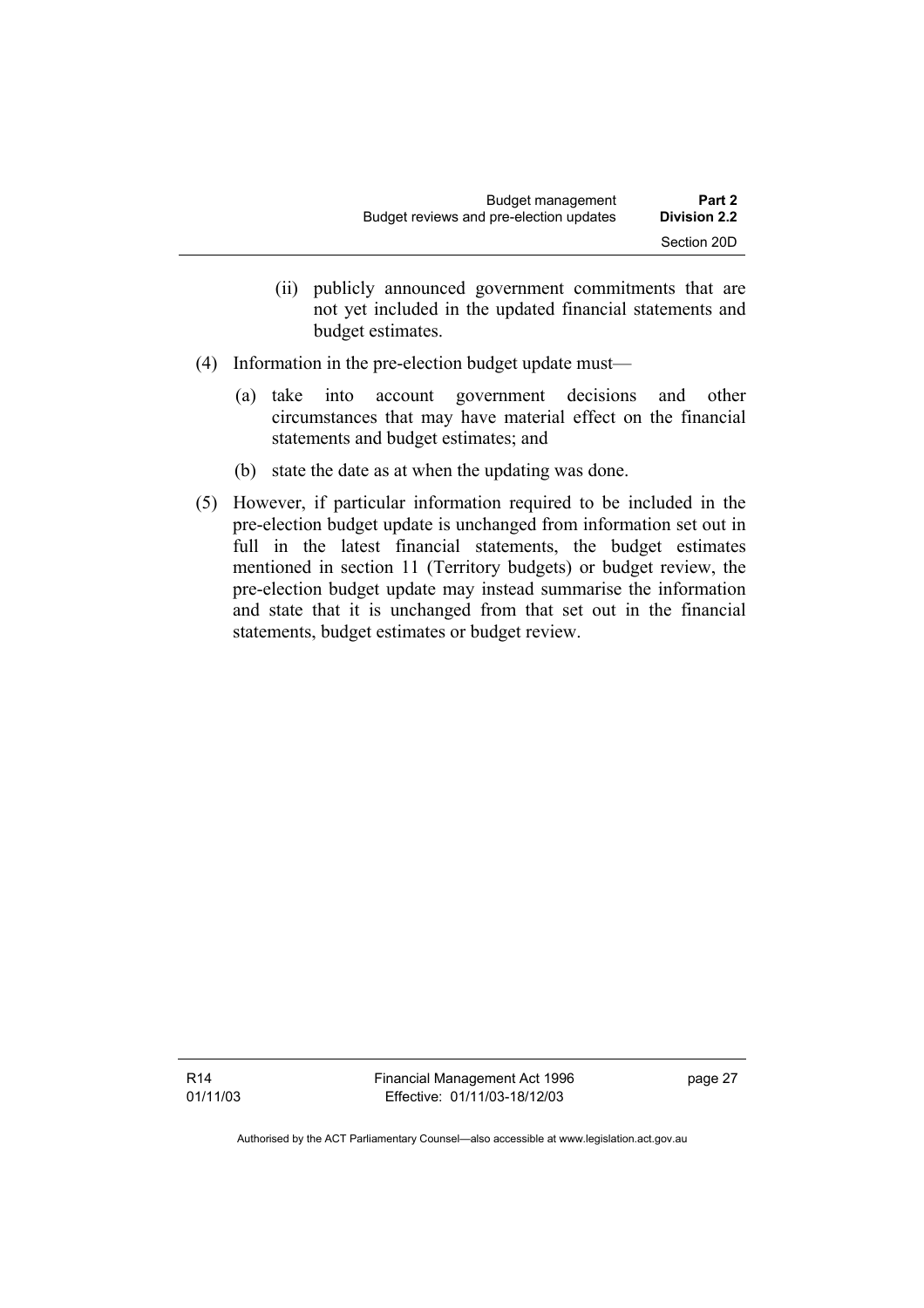- (ii) publicly announced government commitments that are not yet included in the updated financial statements and budget estimates.
- (4) Information in the pre-election budget update must—
	- (a) take into account government decisions and other circumstances that may have material effect on the financial statements and budget estimates; and
	- (b) state the date as at when the updating was done.
- (5) However, if particular information required to be included in the pre-election budget update is unchanged from information set out in full in the latest financial statements, the budget estimates mentioned in section 11 (Territory budgets) or budget review, the pre-election budget update may instead summarise the information and state that it is unchanged from that set out in the financial statements, budget estimates or budget review.

Financial Management Act 1996 Effective: 01/11/03-18/12/03

page 27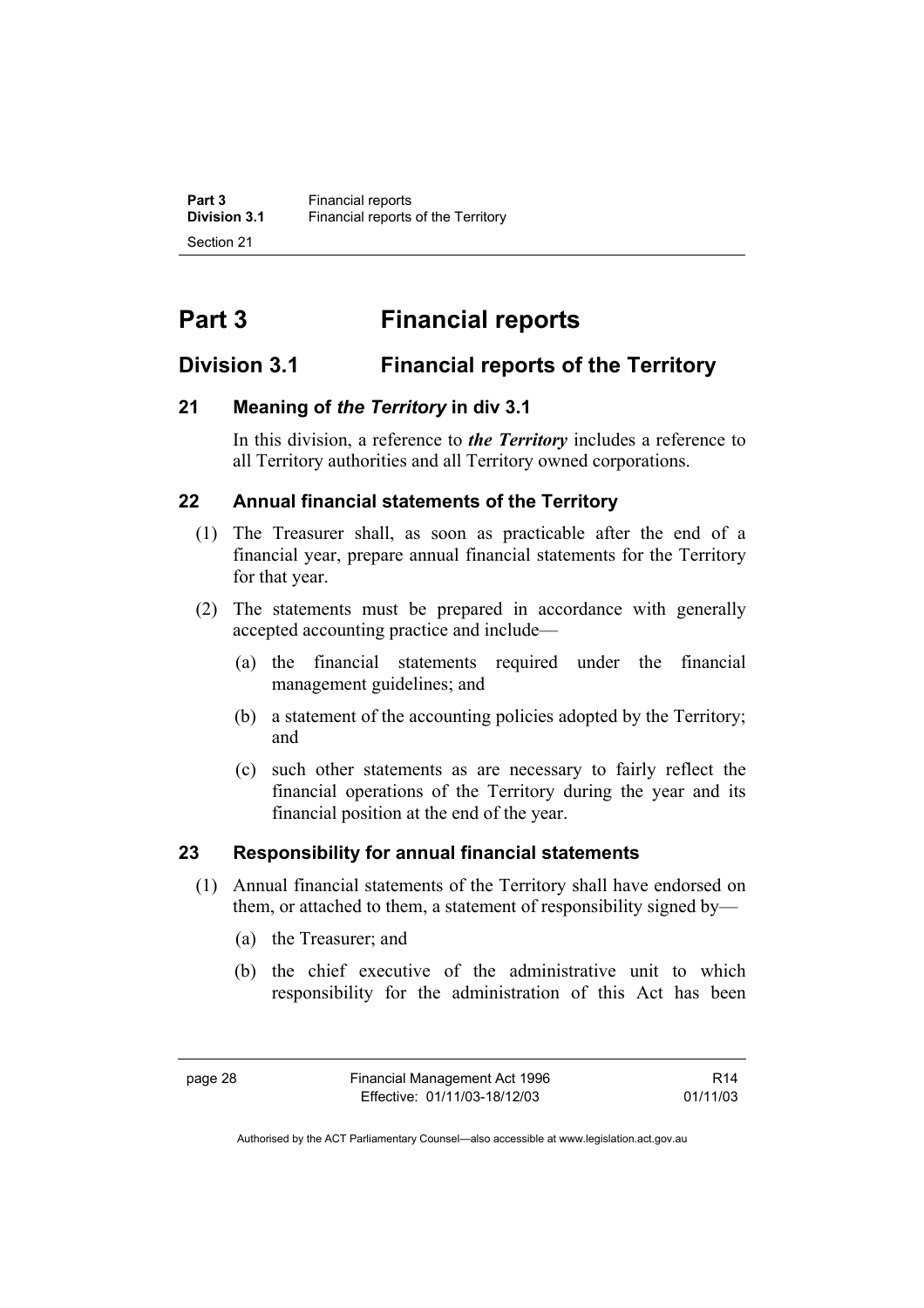# **Part 3 Financial reports**

## **Division 3.1 Financial reports of the Territory**

## **21 Meaning of** *the Territory* **in div 3.1**

In this division, a reference to *the Territory* includes a reference to all Territory authorities and all Territory owned corporations.

## **22 Annual financial statements of the Territory**

- (1) The Treasurer shall, as soon as practicable after the end of a financial year, prepare annual financial statements for the Territory for that year.
- (2) The statements must be prepared in accordance with generally accepted accounting practice and include—
	- (a) the financial statements required under the financial management guidelines; and
	- (b) a statement of the accounting policies adopted by the Territory; and
	- (c) such other statements as are necessary to fairly reflect the financial operations of the Territory during the year and its financial position at the end of the year.

## **23 Responsibility for annual financial statements**

- (1) Annual financial statements of the Territory shall have endorsed on them, or attached to them, a statement of responsibility signed by—
	- (a) the Treasurer; and
	- (b) the chief executive of the administrative unit to which responsibility for the administration of this Act has been

R14 01/11/03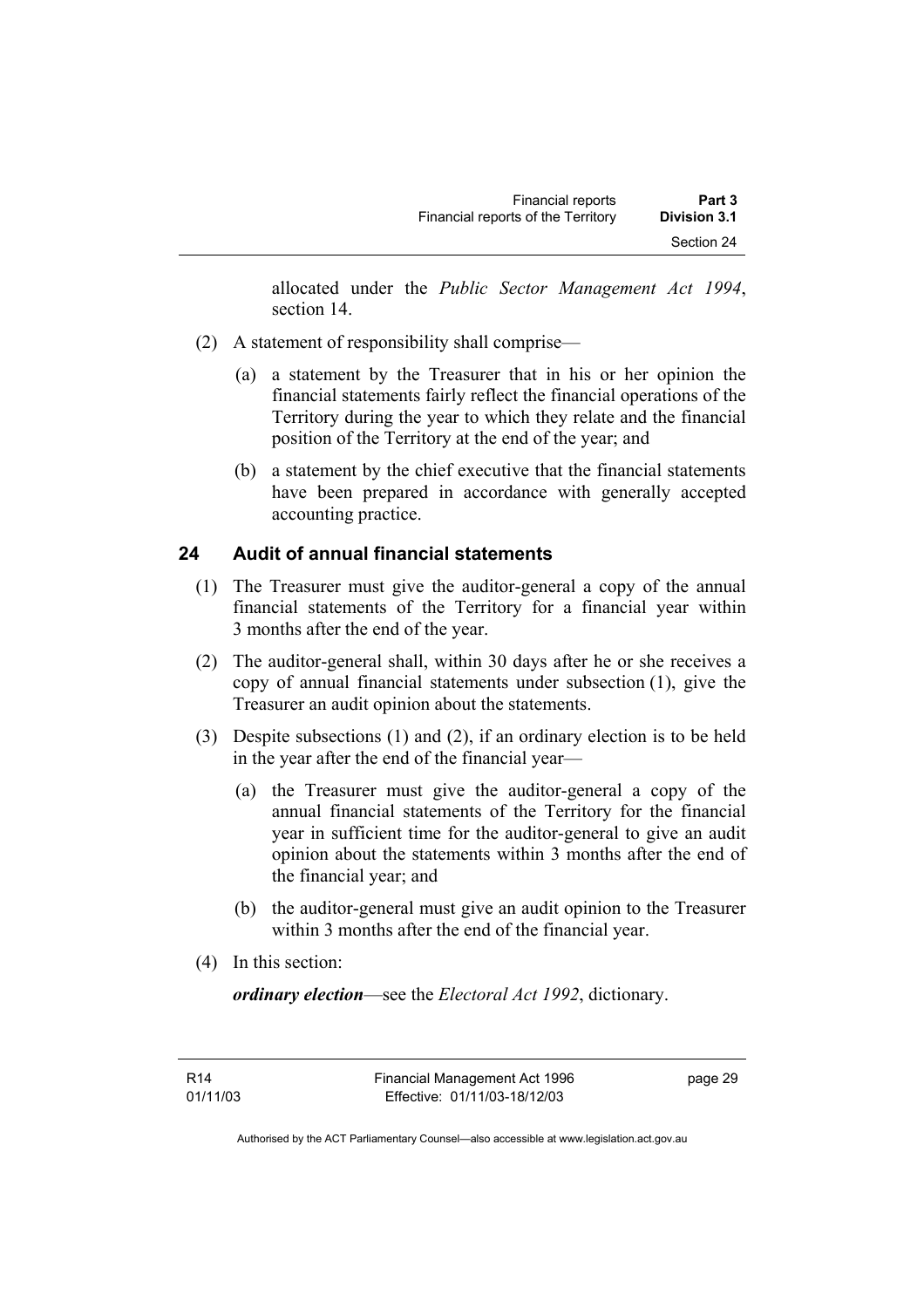allocated under the *Public Sector Management Act 1994*, section 14.

- (2) A statement of responsibility shall comprise—
	- (a) a statement by the Treasurer that in his or her opinion the financial statements fairly reflect the financial operations of the Territory during the year to which they relate and the financial position of the Territory at the end of the year; and
	- (b) a statement by the chief executive that the financial statements have been prepared in accordance with generally accepted accounting practice.

# **24 Audit of annual financial statements**

- (1) The Treasurer must give the auditor-general a copy of the annual financial statements of the Territory for a financial year within 3 months after the end of the year.
- (2) The auditor-general shall, within 30 days after he or she receives a copy of annual financial statements under subsection (1), give the Treasurer an audit opinion about the statements.
- (3) Despite subsections (1) and (2), if an ordinary election is to be held in the year after the end of the financial year—
	- (a) the Treasurer must give the auditor-general a copy of the annual financial statements of the Territory for the financial year in sufficient time for the auditor-general to give an audit opinion about the statements within 3 months after the end of the financial year; and
	- (b) the auditor-general must give an audit opinion to the Treasurer within 3 months after the end of the financial year.
- (4) In this section:

*ordinary election*—see the *Electoral Act 1992*, dictionary.

page 29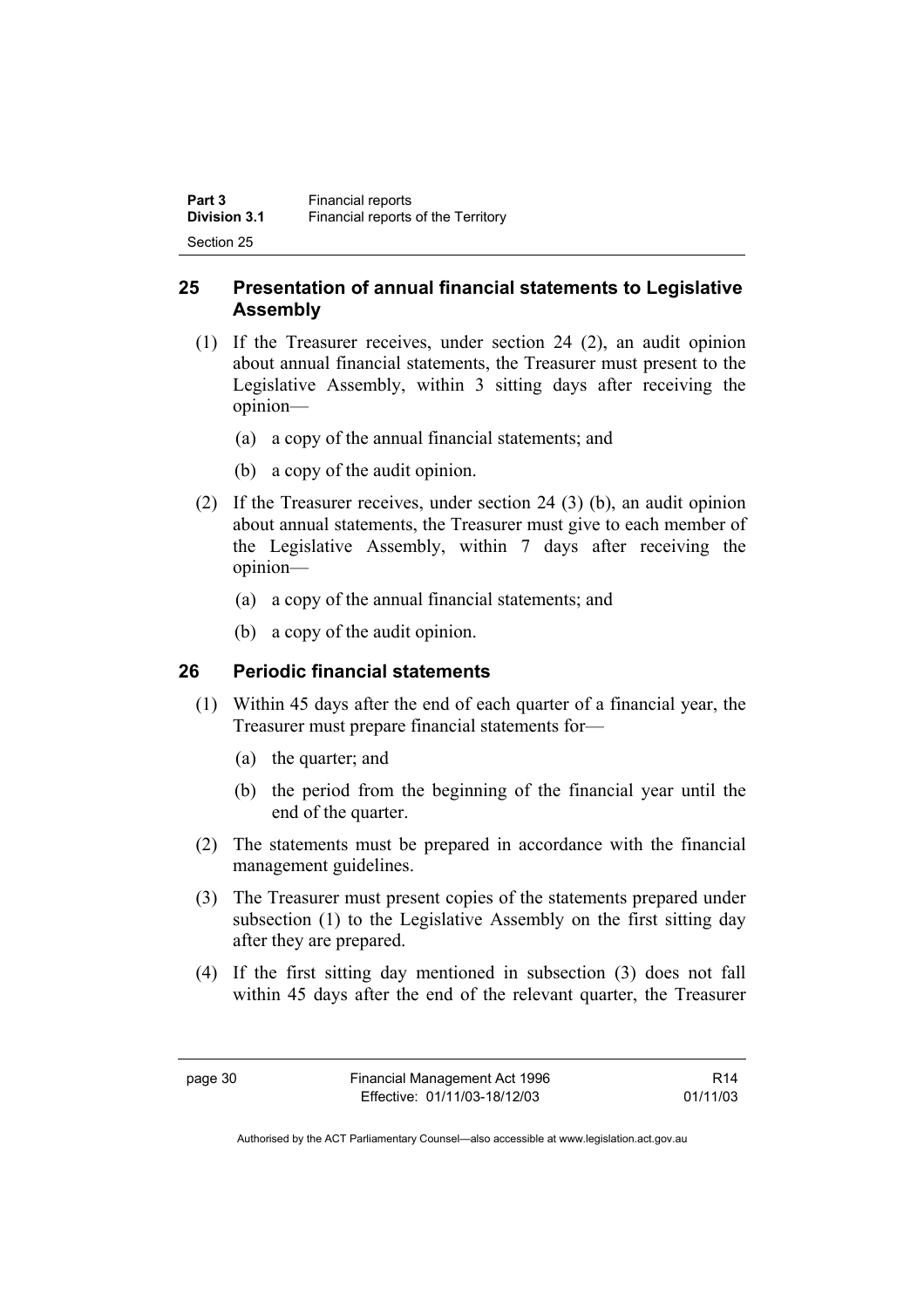| Part 3              | Financial reports                  |
|---------------------|------------------------------------|
| <b>Division 3.1</b> | Financial reports of the Territory |
| Section 25          |                                    |

# **25 Presentation of annual financial statements to Legislative Assembly**

- (1) If the Treasurer receives, under section 24 (2), an audit opinion about annual financial statements, the Treasurer must present to the Legislative Assembly, within 3 sitting days after receiving the opinion—
	- (a) a copy of the annual financial statements; and
	- (b) a copy of the audit opinion.
- (2) If the Treasurer receives, under section 24 (3) (b), an audit opinion about annual statements, the Treasurer must give to each member of the Legislative Assembly, within 7 days after receiving the opinion—
	- (a) a copy of the annual financial statements; and
	- (b) a copy of the audit opinion.

# **26 Periodic financial statements**

- (1) Within 45 days after the end of each quarter of a financial year, the Treasurer must prepare financial statements for—
	- (a) the quarter; and
	- (b) the period from the beginning of the financial year until the end of the quarter.
- (2) The statements must be prepared in accordance with the financial management guidelines.
- (3) The Treasurer must present copies of the statements prepared under subsection (1) to the Legislative Assembly on the first sitting day after they are prepared.
- (4) If the first sitting day mentioned in subsection (3) does not fall within 45 days after the end of the relevant quarter, the Treasurer

R14 01/11/03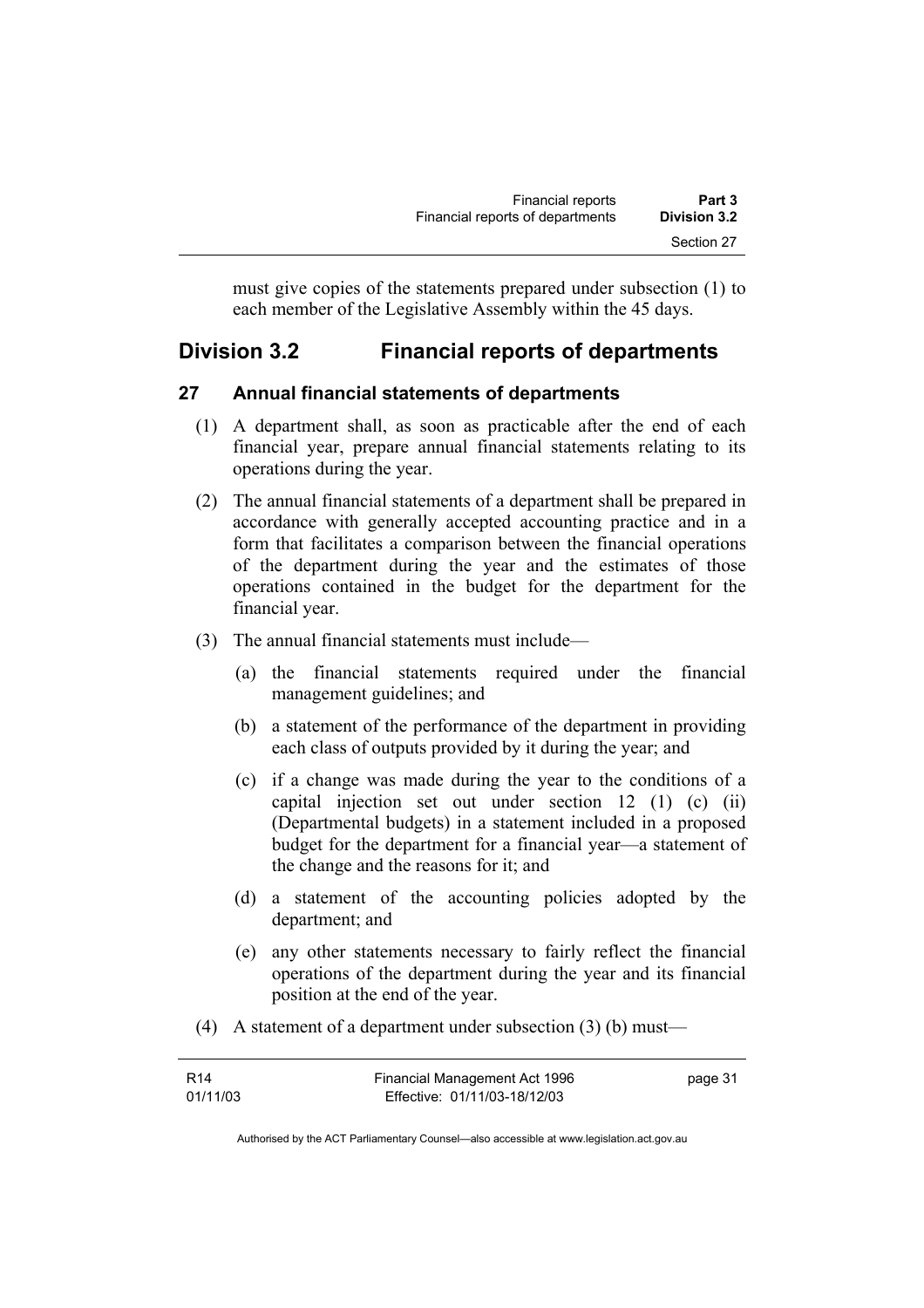must give copies of the statements prepared under subsection (1) to each member of the Legislative Assembly within the 45 days.

# **Division 3.2 Financial reports of departments**

# **27 Annual financial statements of departments**

- (1) A department shall, as soon as practicable after the end of each financial year, prepare annual financial statements relating to its operations during the year.
- (2) The annual financial statements of a department shall be prepared in accordance with generally accepted accounting practice and in a form that facilitates a comparison between the financial operations of the department during the year and the estimates of those operations contained in the budget for the department for the financial year.
- (3) The annual financial statements must include—
	- (a) the financial statements required under the financial management guidelines; and
	- (b) a statement of the performance of the department in providing each class of outputs provided by it during the year; and
	- (c) if a change was made during the year to the conditions of a capital injection set out under section 12 (1) (c) (ii) (Departmental budgets) in a statement included in a proposed budget for the department for a financial year—a statement of the change and the reasons for it; and
	- (d) a statement of the accounting policies adopted by the department; and
	- (e) any other statements necessary to fairly reflect the financial operations of the department during the year and its financial position at the end of the year.
- (4) A statement of a department under subsection (3) (b) must—

| R14      | Financial Management Act 1996 | page 31 |
|----------|-------------------------------|---------|
| 01/11/03 | Effective: 01/11/03-18/12/03  |         |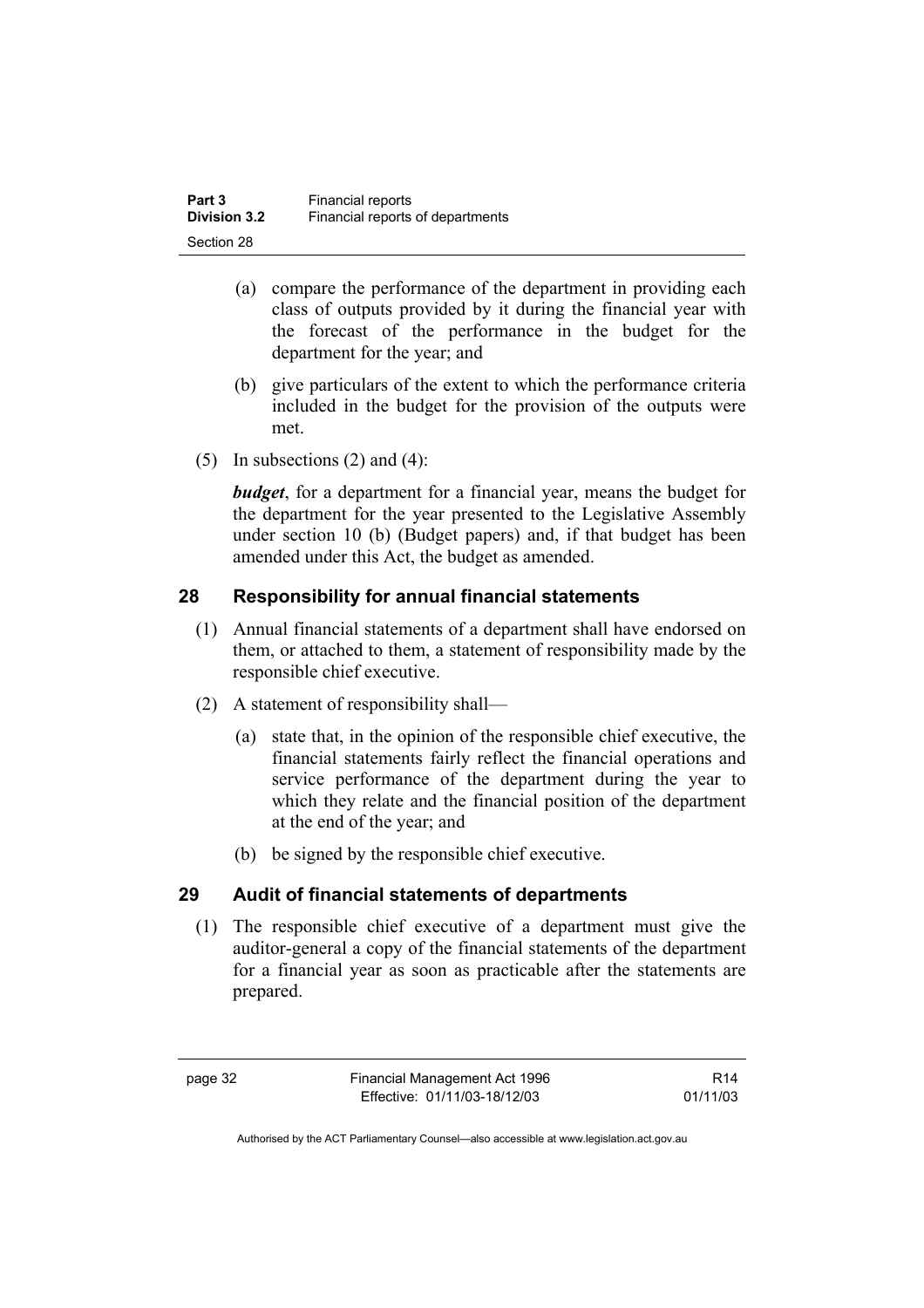| Part 3              | <b>Financial reports</b>         |
|---------------------|----------------------------------|
| <b>Division 3.2</b> | Financial reports of departments |
| Section 28          |                                  |

- (a) compare the performance of the department in providing each class of outputs provided by it during the financial year with the forecast of the performance in the budget for the department for the year; and
- (b) give particulars of the extent to which the performance criteria included in the budget for the provision of the outputs were met.
- (5) In subsections  $(2)$  and  $(4)$ :

*budget*, for a department for a financial year, means the budget for the department for the year presented to the Legislative Assembly under section 10 (b) (Budget papers) and, if that budget has been amended under this Act, the budget as amended.

# **28 Responsibility for annual financial statements**

- (1) Annual financial statements of a department shall have endorsed on them, or attached to them, a statement of responsibility made by the responsible chief executive.
- (2) A statement of responsibility shall—
	- (a) state that, in the opinion of the responsible chief executive, the financial statements fairly reflect the financial operations and service performance of the department during the year to which they relate and the financial position of the department at the end of the year; and
	- (b) be signed by the responsible chief executive.

# **29 Audit of financial statements of departments**

 (1) The responsible chief executive of a department must give the auditor-general a copy of the financial statements of the department for a financial year as soon as practicable after the statements are prepared.

page 32 Financial Management Act 1996 Effective: 01/11/03-18/12/03

R14 01/11/03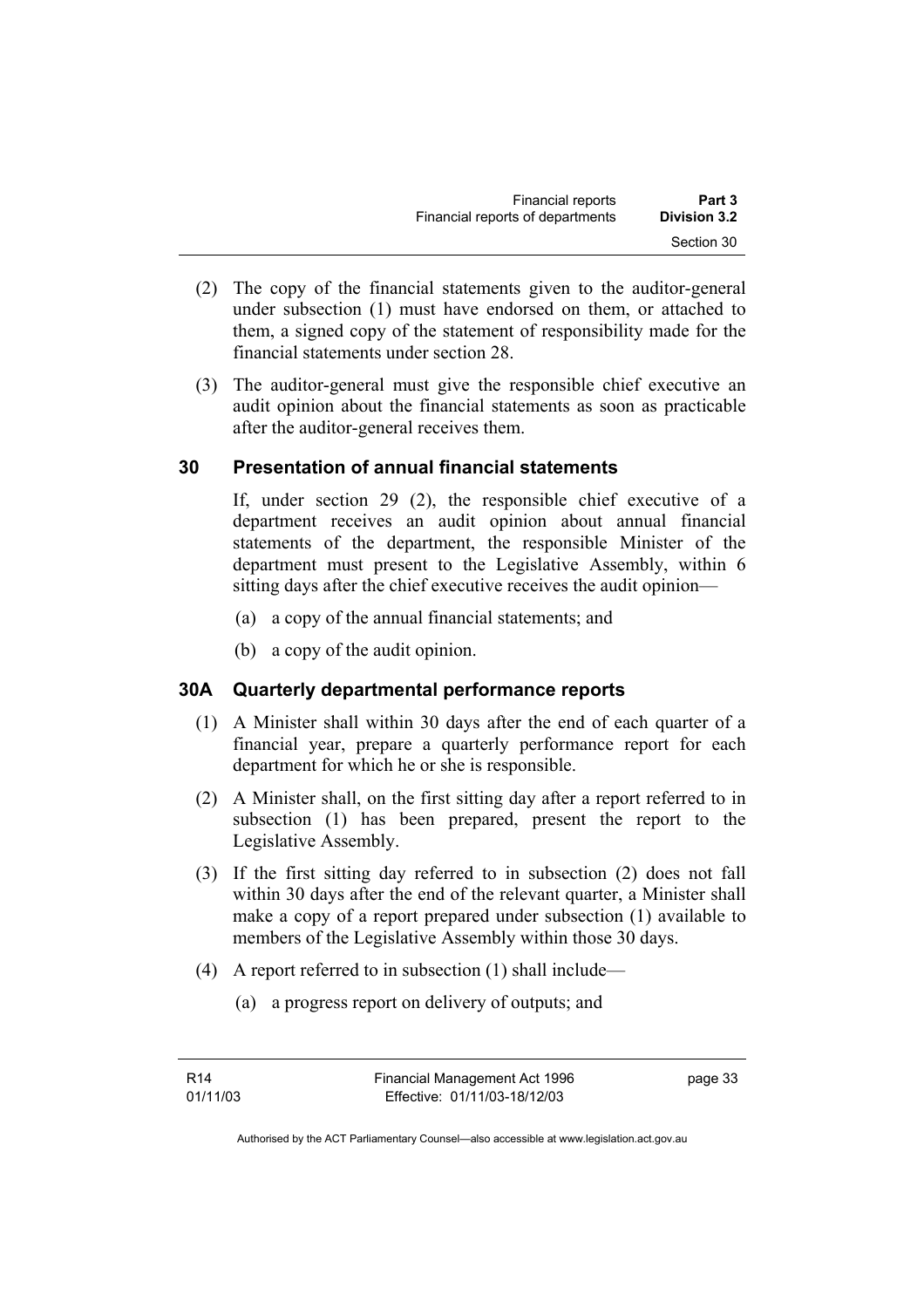| <b>Financial reports</b>         | Part 3       |
|----------------------------------|--------------|
| Financial reports of departments | Division 3.2 |
|                                  | Section 30   |

- (2) The copy of the financial statements given to the auditor-general under subsection (1) must have endorsed on them, or attached to them, a signed copy of the statement of responsibility made for the financial statements under section 28.
- (3) The auditor-general must give the responsible chief executive an audit opinion about the financial statements as soon as practicable after the auditor-general receives them.

# **30 Presentation of annual financial statements**

If, under section 29 (2), the responsible chief executive of a department receives an audit opinion about annual financial statements of the department, the responsible Minister of the department must present to the Legislative Assembly, within 6 sitting days after the chief executive receives the audit opinion—

- (a) a copy of the annual financial statements; and
- (b) a copy of the audit opinion.

### **30A Quarterly departmental performance reports**

- (1) A Minister shall within 30 days after the end of each quarter of a financial year, prepare a quarterly performance report for each department for which he or she is responsible.
- (2) A Minister shall, on the first sitting day after a report referred to in subsection (1) has been prepared, present the report to the Legislative Assembly.
- (3) If the first sitting day referred to in subsection (2) does not fall within 30 days after the end of the relevant quarter, a Minister shall make a copy of a report prepared under subsection (1) available to members of the Legislative Assembly within those 30 days.
- (4) A report referred to in subsection (1) shall include—
	- (a) a progress report on delivery of outputs; and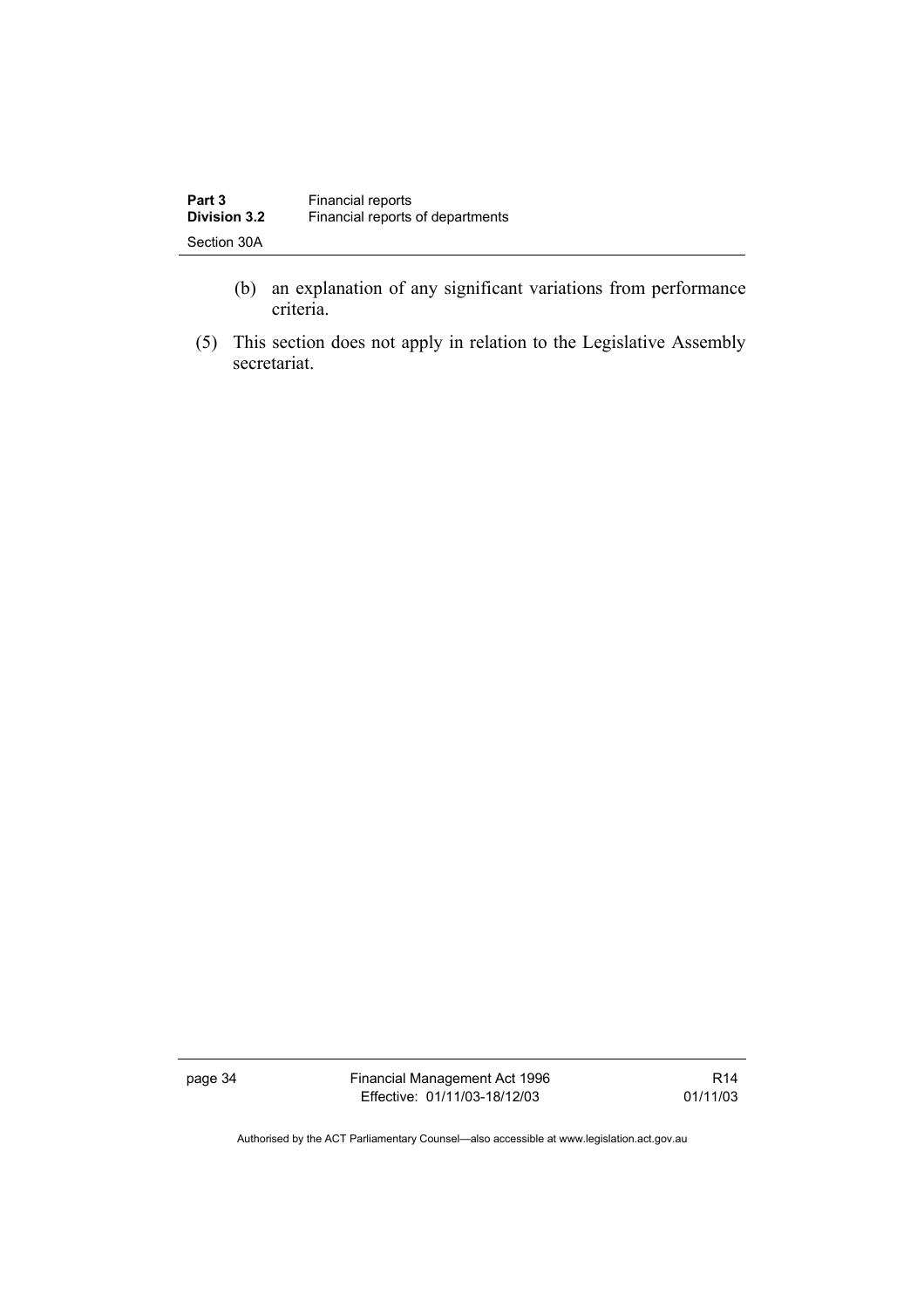| Part 3              | <b>Financial reports</b>         |
|---------------------|----------------------------------|
| <b>Division 3.2</b> | Financial reports of departments |
| Section 30A         |                                  |

- (b) an explanation of any significant variations from performance criteria.
- (5) This section does not apply in relation to the Legislative Assembly secretariat.

page 34 Financial Management Act 1996 Effective: 01/11/03-18/12/03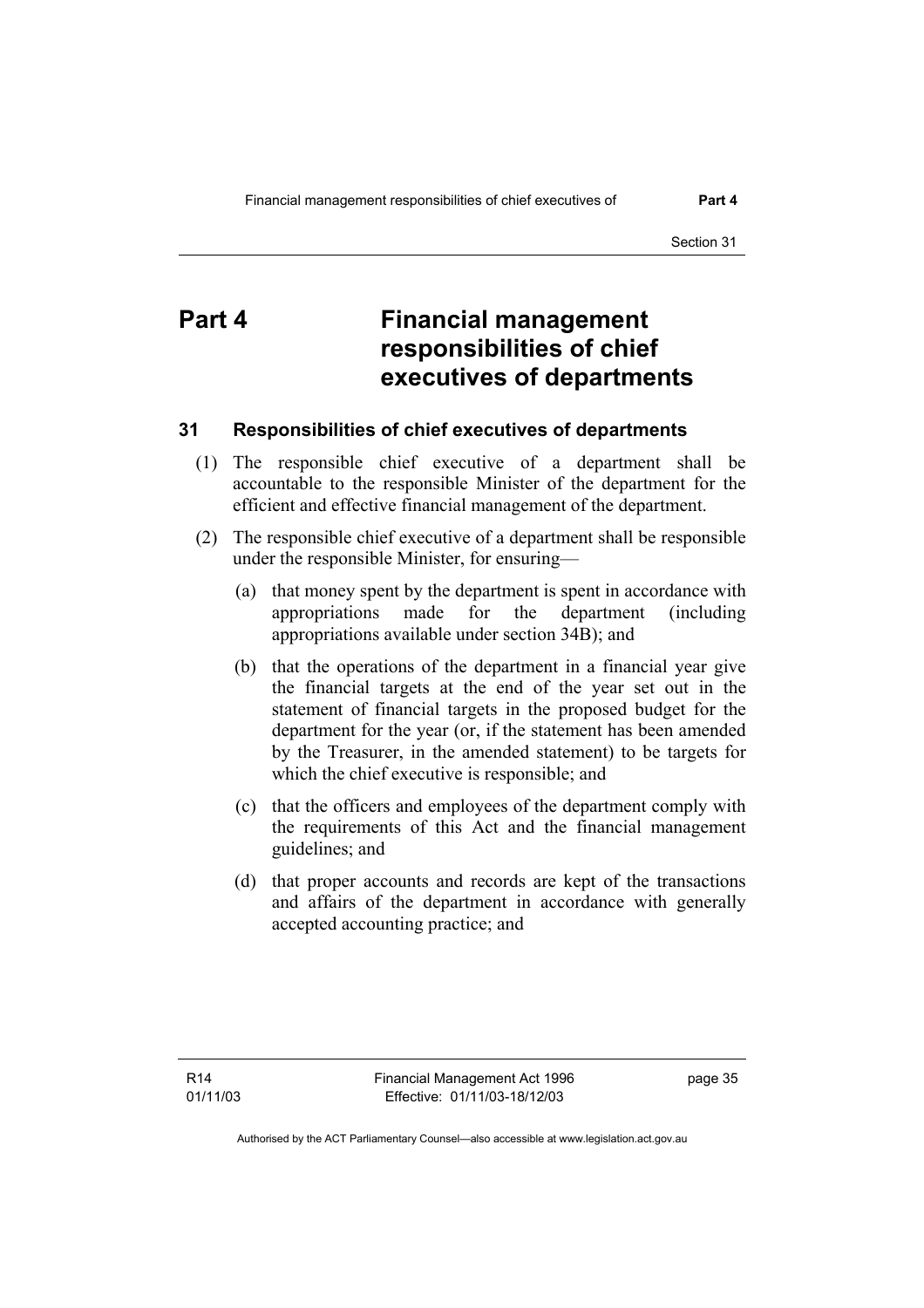# **Part 4 Financial management responsibilities of chief executives of departments**

#### **31 Responsibilities of chief executives of departments**

- (1) The responsible chief executive of a department shall be accountable to the responsible Minister of the department for the efficient and effective financial management of the department.
- (2) The responsible chief executive of a department shall be responsible under the responsible Minister, for ensuring—
	- (a) that money spent by the department is spent in accordance with appropriations made for the department (including appropriations available under section 34B); and
	- (b) that the operations of the department in a financial year give the financial targets at the end of the year set out in the statement of financial targets in the proposed budget for the department for the year (or, if the statement has been amended by the Treasurer, in the amended statement) to be targets for which the chief executive is responsible; and
	- (c) that the officers and employees of the department comply with the requirements of this Act and the financial management guidelines; and
	- (d) that proper accounts and records are kept of the transactions and affairs of the department in accordance with generally accepted accounting practice; and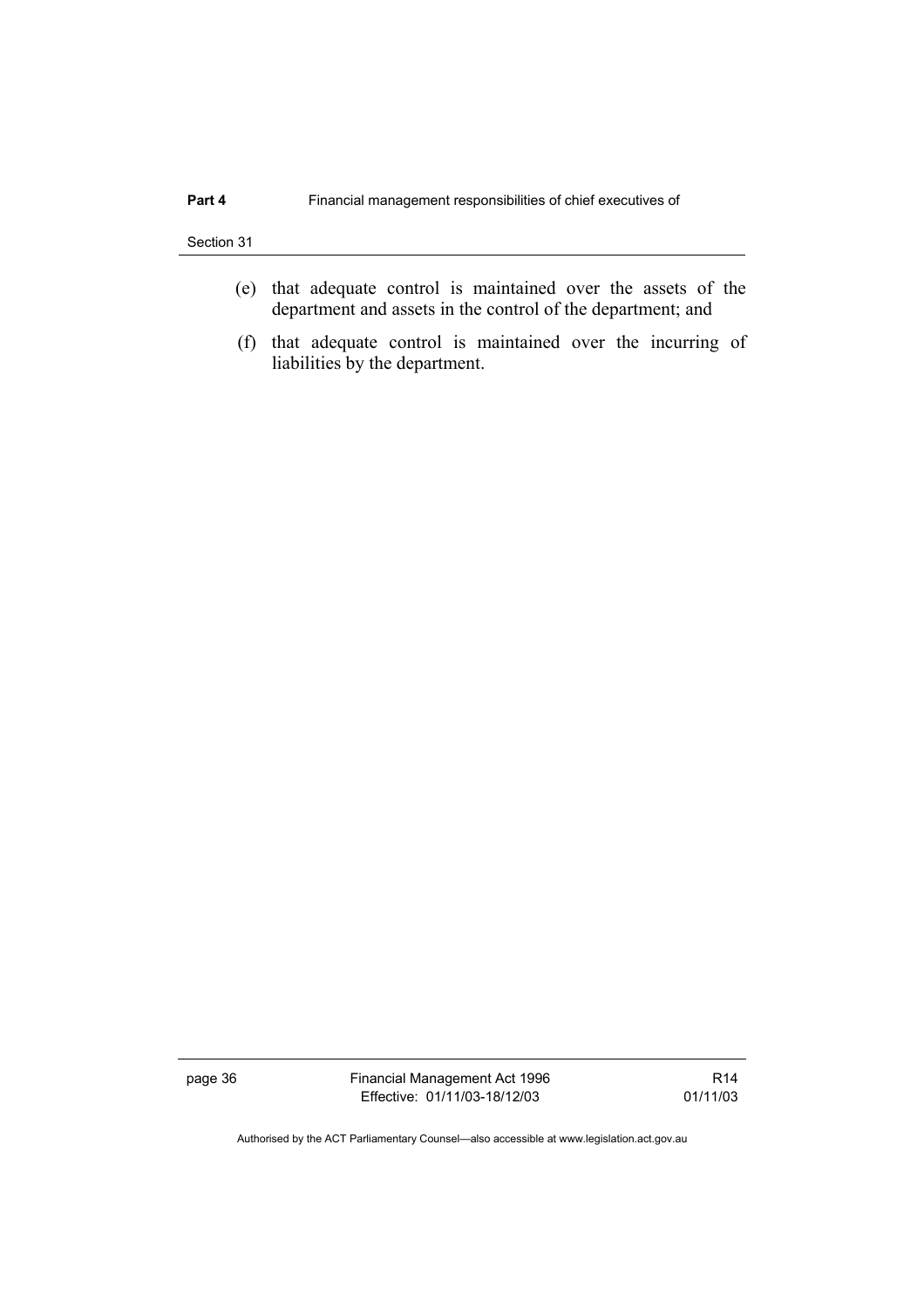- (e) that adequate control is maintained over the assets of the department and assets in the control of the department; and
- (f) that adequate control is maintained over the incurring of liabilities by the department.

page 36 Financial Management Act 1996 Effective: 01/11/03-18/12/03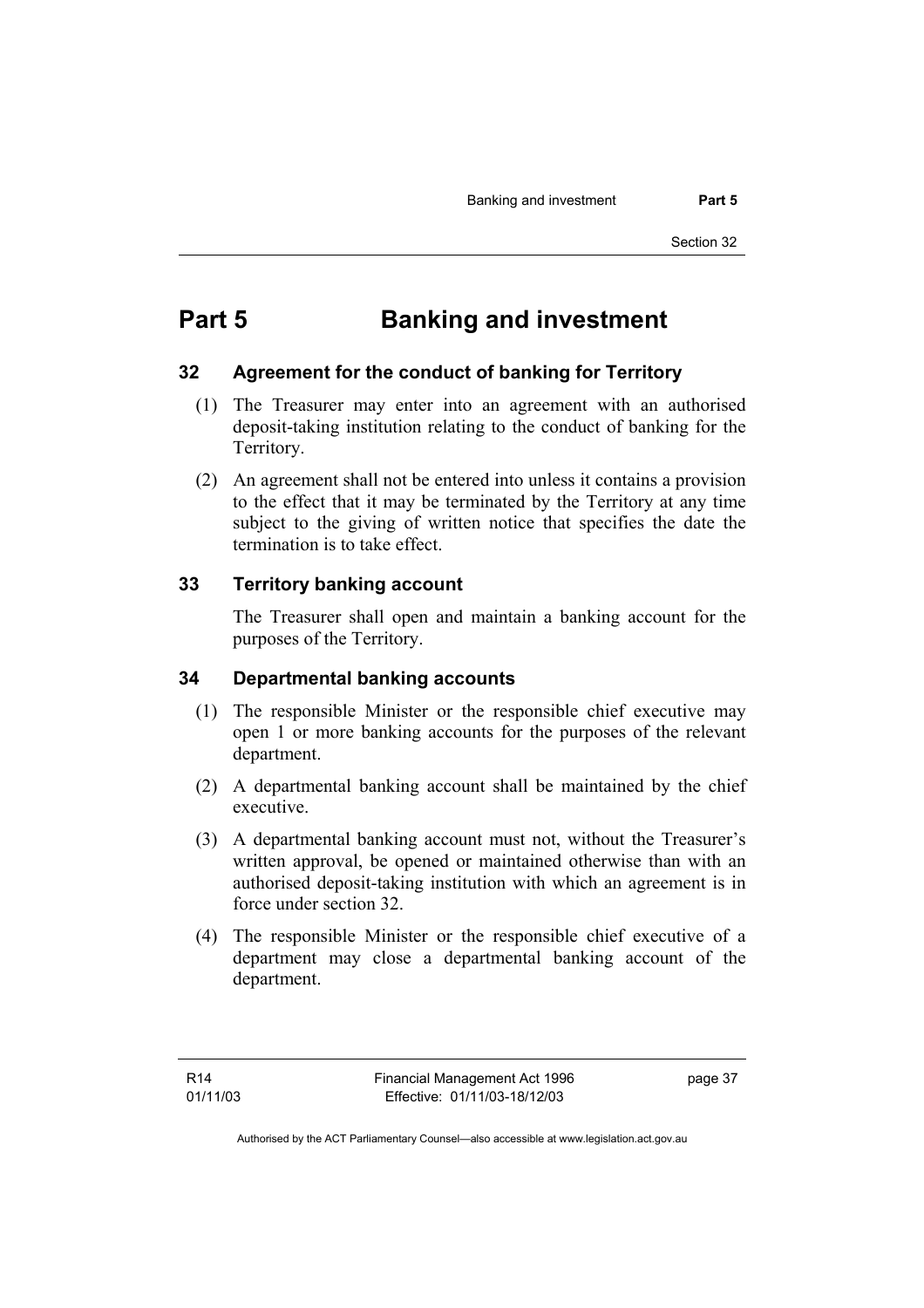# **Part 5 Banking and investment**

#### **32 Agreement for the conduct of banking for Territory**

- (1) The Treasurer may enter into an agreement with an authorised deposit-taking institution relating to the conduct of banking for the Territory.
- (2) An agreement shall not be entered into unless it contains a provision to the effect that it may be terminated by the Territory at any time subject to the giving of written notice that specifies the date the termination is to take effect.

### **33 Territory banking account**

The Treasurer shall open and maintain a banking account for the purposes of the Territory.

#### **34 Departmental banking accounts**

- (1) The responsible Minister or the responsible chief executive may open 1 or more banking accounts for the purposes of the relevant department.
- (2) A departmental banking account shall be maintained by the chief executive.
- (3) A departmental banking account must not, without the Treasurer's written approval, be opened or maintained otherwise than with an authorised deposit-taking institution with which an agreement is in force under section 32.
- (4) The responsible Minister or the responsible chief executive of a department may close a departmental banking account of the department.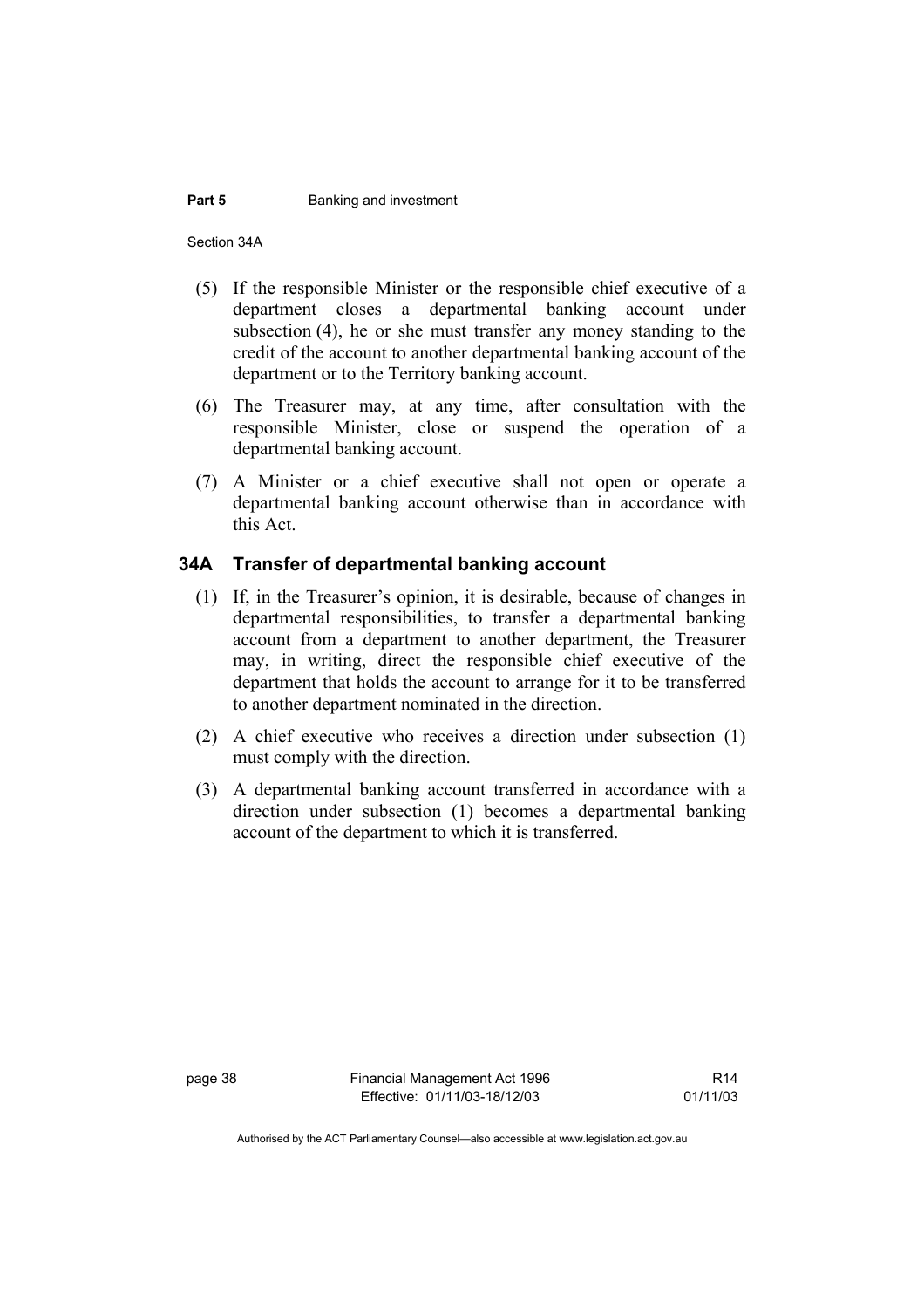#### **Part 5 Banking and investment**

Section 34A

- (5) If the responsible Minister or the responsible chief executive of a department closes a departmental banking account under subsection (4), he or she must transfer any money standing to the credit of the account to another departmental banking account of the department or to the Territory banking account.
- (6) The Treasurer may, at any time, after consultation with the responsible Minister, close or suspend the operation of a departmental banking account.
- (7) A Minister or a chief executive shall not open or operate a departmental banking account otherwise than in accordance with this Act.

### **34A Transfer of departmental banking account**

- (1) If, in the Treasurer's opinion, it is desirable, because of changes in departmental responsibilities, to transfer a departmental banking account from a department to another department, the Treasurer may, in writing, direct the responsible chief executive of the department that holds the account to arrange for it to be transferred to another department nominated in the direction.
- (2) A chief executive who receives a direction under subsection (1) must comply with the direction.
- (3) A departmental banking account transferred in accordance with a direction under subsection (1) becomes a departmental banking account of the department to which it is transferred.

page 38 Financial Management Act 1996 Effective: 01/11/03-18/12/03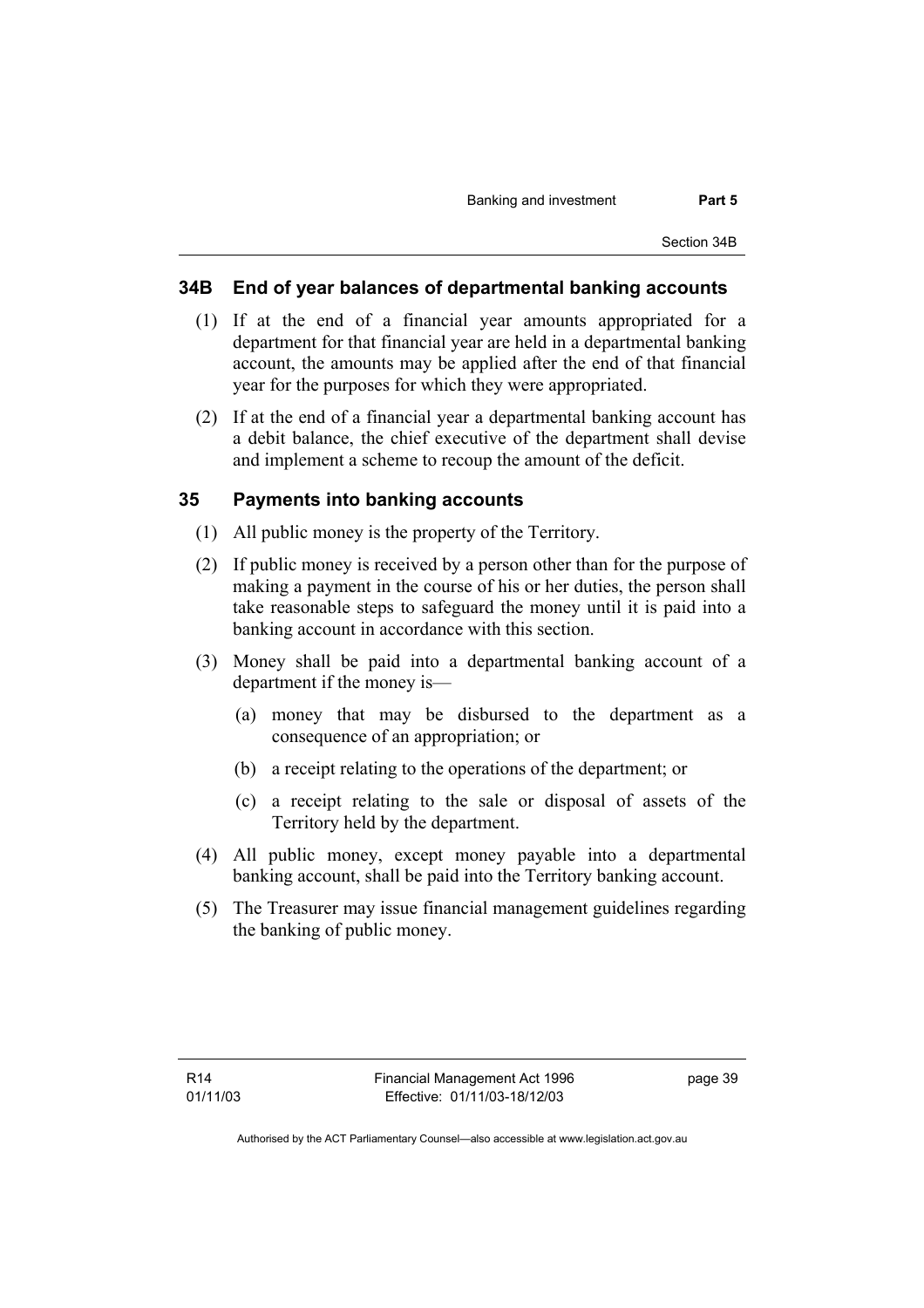# **34B End of year balances of departmental banking accounts**

- (1) If at the end of a financial year amounts appropriated for a department for that financial year are held in a departmental banking account, the amounts may be applied after the end of that financial year for the purposes for which they were appropriated.
- (2) If at the end of a financial year a departmental banking account has a debit balance, the chief executive of the department shall devise and implement a scheme to recoup the amount of the deficit.

## **35 Payments into banking accounts**

- (1) All public money is the property of the Territory.
- (2) If public money is received by a person other than for the purpose of making a payment in the course of his or her duties, the person shall take reasonable steps to safeguard the money until it is paid into a banking account in accordance with this section.
- (3) Money shall be paid into a departmental banking account of a department if the money is—
	- (a) money that may be disbursed to the department as a consequence of an appropriation; or
	- (b) a receipt relating to the operations of the department; or
	- (c) a receipt relating to the sale or disposal of assets of the Territory held by the department.
- (4) All public money, except money payable into a departmental banking account, shall be paid into the Territory banking account.
- (5) The Treasurer may issue financial management guidelines regarding the banking of public money.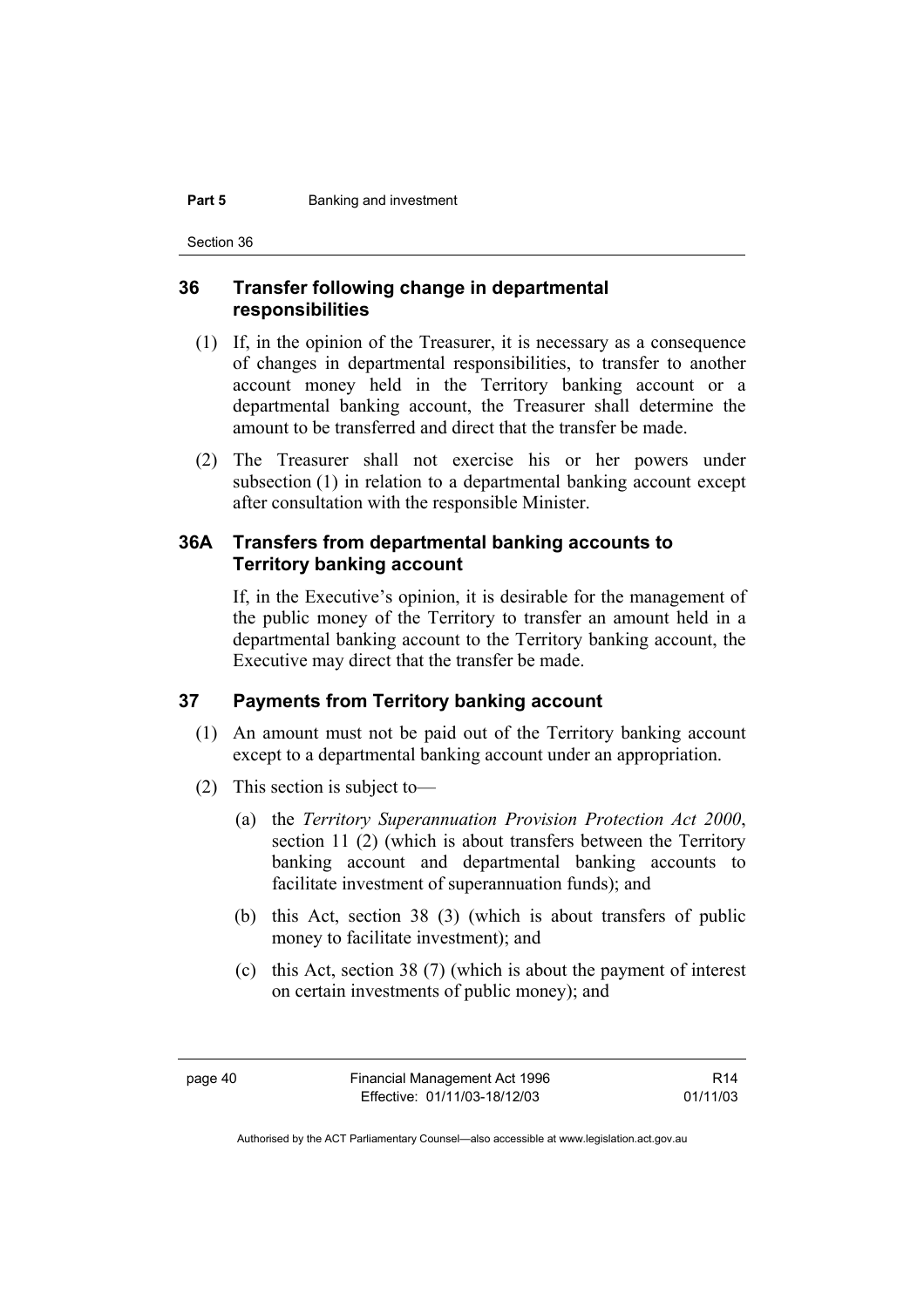#### **Part 5 Banking and investment**

Section 36

## **36 Transfer following change in departmental responsibilities**

- (1) If, in the opinion of the Treasurer, it is necessary as a consequence of changes in departmental responsibilities, to transfer to another account money held in the Territory banking account or a departmental banking account, the Treasurer shall determine the amount to be transferred and direct that the transfer be made.
- (2) The Treasurer shall not exercise his or her powers under subsection (1) in relation to a departmental banking account except after consultation with the responsible Minister.

### **36A Transfers from departmental banking accounts to Territory banking account**

If, in the Executive's opinion, it is desirable for the management of the public money of the Territory to transfer an amount held in a departmental banking account to the Territory banking account, the Executive may direct that the transfer be made.

### **37 Payments from Territory banking account**

- (1) An amount must not be paid out of the Territory banking account except to a departmental banking account under an appropriation.
- (2) This section is subject to—
	- (a) the *Territory Superannuation Provision Protection Act 2000*, section 11 (2) (which is about transfers between the Territory banking account and departmental banking accounts to facilitate investment of superannuation funds); and
	- (b) this Act, section 38 (3) (which is about transfers of public money to facilitate investment); and
	- (c) this Act, section 38 (7) (which is about the payment of interest on certain investments of public money); and

R14 01/11/03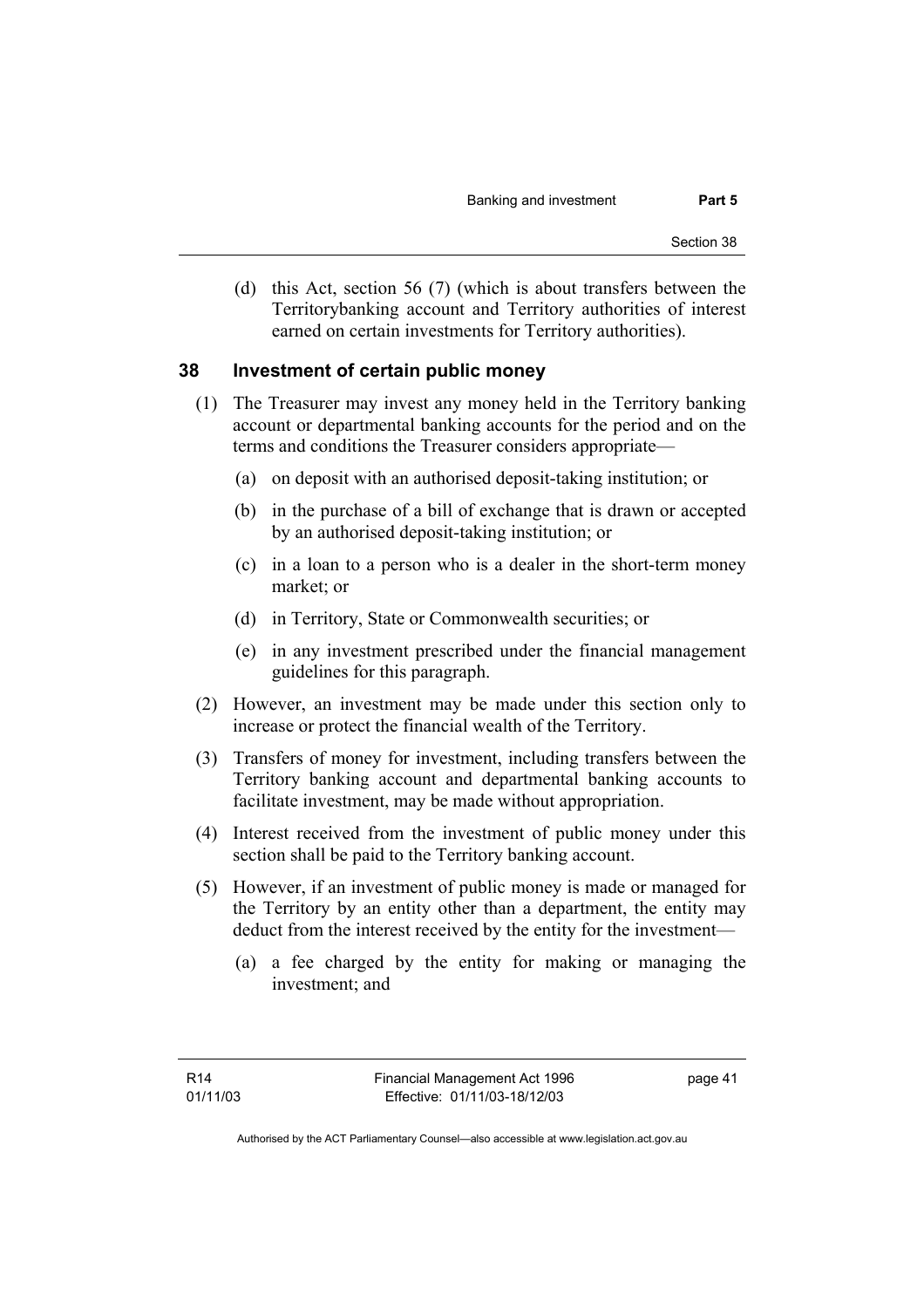(d) this Act, section 56 (7) (which is about transfers between the Territorybanking account and Territory authorities of interest earned on certain investments for Territory authorities).

#### **38 Investment of certain public money**

- (1) The Treasurer may invest any money held in the Territory banking account or departmental banking accounts for the period and on the terms and conditions the Treasurer considers appropriate—
	- (a) on deposit with an authorised deposit-taking institution; or
	- (b) in the purchase of a bill of exchange that is drawn or accepted by an authorised deposit-taking institution; or
	- (c) in a loan to a person who is a dealer in the short-term money market; or
	- (d) in Territory, State or Commonwealth securities; or
	- (e) in any investment prescribed under the financial management guidelines for this paragraph.
- (2) However, an investment may be made under this section only to increase or protect the financial wealth of the Territory.
- (3) Transfers of money for investment, including transfers between the Territory banking account and departmental banking accounts to facilitate investment, may be made without appropriation.
- (4) Interest received from the investment of public money under this section shall be paid to the Territory banking account.
- (5) However, if an investment of public money is made or managed for the Territory by an entity other than a department, the entity may deduct from the interest received by the entity for the investment—
	- (a) a fee charged by the entity for making or managing the investment; and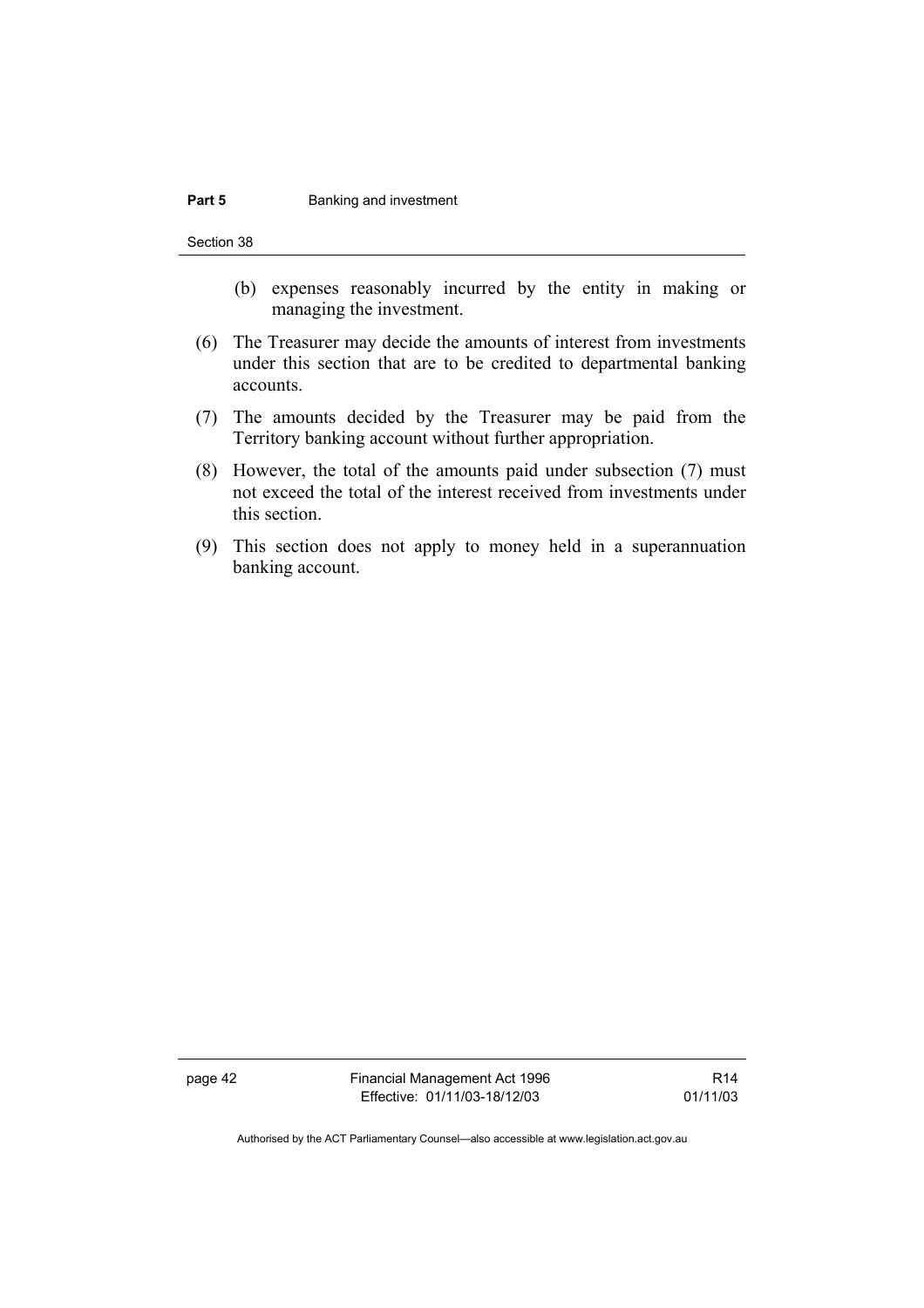#### **Part 5 Banking and investment**

Section 38

- (b) expenses reasonably incurred by the entity in making or managing the investment.
- (6) The Treasurer may decide the amounts of interest from investments under this section that are to be credited to departmental banking accounts.
- (7) The amounts decided by the Treasurer may be paid from the Territory banking account without further appropriation.
- (8) However, the total of the amounts paid under subsection (7) must not exceed the total of the interest received from investments under this section.
- (9) This section does not apply to money held in a superannuation banking account.

page 42 Financial Management Act 1996 Effective: 01/11/03-18/12/03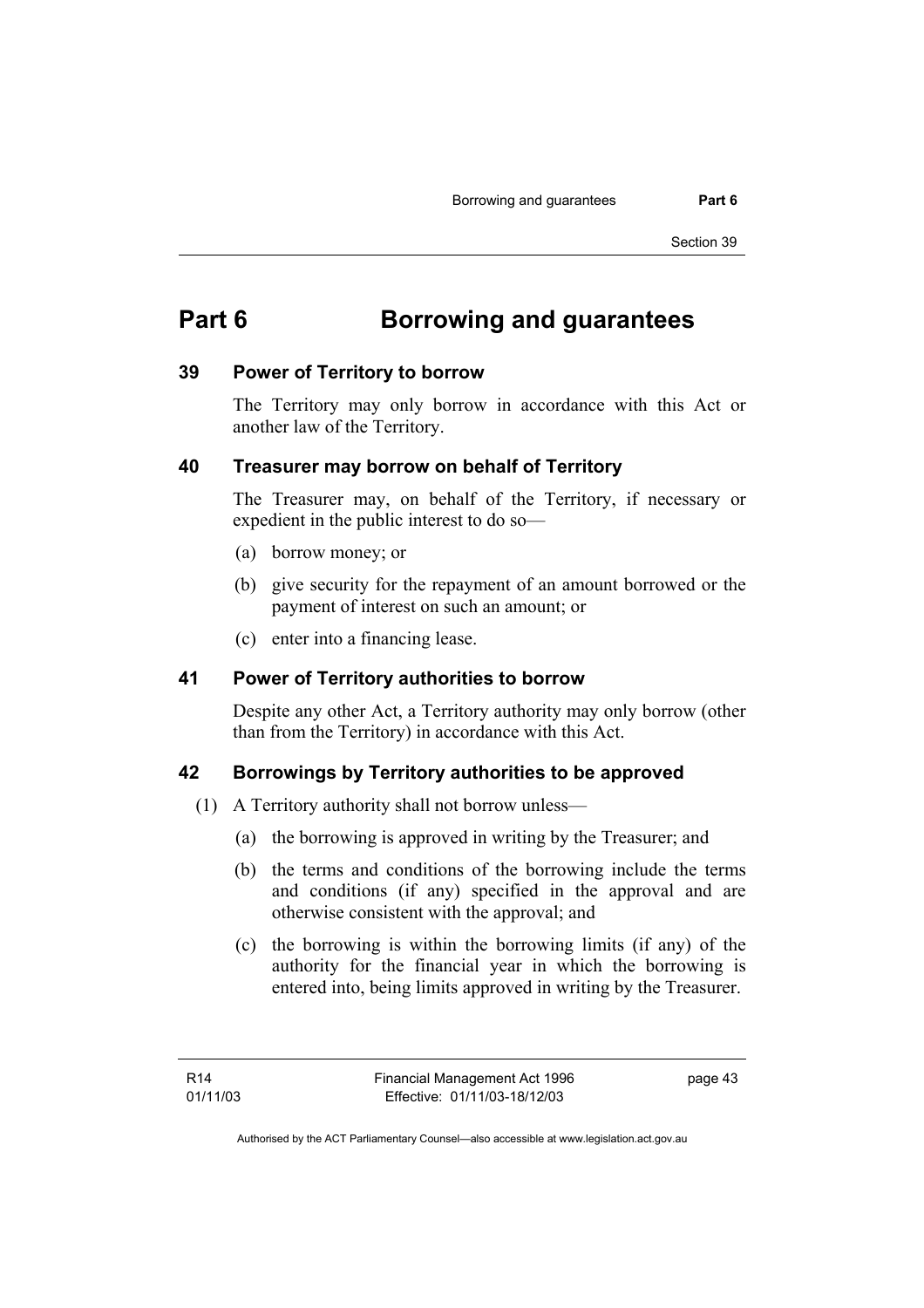# **Part 6 Borrowing and guarantees**

#### **39 Power of Territory to borrow**

The Territory may only borrow in accordance with this Act or another law of the Territory.

### **40 Treasurer may borrow on behalf of Territory**

The Treasurer may, on behalf of the Territory, if necessary or expedient in the public interest to do so—

- (a) borrow money; or
- (b) give security for the repayment of an amount borrowed or the payment of interest on such an amount; or
- (c) enter into a financing lease.

### **41 Power of Territory authorities to borrow**

Despite any other Act, a Territory authority may only borrow (other than from the Territory) in accordance with this Act.

### **42 Borrowings by Territory authorities to be approved**

- (1) A Territory authority shall not borrow unless—
	- (a) the borrowing is approved in writing by the Treasurer; and
	- (b) the terms and conditions of the borrowing include the terms and conditions (if any) specified in the approval and are otherwise consistent with the approval; and
	- (c) the borrowing is within the borrowing limits (if any) of the authority for the financial year in which the borrowing is entered into, being limits approved in writing by the Treasurer.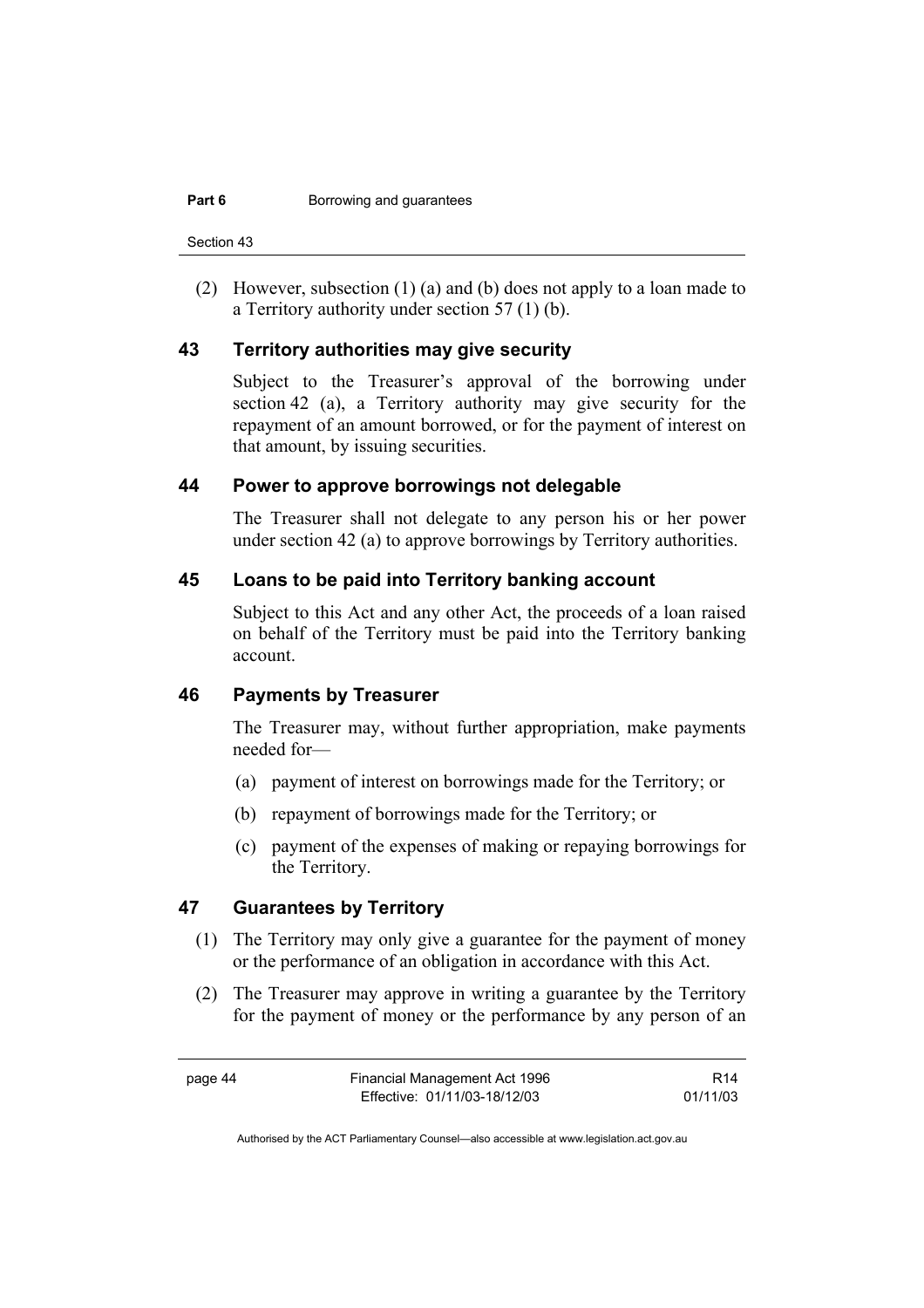Section 43

 (2) However, subsection (1) (a) and (b) does not apply to a loan made to a Territory authority under section 57 (1) (b).

#### **43 Territory authorities may give security**

Subject to the Treasurer's approval of the borrowing under section 42 (a), a Territory authority may give security for the repayment of an amount borrowed, or for the payment of interest on that amount, by issuing securities.

#### **44 Power to approve borrowings not delegable**

The Treasurer shall not delegate to any person his or her power under section 42 (a) to approve borrowings by Territory authorities.

#### **45 Loans to be paid into Territory banking account**

Subject to this Act and any other Act, the proceeds of a loan raised on behalf of the Territory must be paid into the Territory banking account.

# **46 Payments by Treasurer**

The Treasurer may, without further appropriation, make payments needed for—

- (a) payment of interest on borrowings made for the Territory; or
- (b) repayment of borrowings made for the Territory; or
- (c) payment of the expenses of making or repaying borrowings for the Territory.

# **47 Guarantees by Territory**

- (1) The Territory may only give a guarantee for the payment of money or the performance of an obligation in accordance with this Act.
- (2) The Treasurer may approve in writing a guarantee by the Territory for the payment of money or the performance by any person of an

R14 01/11/03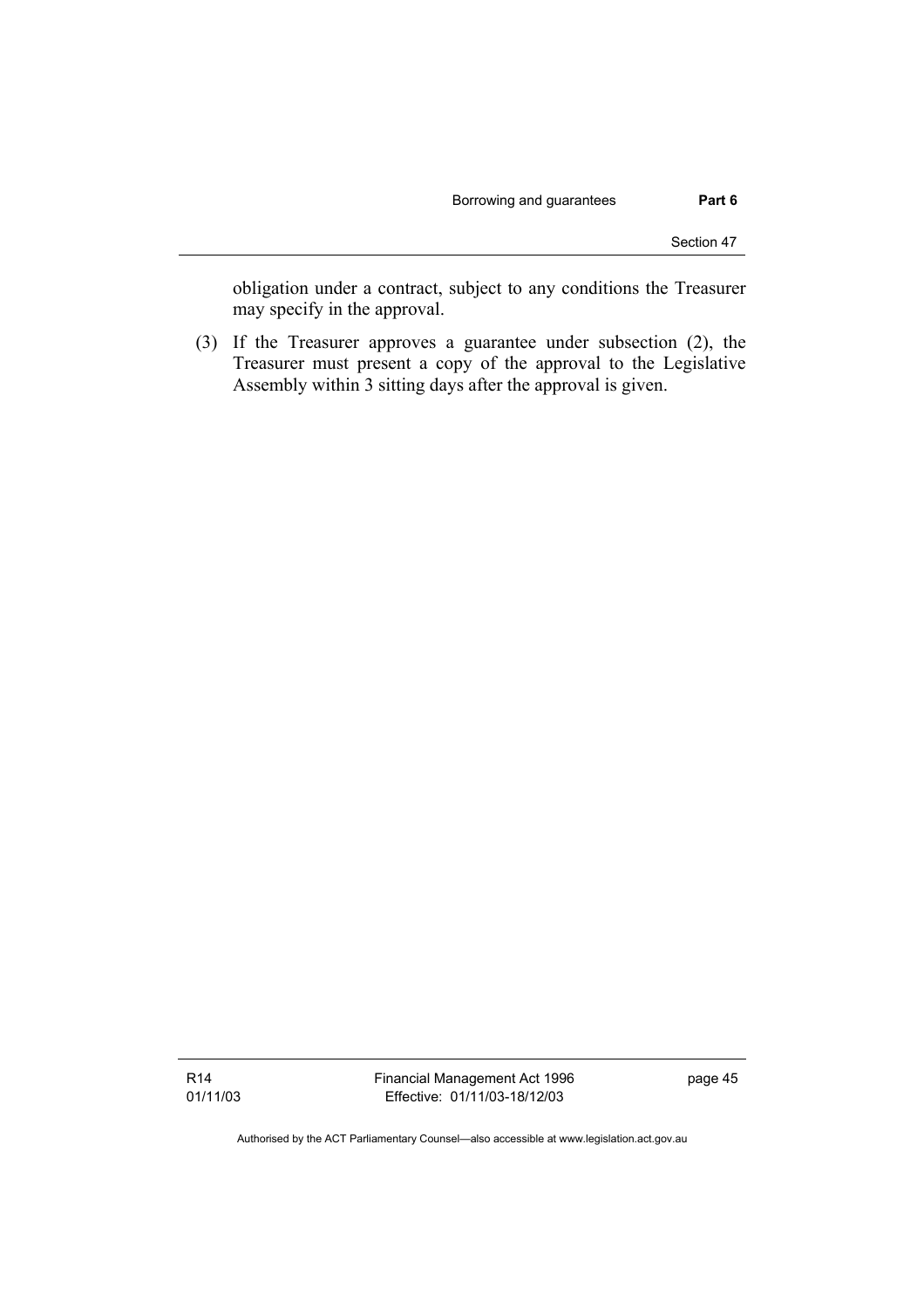obligation under a contract, subject to any conditions the Treasurer may specify in the approval.

 (3) If the Treasurer approves a guarantee under subsection (2), the Treasurer must present a copy of the approval to the Legislative Assembly within 3 sitting days after the approval is given.

Financial Management Act 1996 Effective: 01/11/03-18/12/03

page 45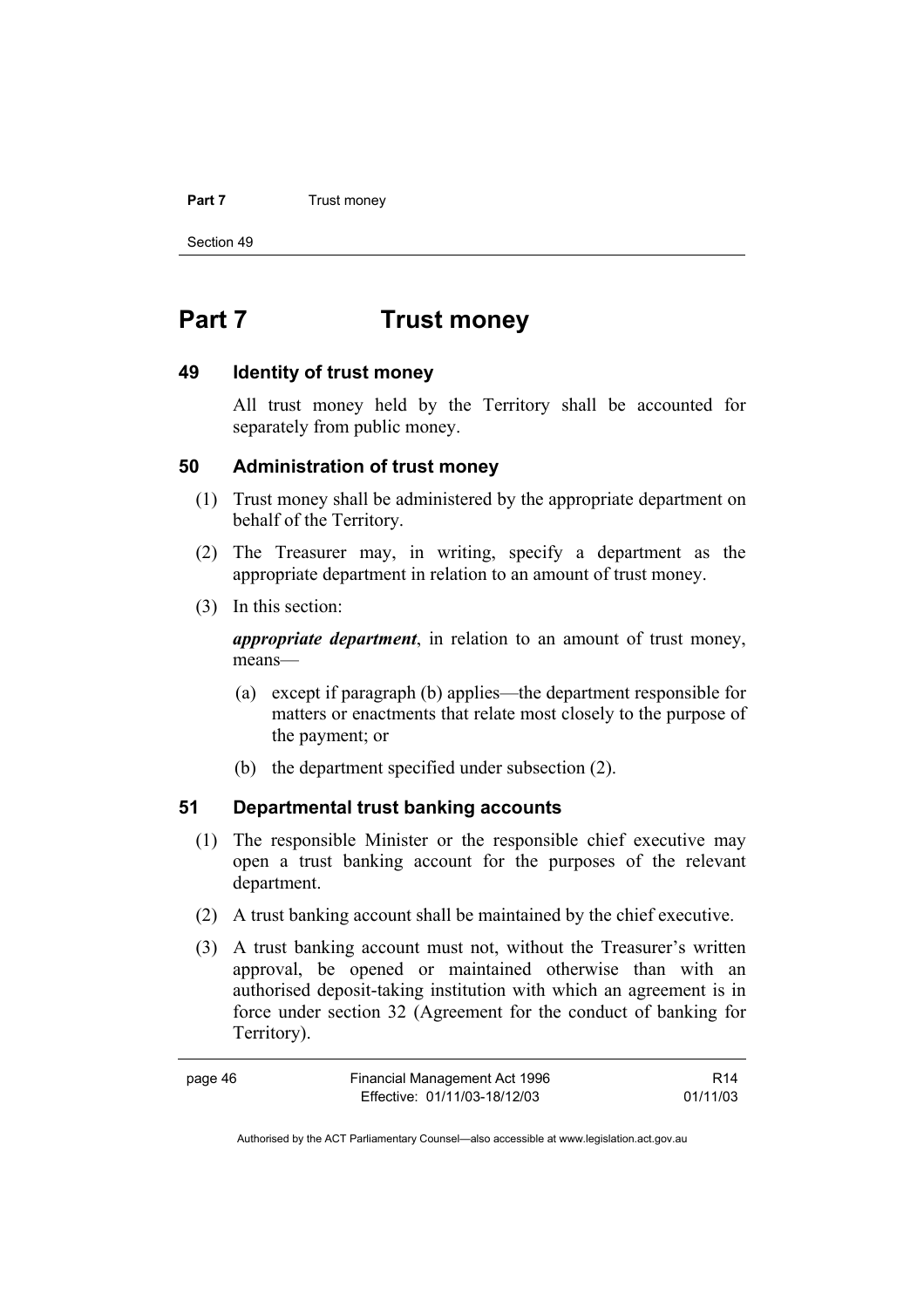#### **Part 7** Trust money

Section 49

# **Part 7 Trust money**

#### **49 Identity of trust money**

All trust money held by the Territory shall be accounted for separately from public money.

### **50 Administration of trust money**

- (1) Trust money shall be administered by the appropriate department on behalf of the Territory.
- (2) The Treasurer may, in writing, specify a department as the appropriate department in relation to an amount of trust money.
- (3) In this section:

*appropriate department*, in relation to an amount of trust money, means—

- (a) except if paragraph (b) applies—the department responsible for matters or enactments that relate most closely to the purpose of the payment; or
- (b) the department specified under subsection (2).

# **51 Departmental trust banking accounts**

- (1) The responsible Minister or the responsible chief executive may open a trust banking account for the purposes of the relevant department.
- (2) A trust banking account shall be maintained by the chief executive.
- (3) A trust banking account must not, without the Treasurer's written approval, be opened or maintained otherwise than with an authorised deposit-taking institution with which an agreement is in force under section 32 (Agreement for the conduct of banking for Territory).

| page 46 | Financial Management Act 1996 | R <sub>14</sub> |
|---------|-------------------------------|-----------------|
|         | Effective: 01/11/03-18/12/03  | 01/11/03        |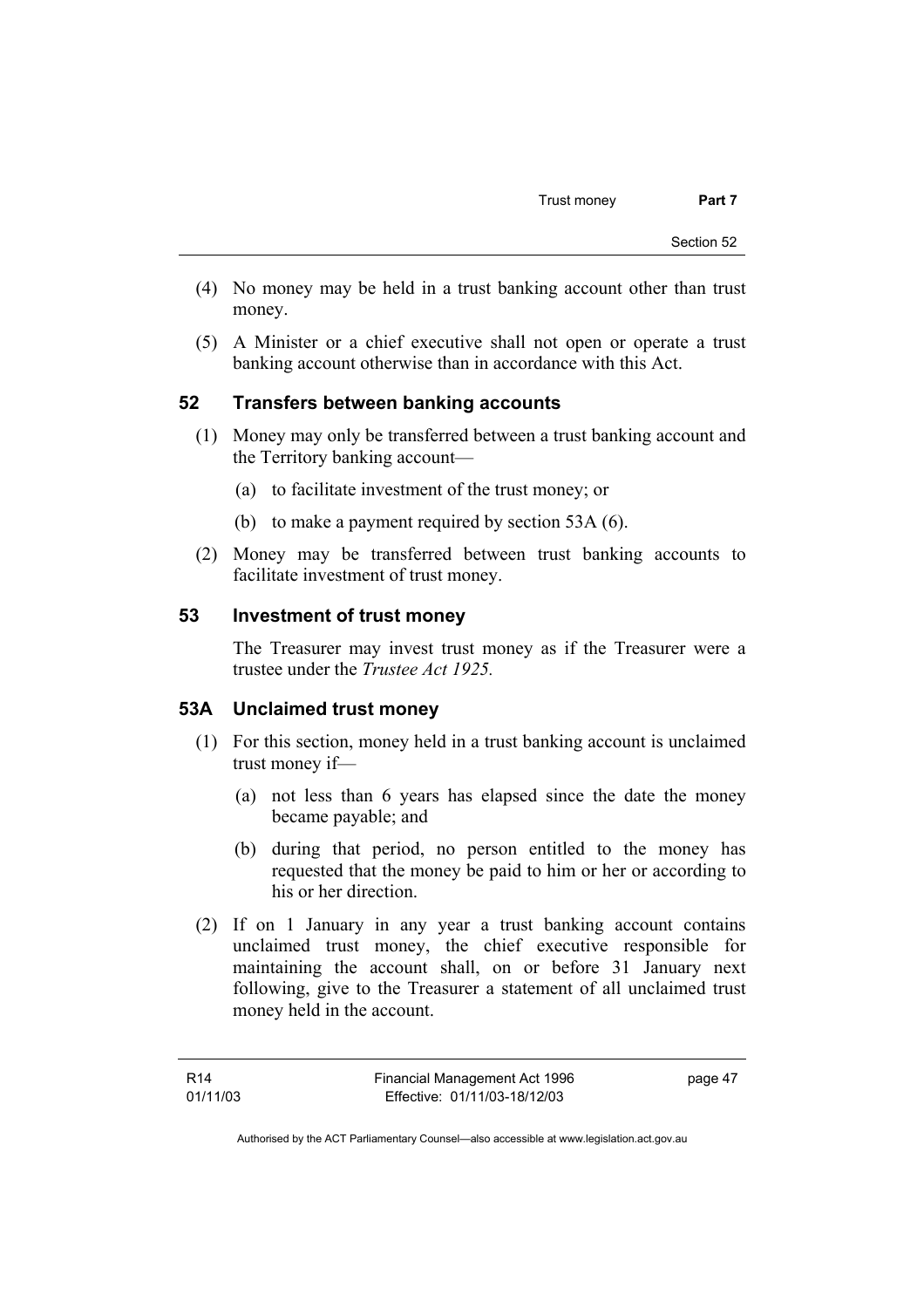- (4) No money may be held in a trust banking account other than trust money.
- (5) A Minister or a chief executive shall not open or operate a trust banking account otherwise than in accordance with this Act.

# **52 Transfers between banking accounts**

- (1) Money may only be transferred between a trust banking account and the Territory banking account—
	- (a) to facilitate investment of the trust money; or
	- (b) to make a payment required by section 53A (6).
- (2) Money may be transferred between trust banking accounts to facilitate investment of trust money.

### **53 Investment of trust money**

The Treasurer may invest trust money as if the Treasurer were a trustee under the *Trustee Act 1925.*

### **53A Unclaimed trust money**

- (1) For this section, money held in a trust banking account is unclaimed trust money if—
	- (a) not less than 6 years has elapsed since the date the money became payable; and
	- (b) during that period, no person entitled to the money has requested that the money be paid to him or her or according to his or her direction.
- (2) If on 1 January in any year a trust banking account contains unclaimed trust money, the chief executive responsible for maintaining the account shall, on or before 31 January next following, give to the Treasurer a statement of all unclaimed trust money held in the account.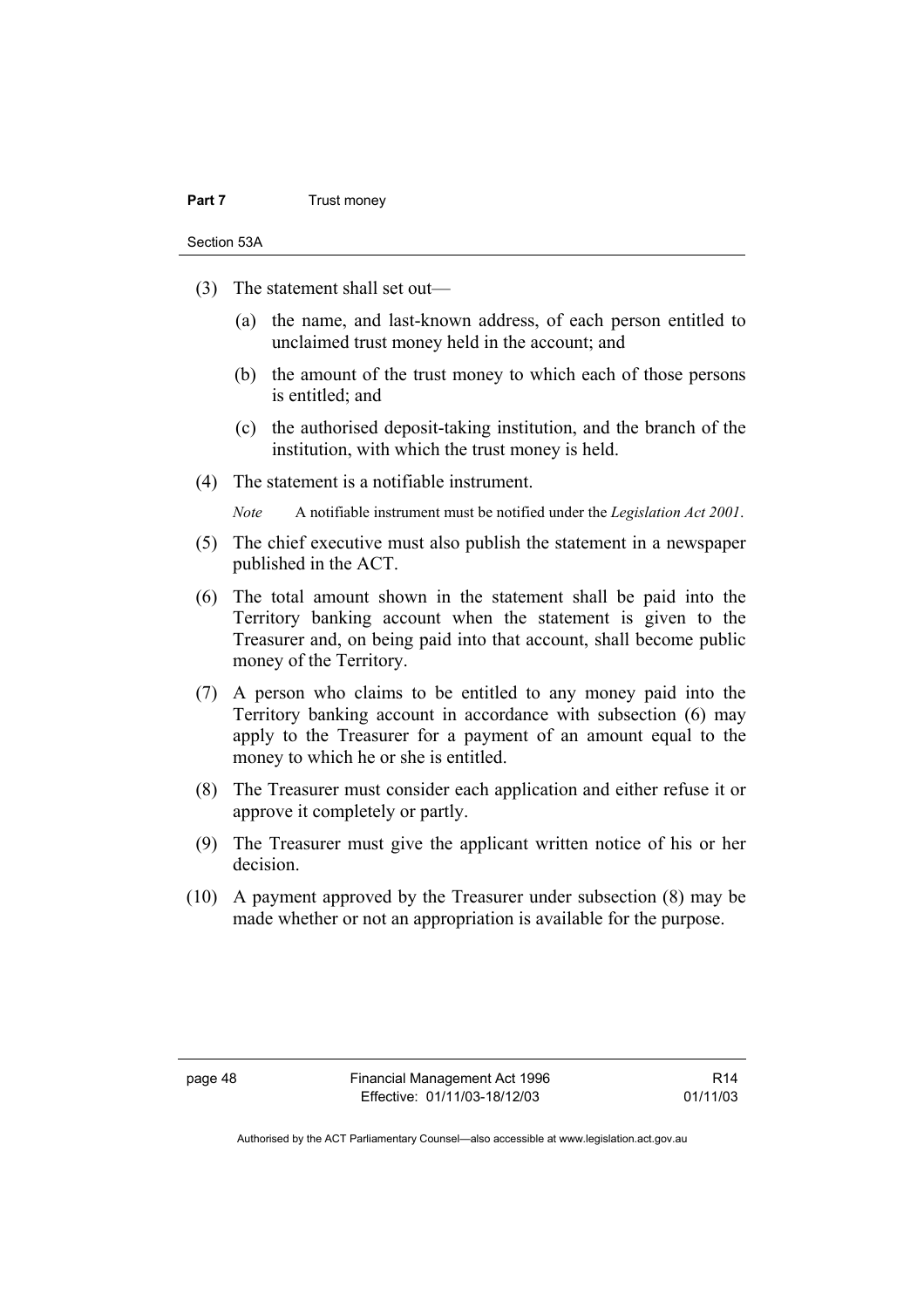#### **Part 7** Trust money

Section 53A

- (3) The statement shall set out—
	- (a) the name, and last-known address, of each person entitled to unclaimed trust money held in the account; and
	- (b) the amount of the trust money to which each of those persons is entitled; and
	- (c) the authorised deposit-taking institution, and the branch of the institution, with which the trust money is held.
- (4) The statement is a notifiable instrument.

*Note* A notifiable instrument must be notified under the *Legislation Act 2001*.

- (5) The chief executive must also publish the statement in a newspaper published in the ACT.
- (6) The total amount shown in the statement shall be paid into the Territory banking account when the statement is given to the Treasurer and, on being paid into that account, shall become public money of the Territory.
- (7) A person who claims to be entitled to any money paid into the Territory banking account in accordance with subsection (6) may apply to the Treasurer for a payment of an amount equal to the money to which he or she is entitled.
- (8) The Treasurer must consider each application and either refuse it or approve it completely or partly.
- (9) The Treasurer must give the applicant written notice of his or her decision.
- (10) A payment approved by the Treasurer under subsection (8) may be made whether or not an appropriation is available for the purpose.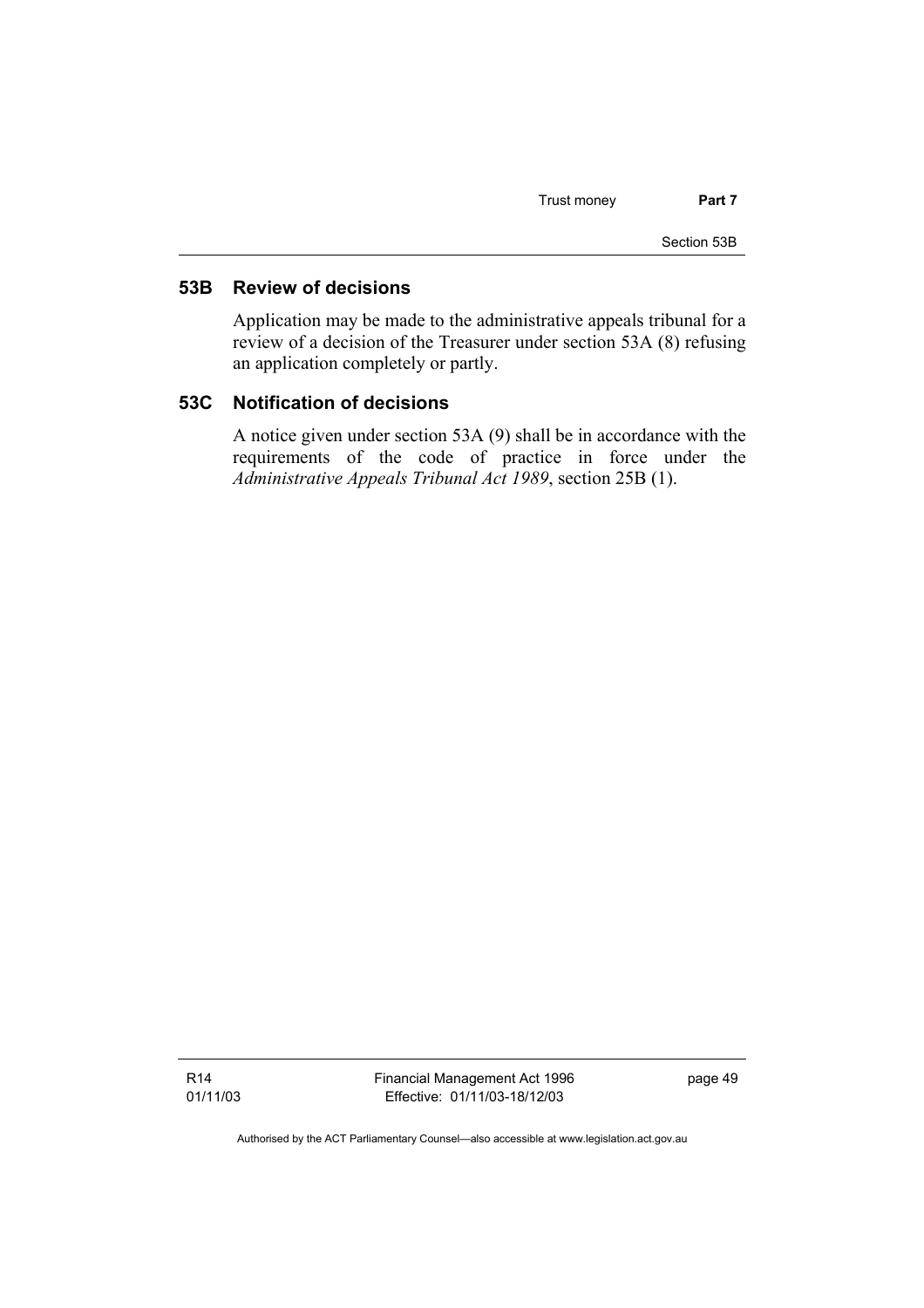Trust money **Part 7** 

Section 53B

# **53B Review of decisions**

Application may be made to the administrative appeals tribunal for a review of a decision of the Treasurer under section 53A (8) refusing an application completely or partly.

## **53C Notification of decisions**

A notice given under section 53A (9) shall be in accordance with the requirements of the code of practice in force under the *Administrative Appeals Tribunal Act 1989*, section 25B (1).

R14 01/11/03 Financial Management Act 1996 Effective: 01/11/03-18/12/03

page 49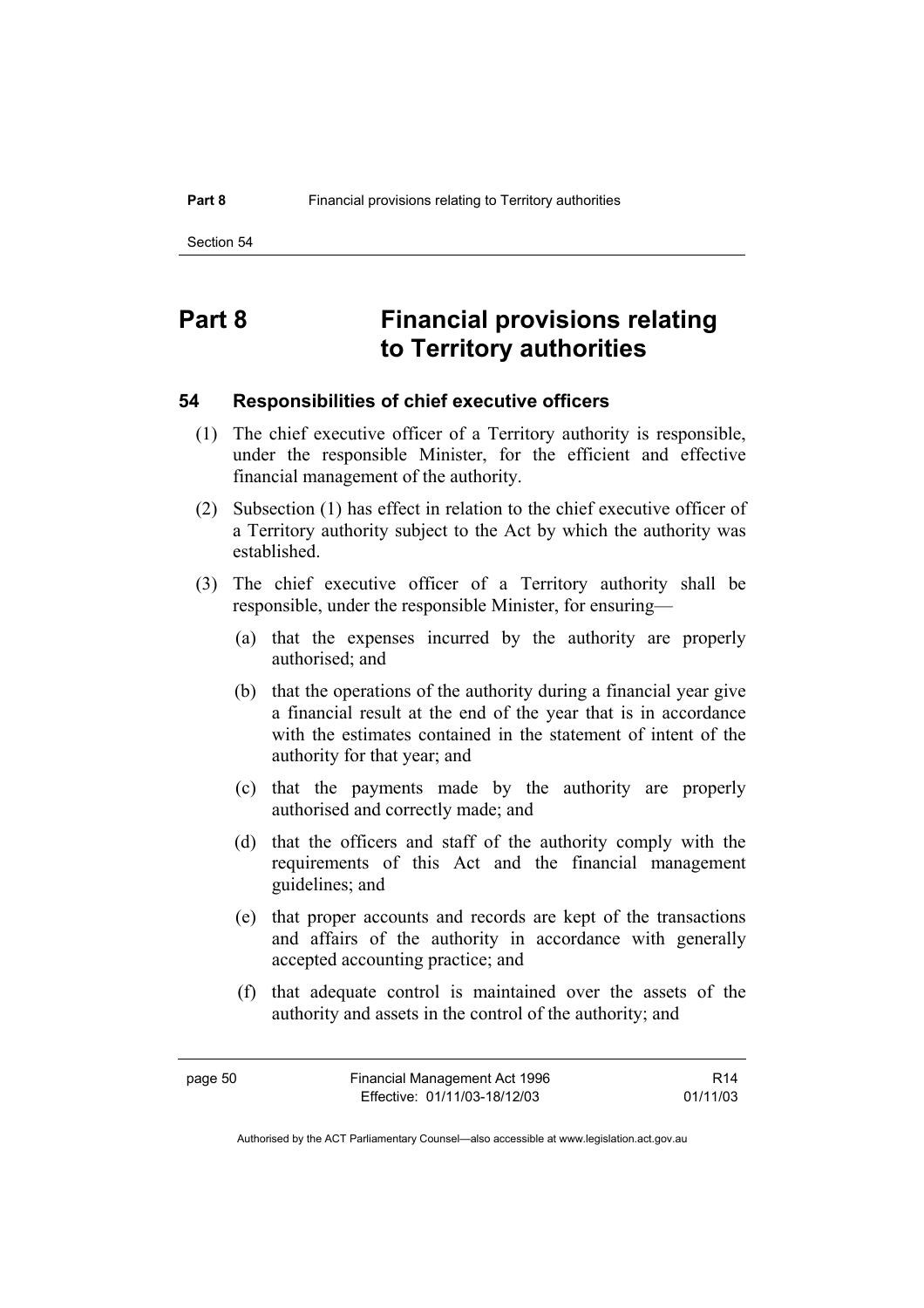# **Part 8 Financial provisions relating to Territory authorities**

### **54 Responsibilities of chief executive officers**

- (1) The chief executive officer of a Territory authority is responsible, under the responsible Minister, for the efficient and effective financial management of the authority.
- (2) Subsection (1) has effect in relation to the chief executive officer of a Territory authority subject to the Act by which the authority was established.
- (3) The chief executive officer of a Territory authority shall be responsible, under the responsible Minister, for ensuring—
	- (a) that the expenses incurred by the authority are properly authorised; and
	- (b) that the operations of the authority during a financial year give a financial result at the end of the year that is in accordance with the estimates contained in the statement of intent of the authority for that year; and
	- (c) that the payments made by the authority are properly authorised and correctly made; and
	- (d) that the officers and staff of the authority comply with the requirements of this Act and the financial management guidelines; and
	- (e) that proper accounts and records are kept of the transactions and affairs of the authority in accordance with generally accepted accounting practice; and
	- (f) that adequate control is maintained over the assets of the authority and assets in the control of the authority; and

R14 01/11/03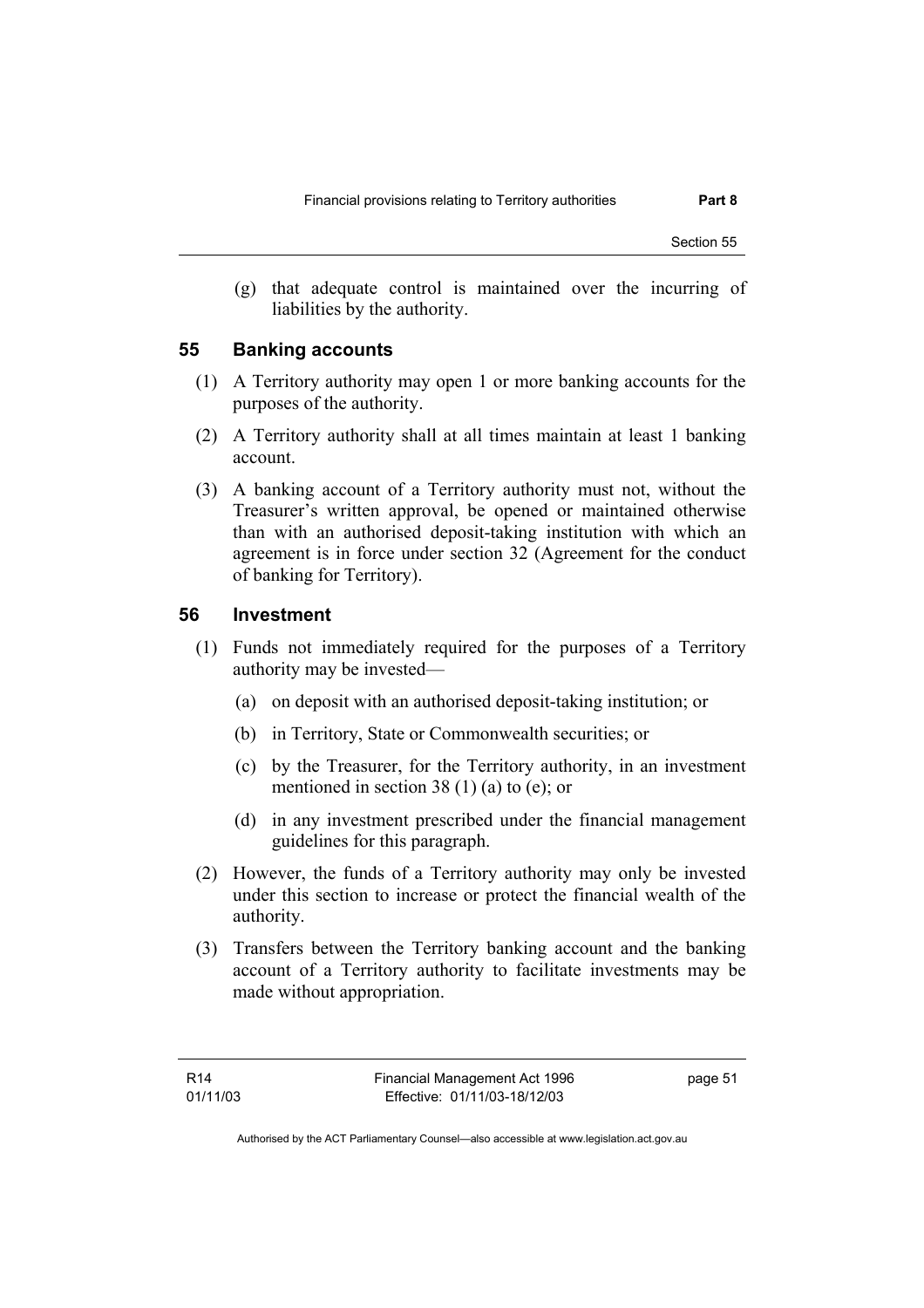Section 55

 (g) that adequate control is maintained over the incurring of liabilities by the authority.

#### **55 Banking accounts**

- (1) A Territory authority may open 1 or more banking accounts for the purposes of the authority.
- (2) A Territory authority shall at all times maintain at least 1 banking account.
- (3) A banking account of a Territory authority must not, without the Treasurer's written approval, be opened or maintained otherwise than with an authorised deposit-taking institution with which an agreement is in force under section 32 (Agreement for the conduct of banking for Territory).

#### **56 Investment**

- (1) Funds not immediately required for the purposes of a Territory authority may be invested—
	- (a) on deposit with an authorised deposit-taking institution; or
	- (b) in Territory, State or Commonwealth securities; or
	- (c) by the Treasurer, for the Territory authority, in an investment mentioned in section 38 (1) (a) to (e); or
	- (d) in any investment prescribed under the financial management guidelines for this paragraph.
- (2) However, the funds of a Territory authority may only be invested under this section to increase or protect the financial wealth of the authority.
- (3) Transfers between the Territory banking account and the banking account of a Territory authority to facilitate investments may be made without appropriation.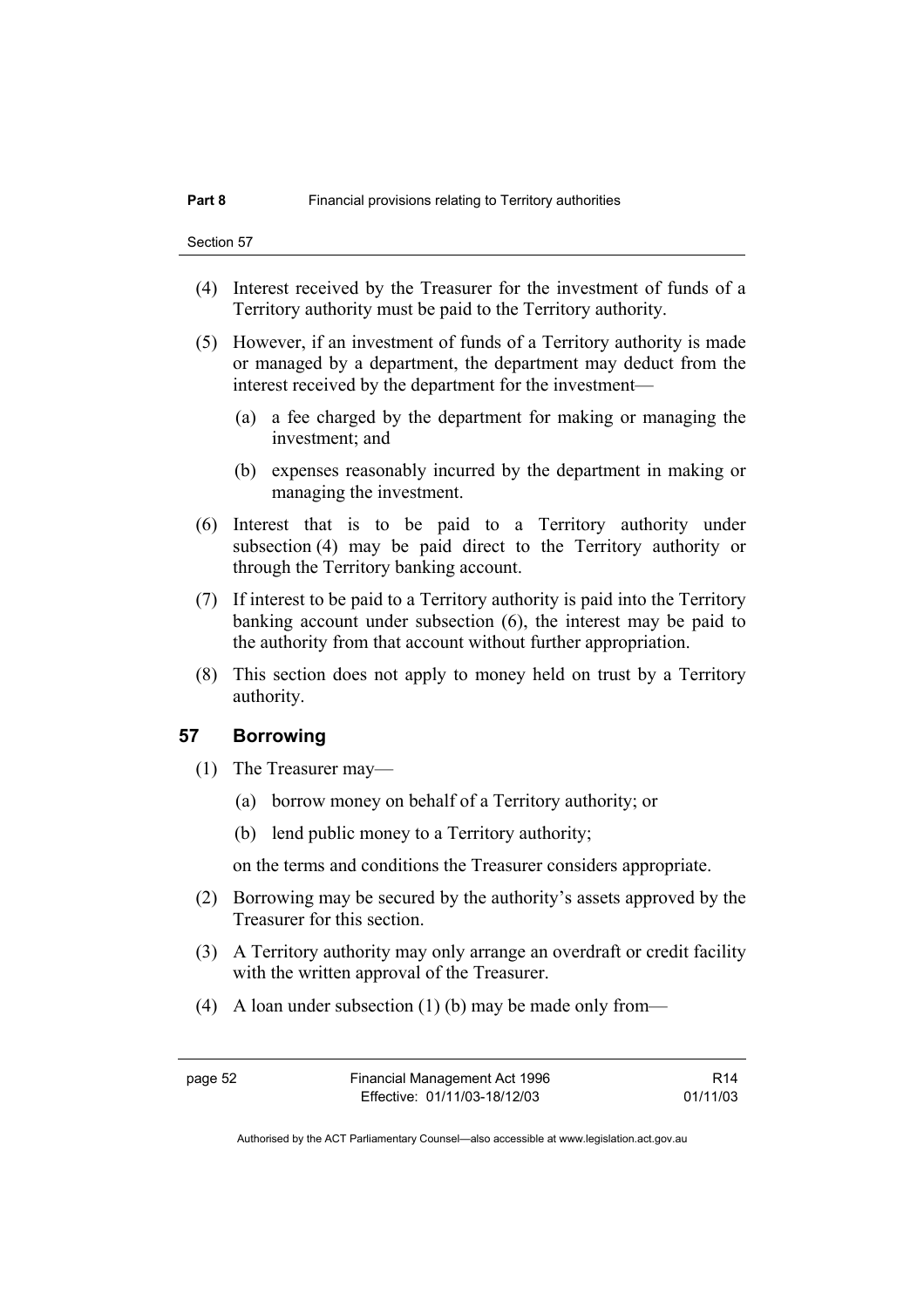- (4) Interest received by the Treasurer for the investment of funds of a Territory authority must be paid to the Territory authority.
- (5) However, if an investment of funds of a Territory authority is made or managed by a department, the department may deduct from the interest received by the department for the investment—
	- (a) a fee charged by the department for making or managing the investment; and
	- (b) expenses reasonably incurred by the department in making or managing the investment.
- (6) Interest that is to be paid to a Territory authority under subsection (4) may be paid direct to the Territory authority or through the Territory banking account.
- (7) If interest to be paid to a Territory authority is paid into the Territory banking account under subsection (6), the interest may be paid to the authority from that account without further appropriation.
- (8) This section does not apply to money held on trust by a Territory authority.

#### **57 Borrowing**

- (1) The Treasurer may—
	- (a) borrow money on behalf of a Territory authority; or
	- (b) lend public money to a Territory authority;

on the terms and conditions the Treasurer considers appropriate.

- (2) Borrowing may be secured by the authority's assets approved by the Treasurer for this section.
- (3) A Territory authority may only arrange an overdraft or credit facility with the written approval of the Treasurer.
- (4) A loan under subsection (1) (b) may be made only from—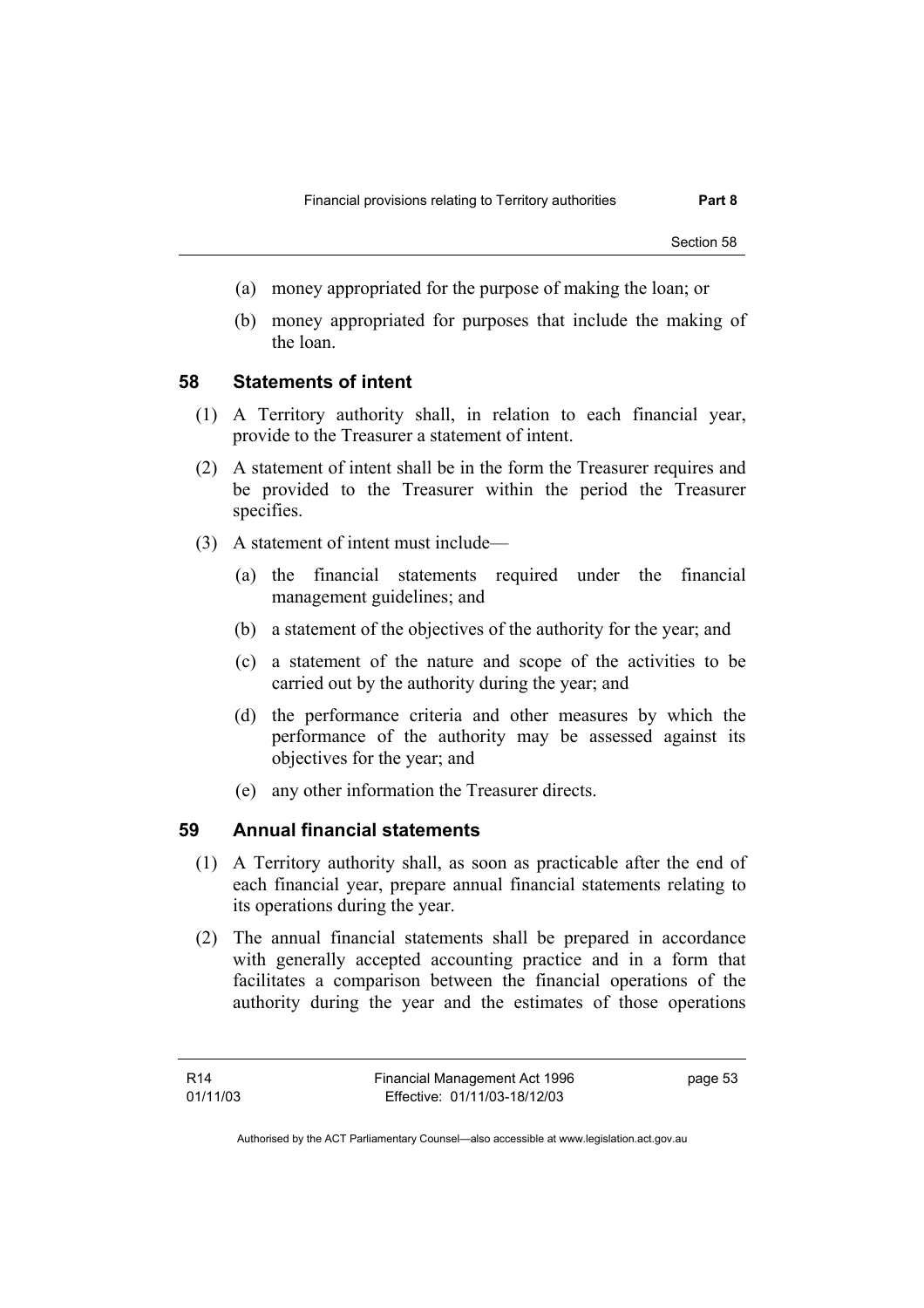Section 58

- (a) money appropriated for the purpose of making the loan; or
- (b) money appropriated for purposes that include the making of the loan.

#### **58 Statements of intent**

- (1) A Territory authority shall, in relation to each financial year, provide to the Treasurer a statement of intent.
- (2) A statement of intent shall be in the form the Treasurer requires and be provided to the Treasurer within the period the Treasurer specifies.
- (3) A statement of intent must include—
	- (a) the financial statements required under the financial management guidelines; and
	- (b) a statement of the objectives of the authority for the year; and
	- (c) a statement of the nature and scope of the activities to be carried out by the authority during the year; and
	- (d) the performance criteria and other measures by which the performance of the authority may be assessed against its objectives for the year; and
	- (e) any other information the Treasurer directs.

## **59 Annual financial statements**

- (1) A Territory authority shall, as soon as practicable after the end of each financial year, prepare annual financial statements relating to its operations during the year.
- (2) The annual financial statements shall be prepared in accordance with generally accepted accounting practice and in a form that facilitates a comparison between the financial operations of the authority during the year and the estimates of those operations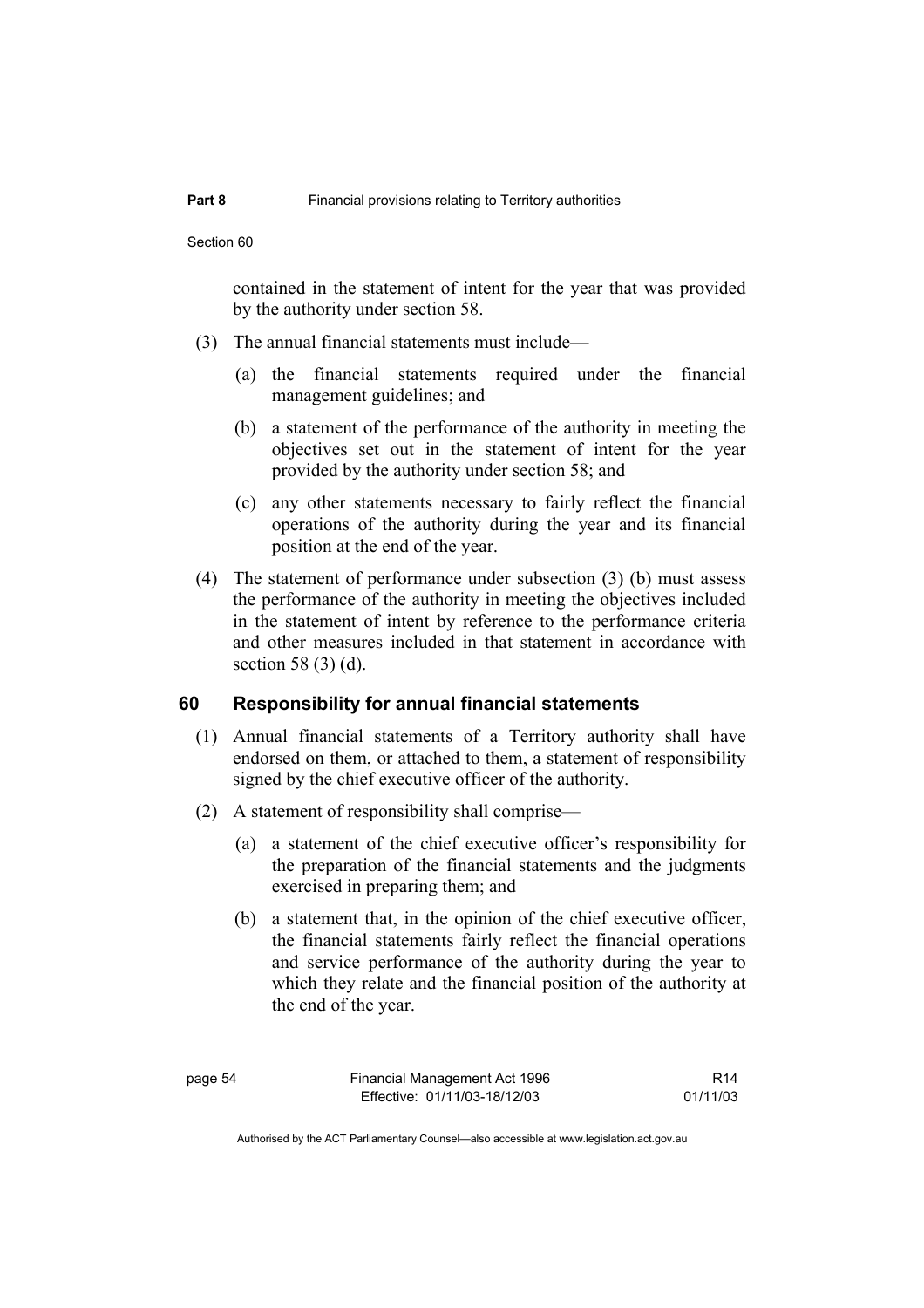contained in the statement of intent for the year that was provided by the authority under section 58.

- (3) The annual financial statements must include—
	- (a) the financial statements required under the financial management guidelines; and
	- (b) a statement of the performance of the authority in meeting the objectives set out in the statement of intent for the year provided by the authority under section 58; and
	- (c) any other statements necessary to fairly reflect the financial operations of the authority during the year and its financial position at the end of the year.
- (4) The statement of performance under subsection (3) (b) must assess the performance of the authority in meeting the objectives included in the statement of intent by reference to the performance criteria and other measures included in that statement in accordance with section 58 (3) (d).

#### **60 Responsibility for annual financial statements**

- (1) Annual financial statements of a Territory authority shall have endorsed on them, or attached to them, a statement of responsibility signed by the chief executive officer of the authority.
- (2) A statement of responsibility shall comprise—
	- (a) a statement of the chief executive officer's responsibility for the preparation of the financial statements and the judgments exercised in preparing them; and
	- (b) a statement that, in the opinion of the chief executive officer, the financial statements fairly reflect the financial operations and service performance of the authority during the year to which they relate and the financial position of the authority at the end of the year.

page 54 Financial Management Act 1996 Effective: 01/11/03-18/12/03

R14 01/11/03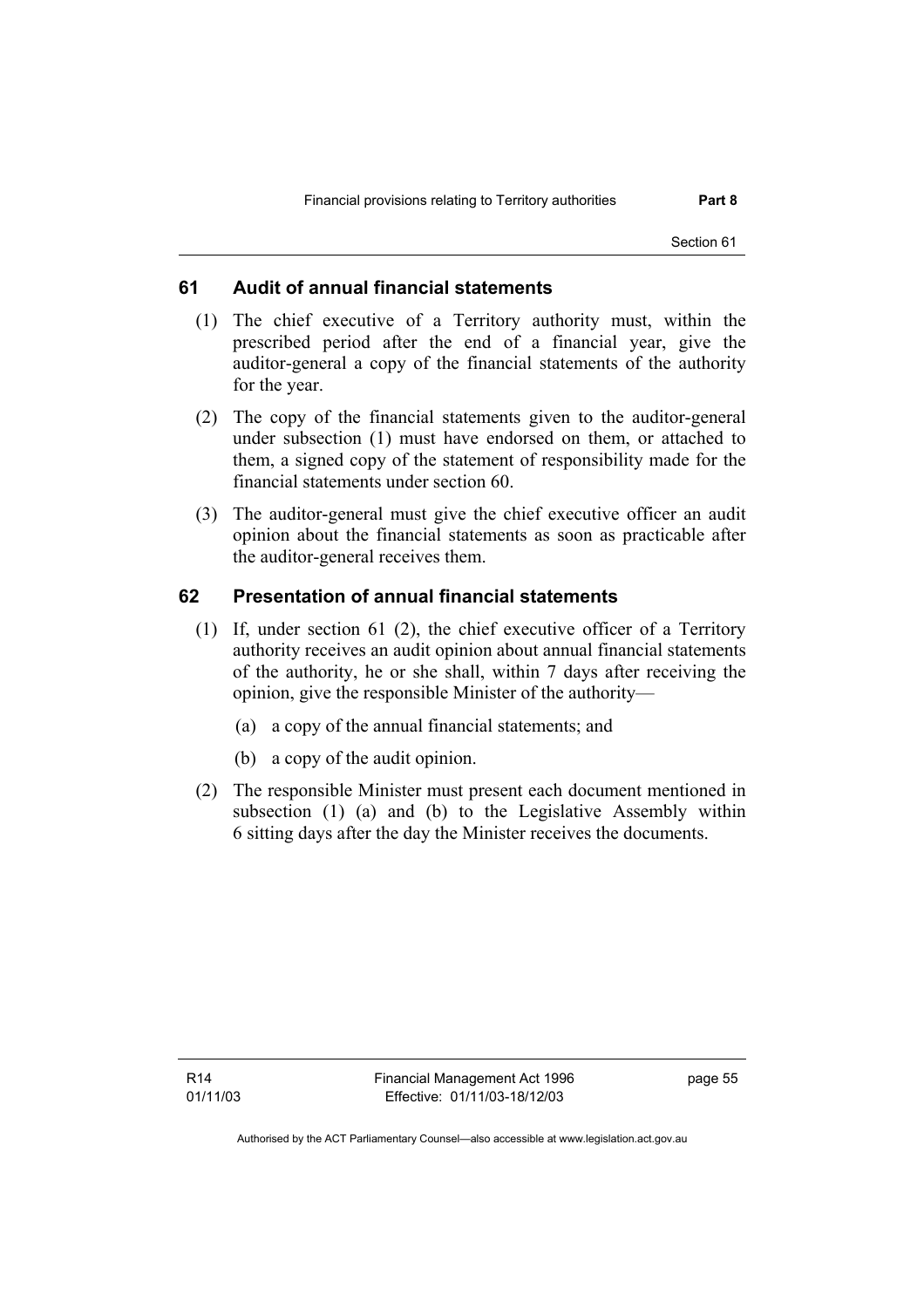## **61 Audit of annual financial statements**

- (1) The chief executive of a Territory authority must, within the prescribed period after the end of a financial year, give the auditor-general a copy of the financial statements of the authority for the year.
- (2) The copy of the financial statements given to the auditor-general under subsection (1) must have endorsed on them, or attached to them, a signed copy of the statement of responsibility made for the financial statements under section 60.
- (3) The auditor-general must give the chief executive officer an audit opinion about the financial statements as soon as practicable after the auditor-general receives them.

### **62 Presentation of annual financial statements**

- (1) If, under section 61 (2), the chief executive officer of a Territory authority receives an audit opinion about annual financial statements of the authority, he or she shall, within 7 days after receiving the opinion, give the responsible Minister of the authority—
	- (a) a copy of the annual financial statements; and
	- (b) a copy of the audit opinion.
- (2) The responsible Minister must present each document mentioned in subsection (1) (a) and (b) to the Legislative Assembly within 6 sitting days after the day the Minister receives the documents.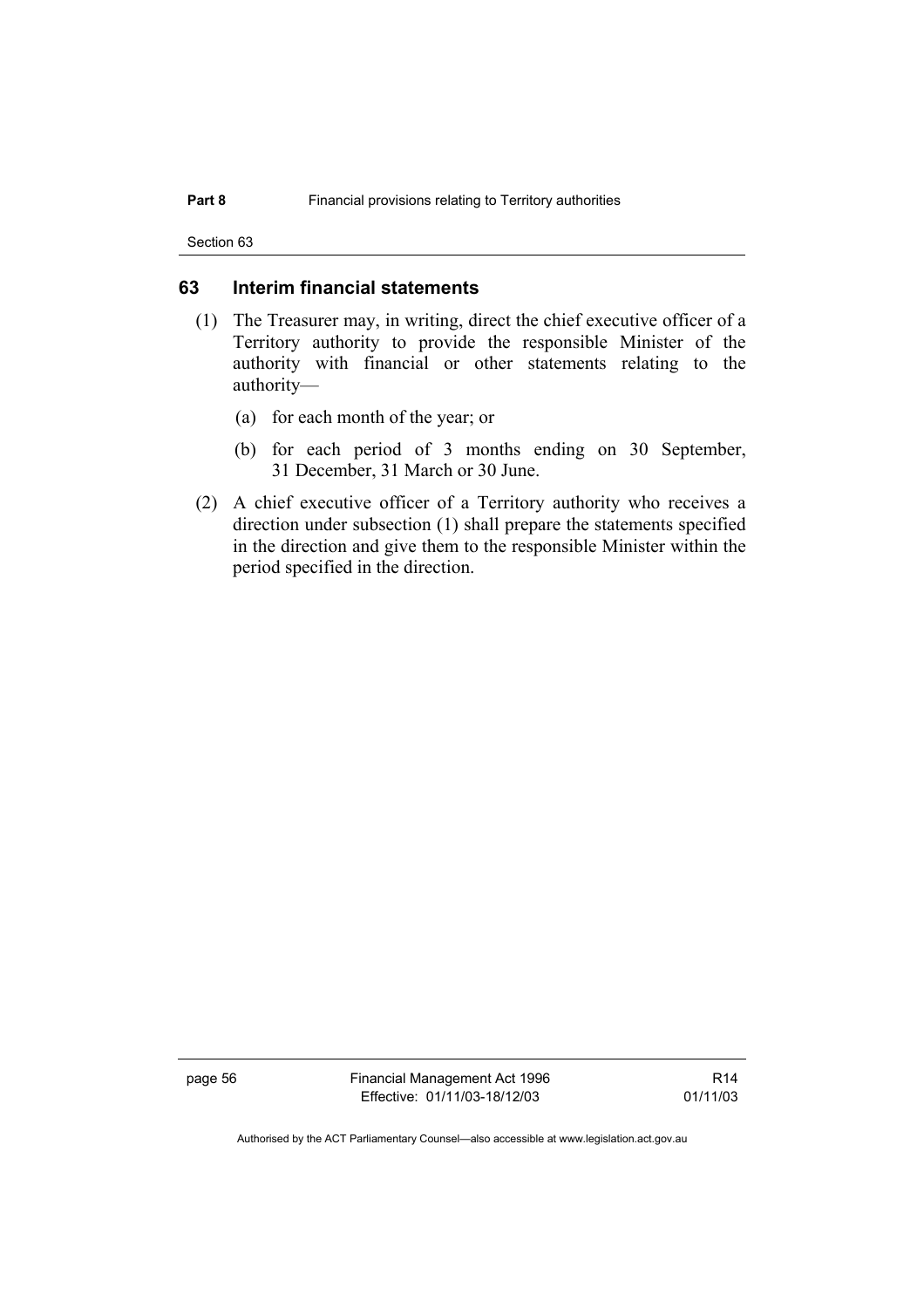Section 63

#### **63 Interim financial statements**

- (1) The Treasurer may, in writing, direct the chief executive officer of a Territory authority to provide the responsible Minister of the authority with financial or other statements relating to the authority—
	- (a) for each month of the year; or
	- (b) for each period of 3 months ending on 30 September, 31 December, 31 March or 30 June.
- (2) A chief executive officer of a Territory authority who receives a direction under subsection (1) shall prepare the statements specified in the direction and give them to the responsible Minister within the period specified in the direction.

page 56 Financial Management Act 1996 Effective: 01/11/03-18/12/03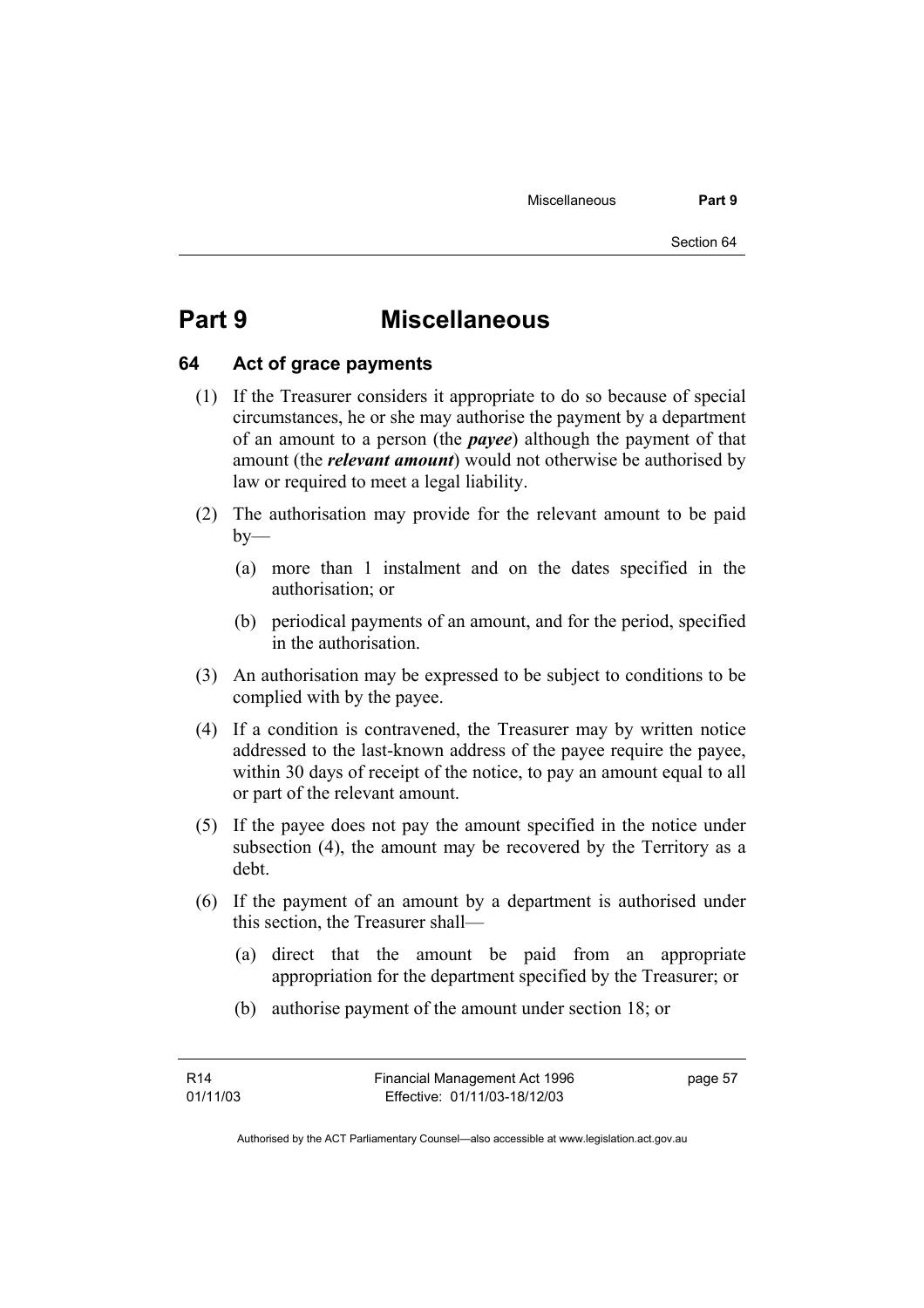# **Part 9 Miscellaneous**

#### **64 Act of grace payments**

- (1) If the Treasurer considers it appropriate to do so because of special circumstances, he or she may authorise the payment by a department of an amount to a person (the *payee*) although the payment of that amount (the *relevant amount*) would not otherwise be authorised by law or required to meet a legal liability.
- (2) The authorisation may provide for the relevant amount to be paid  $by-$ 
	- (a) more than 1 instalment and on the dates specified in the authorisation; or
	- (b) periodical payments of an amount, and for the period, specified in the authorisation.
- (3) An authorisation may be expressed to be subject to conditions to be complied with by the payee.
- (4) If a condition is contravened, the Treasurer may by written notice addressed to the last-known address of the payee require the payee, within 30 days of receipt of the notice, to pay an amount equal to all or part of the relevant amount.
- (5) If the payee does not pay the amount specified in the notice under subsection (4), the amount may be recovered by the Territory as a debt.
- (6) If the payment of an amount by a department is authorised under this section, the Treasurer shall—
	- (a) direct that the amount be paid from an appropriate appropriation for the department specified by the Treasurer; or
	- (b) authorise payment of the amount under section 18; or

Authorised by the ACT Parliamentary Counsel—also accessible at www.legislation.act.gov.au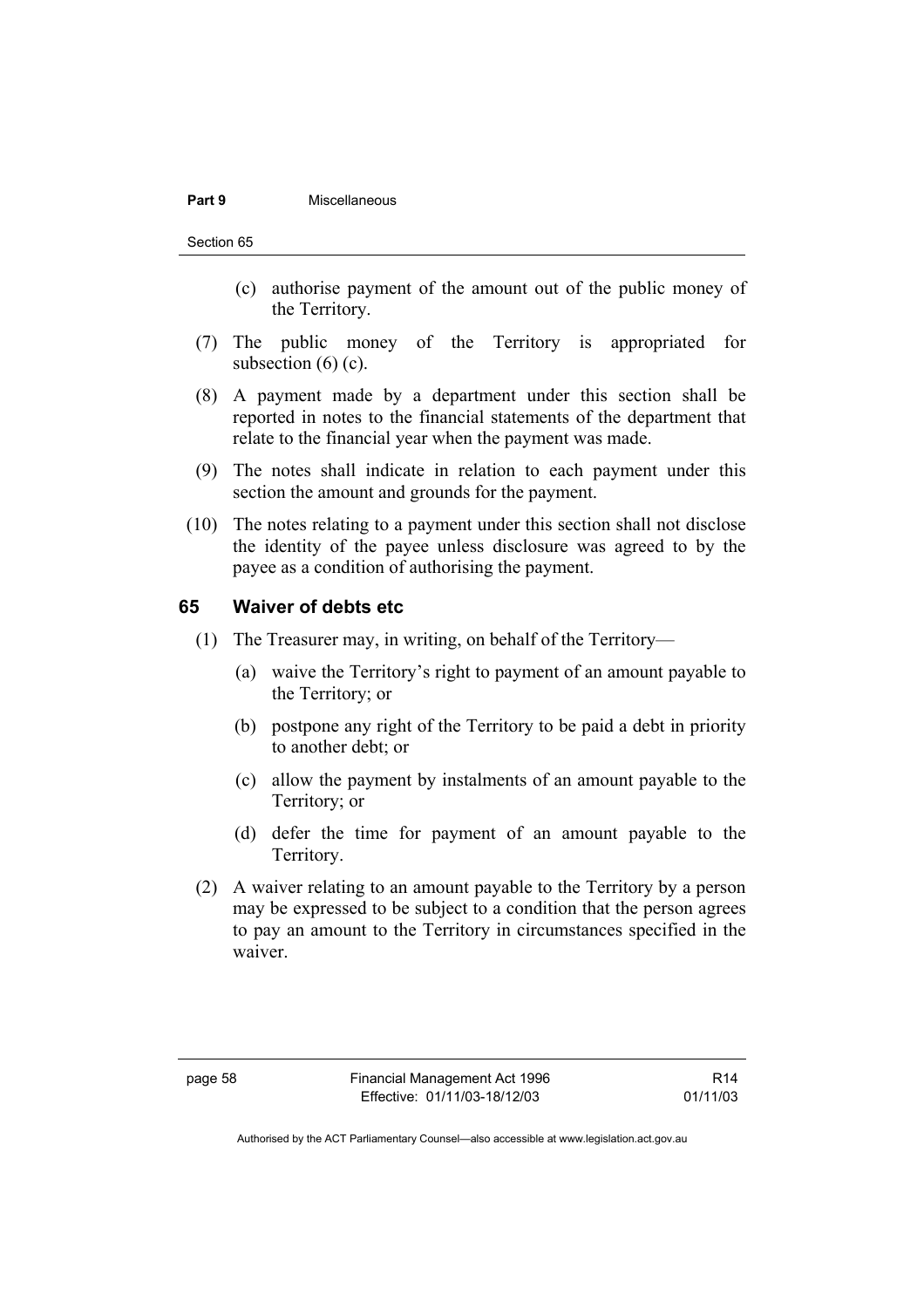#### **Part 9** Miscellaneous

- (c) authorise payment of the amount out of the public money of the Territory.
- (7) The public money of the Territory is appropriated for subsection  $(6)$  (c).
- (8) A payment made by a department under this section shall be reported in notes to the financial statements of the department that relate to the financial year when the payment was made.
- (9) The notes shall indicate in relation to each payment under this section the amount and grounds for the payment.
- (10) The notes relating to a payment under this section shall not disclose the identity of the payee unless disclosure was agreed to by the payee as a condition of authorising the payment.

#### **65 Waiver of debts etc**

- (1) The Treasurer may, in writing, on behalf of the Territory—
	- (a) waive the Territory's right to payment of an amount payable to the Territory; or
	- (b) postpone any right of the Territory to be paid a debt in priority to another debt; or
	- (c) allow the payment by instalments of an amount payable to the Territory; or
	- (d) defer the time for payment of an amount payable to the Territory.
- (2) A waiver relating to an amount payable to the Territory by a person may be expressed to be subject to a condition that the person agrees to pay an amount to the Territory in circumstances specified in the waiver.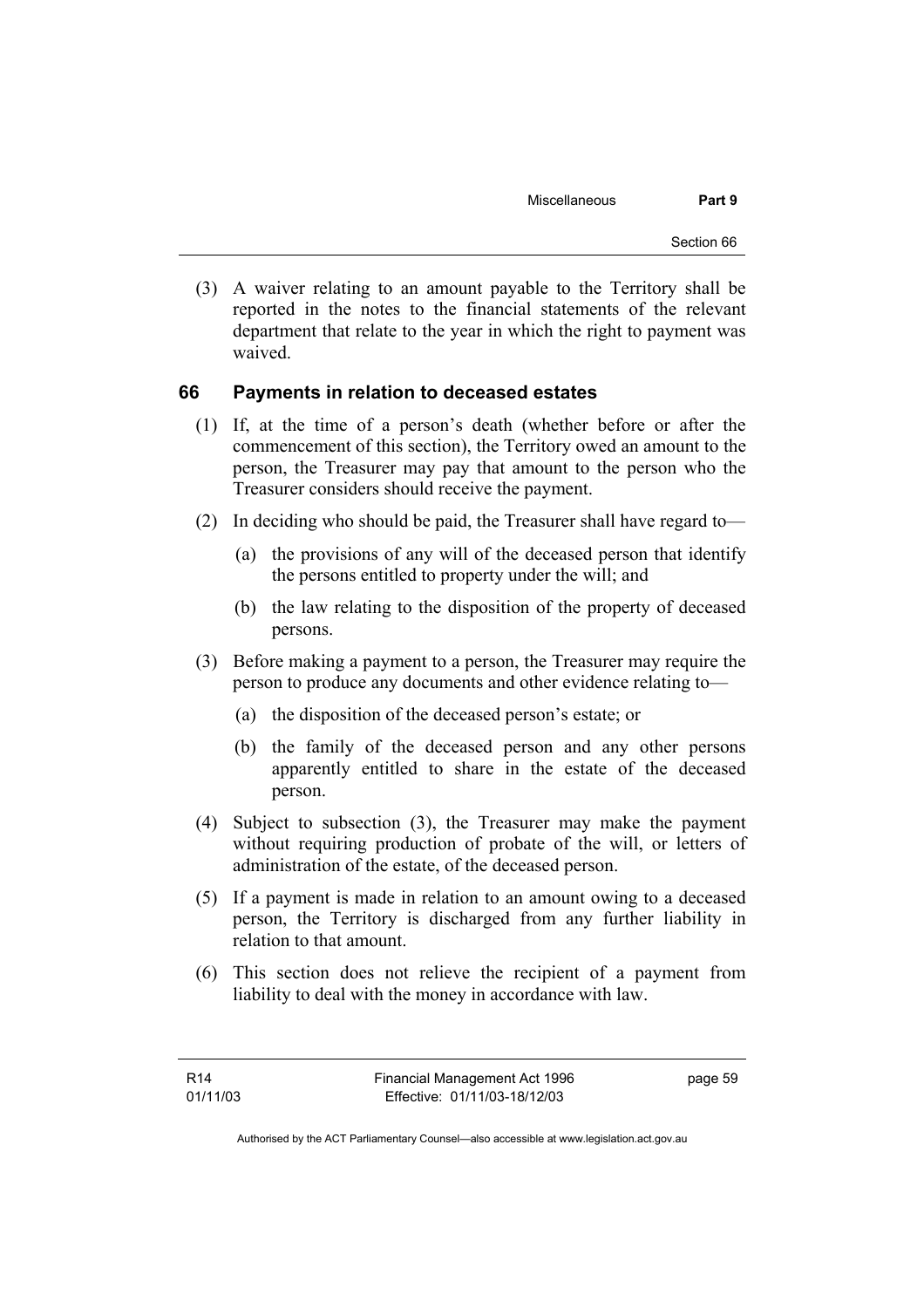(3) A waiver relating to an amount payable to the Territory shall be reported in the notes to the financial statements of the relevant department that relate to the year in which the right to payment was waived.

### **66 Payments in relation to deceased estates**

- (1) If, at the time of a person's death (whether before or after the commencement of this section), the Territory owed an amount to the person, the Treasurer may pay that amount to the person who the Treasurer considers should receive the payment.
- (2) In deciding who should be paid, the Treasurer shall have regard to—
	- (a) the provisions of any will of the deceased person that identify the persons entitled to property under the will; and
	- (b) the law relating to the disposition of the property of deceased persons.
- (3) Before making a payment to a person, the Treasurer may require the person to produce any documents and other evidence relating to—
	- (a) the disposition of the deceased person's estate; or
	- (b) the family of the deceased person and any other persons apparently entitled to share in the estate of the deceased person.
- (4) Subject to subsection (3), the Treasurer may make the payment without requiring production of probate of the will, or letters of administration of the estate, of the deceased person.
- (5) If a payment is made in relation to an amount owing to a deceased person, the Territory is discharged from any further liability in relation to that amount.
- (6) This section does not relieve the recipient of a payment from liability to deal with the money in accordance with law.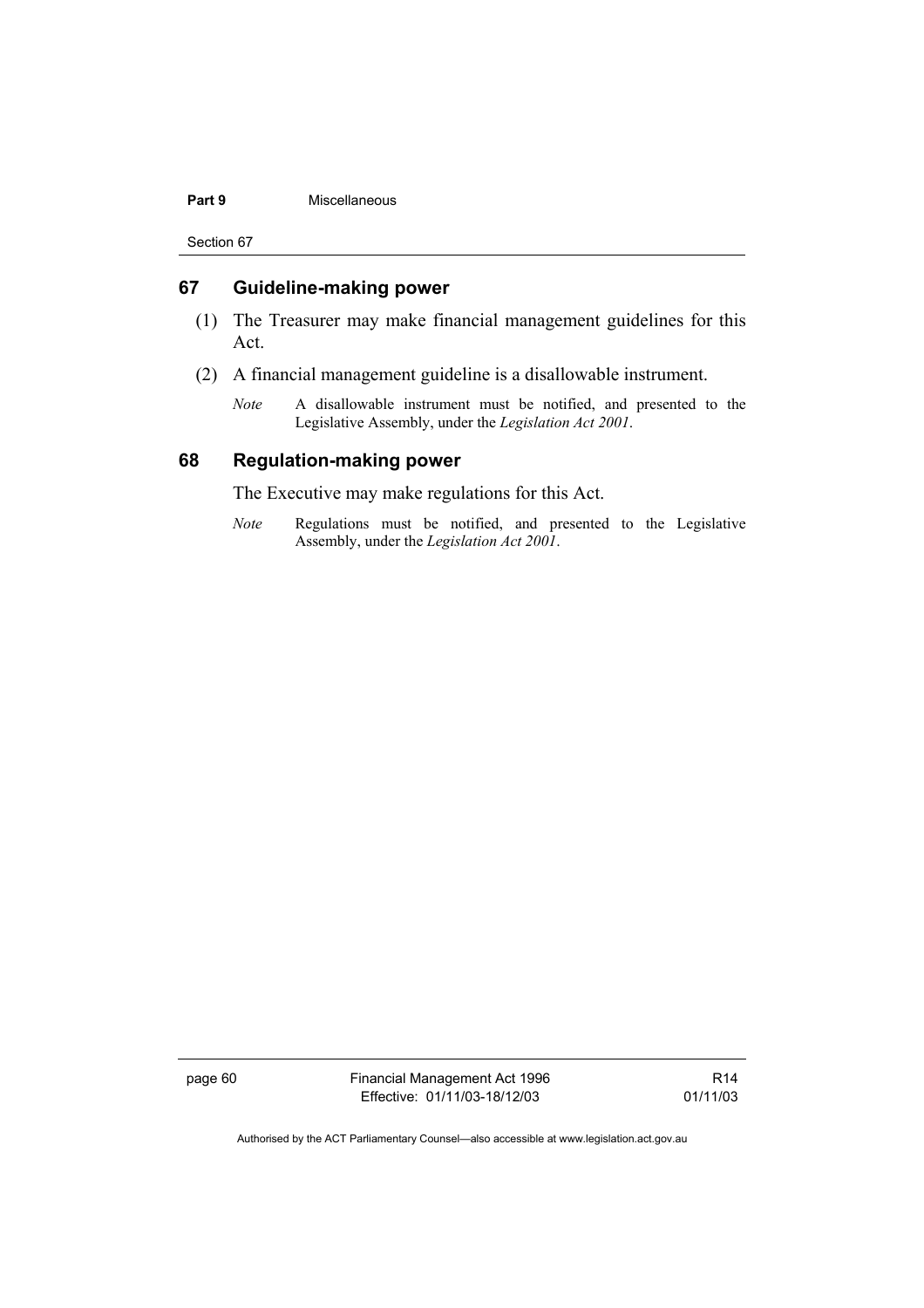#### **Part 9** Miscellaneous

Section 67

### **67 Guideline-making power**

- (1) The Treasurer may make financial management guidelines for this Act.
- (2) A financial management guideline is a disallowable instrument.
	- *Note* A disallowable instrument must be notified, and presented to the Legislative Assembly, under the *Legislation Act 2001*.

#### **68 Regulation-making power**

The Executive may make regulations for this Act.

*Note* Regulations must be notified, and presented to the Legislative Assembly, under the *Legislation Act 2001*.

page 60 Financial Management Act 1996 Effective: 01/11/03-18/12/03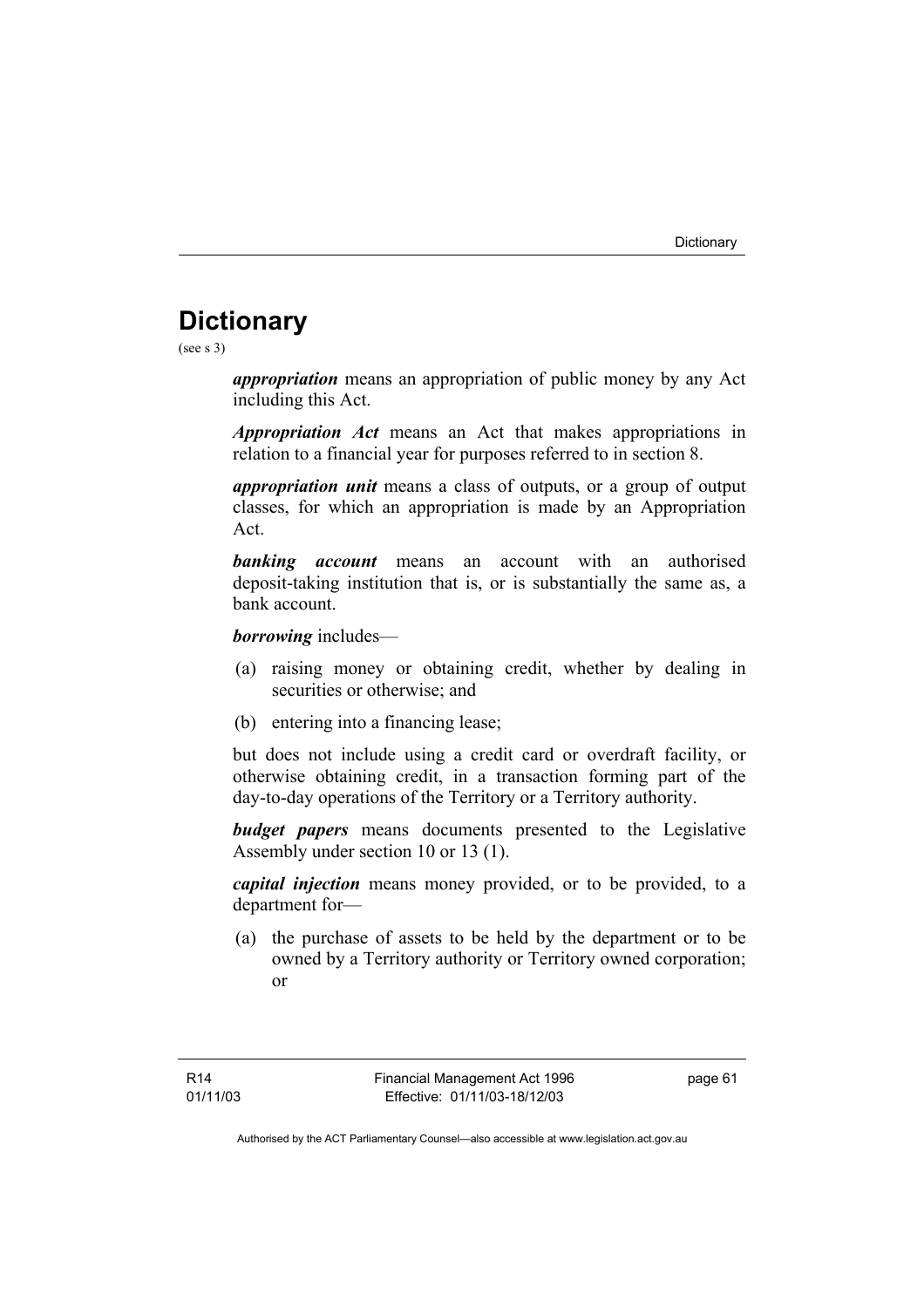# **Dictionary**

(see s 3)

*appropriation* means an appropriation of public money by any Act including this Act.

*Appropriation Act* means an Act that makes appropriations in relation to a financial year for purposes referred to in section 8.

*appropriation unit* means a class of outputs, or a group of output classes, for which an appropriation is made by an Appropriation Act.

*banking account* means an account with an authorised deposit-taking institution that is, or is substantially the same as, a bank account.

*borrowing* includes—

- (a) raising money or obtaining credit, whether by dealing in securities or otherwise; and
- (b) entering into a financing lease;

but does not include using a credit card or overdraft facility, or otherwise obtaining credit, in a transaction forming part of the day-to-day operations of the Territory or a Territory authority.

*budget papers* means documents presented to the Legislative Assembly under section 10 or 13 (1).

*capital injection* means money provided, or to be provided, to a department for—

 (a) the purchase of assets to be held by the department or to be owned by a Territory authority or Territory owned corporation; or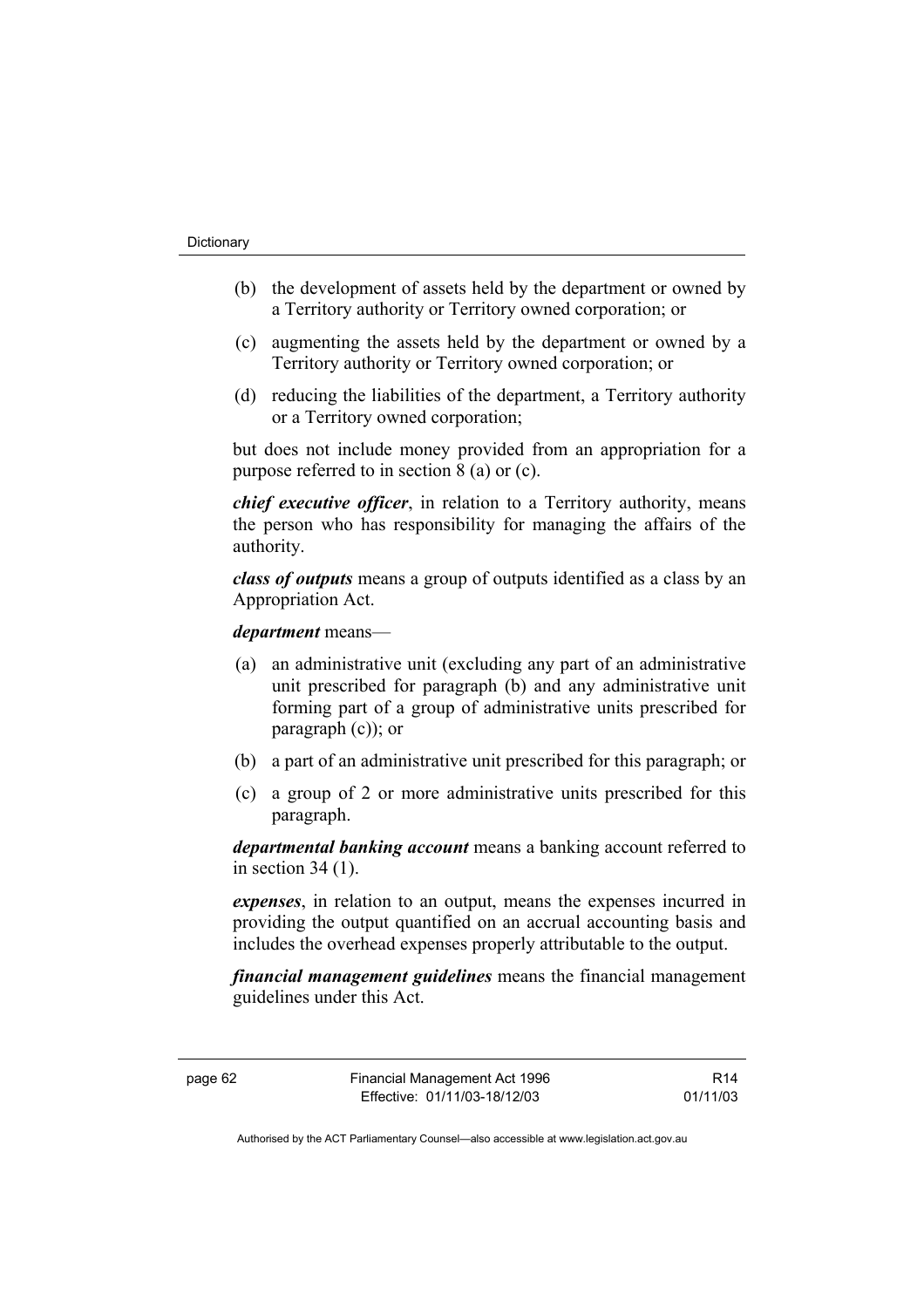- (b) the development of assets held by the department or owned by a Territory authority or Territory owned corporation; or
- (c) augmenting the assets held by the department or owned by a Territory authority or Territory owned corporation; or
- (d) reducing the liabilities of the department, a Territory authority or a Territory owned corporation;

but does not include money provided from an appropriation for a purpose referred to in section 8 (a) or (c).

*chief executive officer*, in relation to a Territory authority, means the person who has responsibility for managing the affairs of the authority.

*class of outputs* means a group of outputs identified as a class by an Appropriation Act.

*department* means—

- (a) an administrative unit (excluding any part of an administrative unit prescribed for paragraph (b) and any administrative unit forming part of a group of administrative units prescribed for paragraph (c)); or
- (b) a part of an administrative unit prescribed for this paragraph; or
- (c) a group of 2 or more administrative units prescribed for this paragraph.

*departmental banking account* means a banking account referred to in section  $34(1)$ .

*expenses*, in relation to an output, means the expenses incurred in providing the output quantified on an accrual accounting basis and includes the overhead expenses properly attributable to the output.

*financial management guidelines* means the financial management guidelines under this Act.

page 62 Financial Management Act 1996 Effective: 01/11/03-18/12/03

R14 01/11/03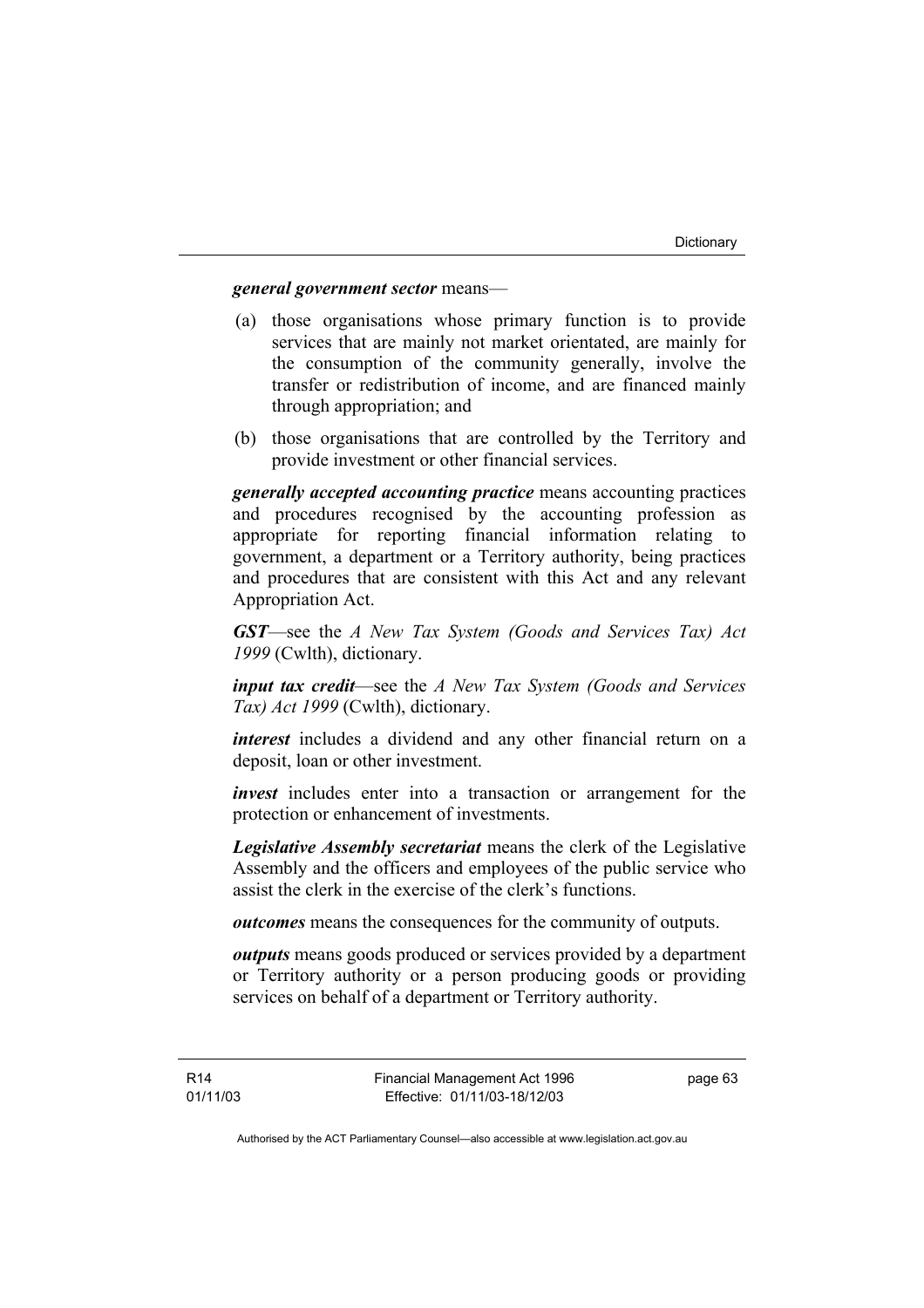#### *general government sector* means—

- (a) those organisations whose primary function is to provide services that are mainly not market orientated, are mainly for the consumption of the community generally, involve the transfer or redistribution of income, and are financed mainly through appropriation; and
- (b) those organisations that are controlled by the Territory and provide investment or other financial services.

*generally accepted accounting practice* means accounting practices and procedures recognised by the accounting profession as appropriate for reporting financial information relating to government, a department or a Territory authority, being practices and procedures that are consistent with this Act and any relevant Appropriation Act.

*GST*—see the *A New Tax System (Goods and Services Tax) Act 1999* (Cwlth), dictionary.

*input tax credit*—see the *A New Tax System (Goods and Services Tax) Act 1999* (Cwlth), dictionary.

*interest* includes a dividend and any other financial return on a deposit, loan or other investment.

*invest* includes enter into a transaction or arrangement for the protection or enhancement of investments.

*Legislative Assembly secretariat* means the clerk of the Legislative Assembly and the officers and employees of the public service who assist the clerk in the exercise of the clerk's functions.

*outcomes* means the consequences for the community of outputs.

*outputs* means goods produced or services provided by a department or Territory authority or a person producing goods or providing services on behalf of a department or Territory authority.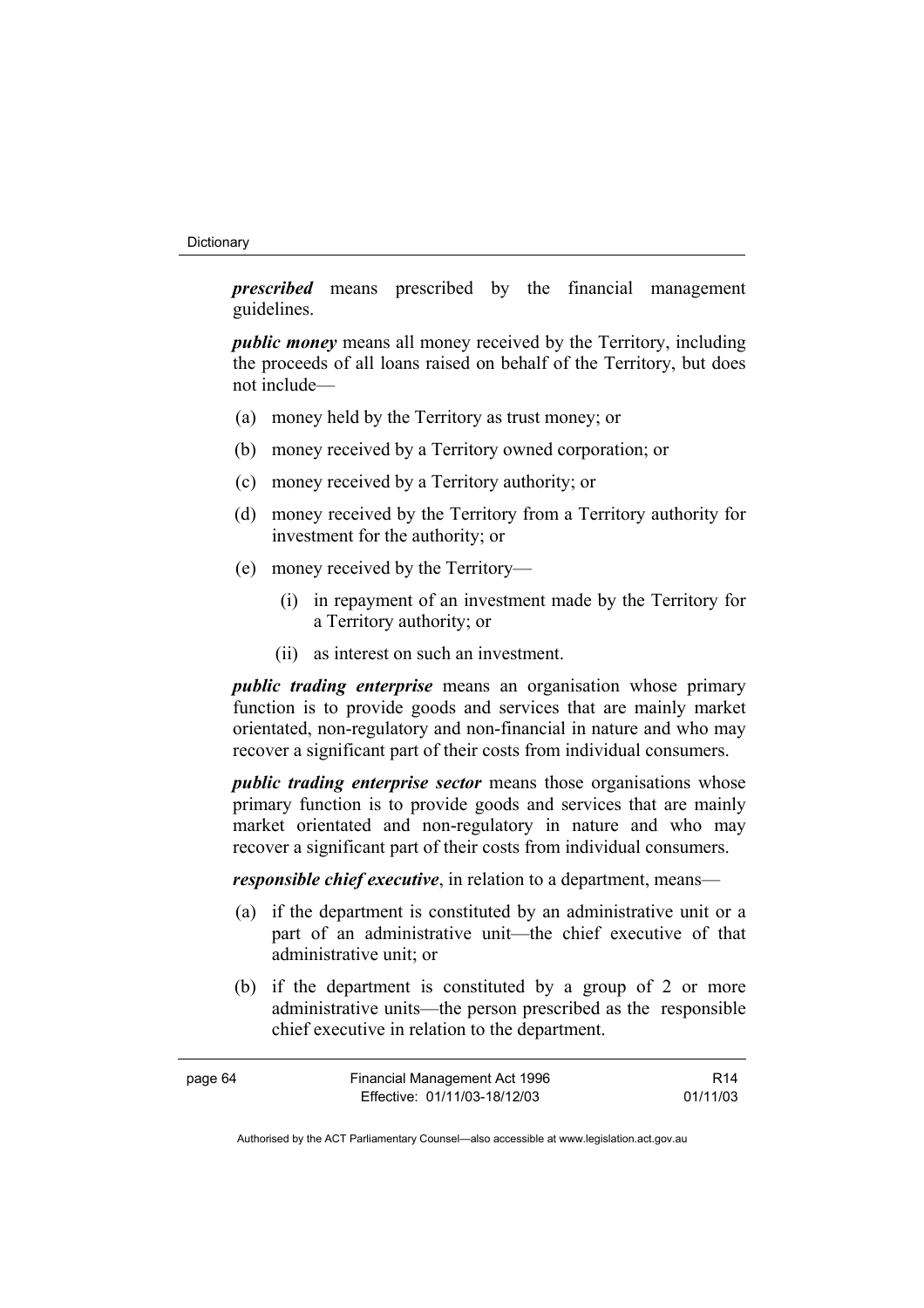#### **Dictionary**

*prescribed* means prescribed by the financial management guidelines.

*public money* means all money received by the Territory, including the proceeds of all loans raised on behalf of the Territory, but does not include—

- (a) money held by the Territory as trust money; or
- (b) money received by a Territory owned corporation; or
- (c) money received by a Territory authority; or
- (d) money received by the Territory from a Territory authority for investment for the authority; or
- (e) money received by the Territory—
	- (i) in repayment of an investment made by the Territory for a Territory authority; or
	- (ii) as interest on such an investment.

*public trading enterprise* means an organisation whose primary function is to provide goods and services that are mainly market orientated, non-regulatory and non-financial in nature and who may recover a significant part of their costs from individual consumers.

*public trading enterprise sector* means those organisations whose primary function is to provide goods and services that are mainly market orientated and non-regulatory in nature and who may recover a significant part of their costs from individual consumers.

*responsible chief executive*, in relation to a department, means—

- (a) if the department is constituted by an administrative unit or a part of an administrative unit—the chief executive of that administrative unit; or
- (b) if the department is constituted by a group of 2 or more administrative units—the person prescribed as the responsible chief executive in relation to the department.

| page 64 | Financial Management Act 1996 | R <sub>14</sub> |
|---------|-------------------------------|-----------------|
|         | Effective: 01/11/03-18/12/03  | 01/11/03        |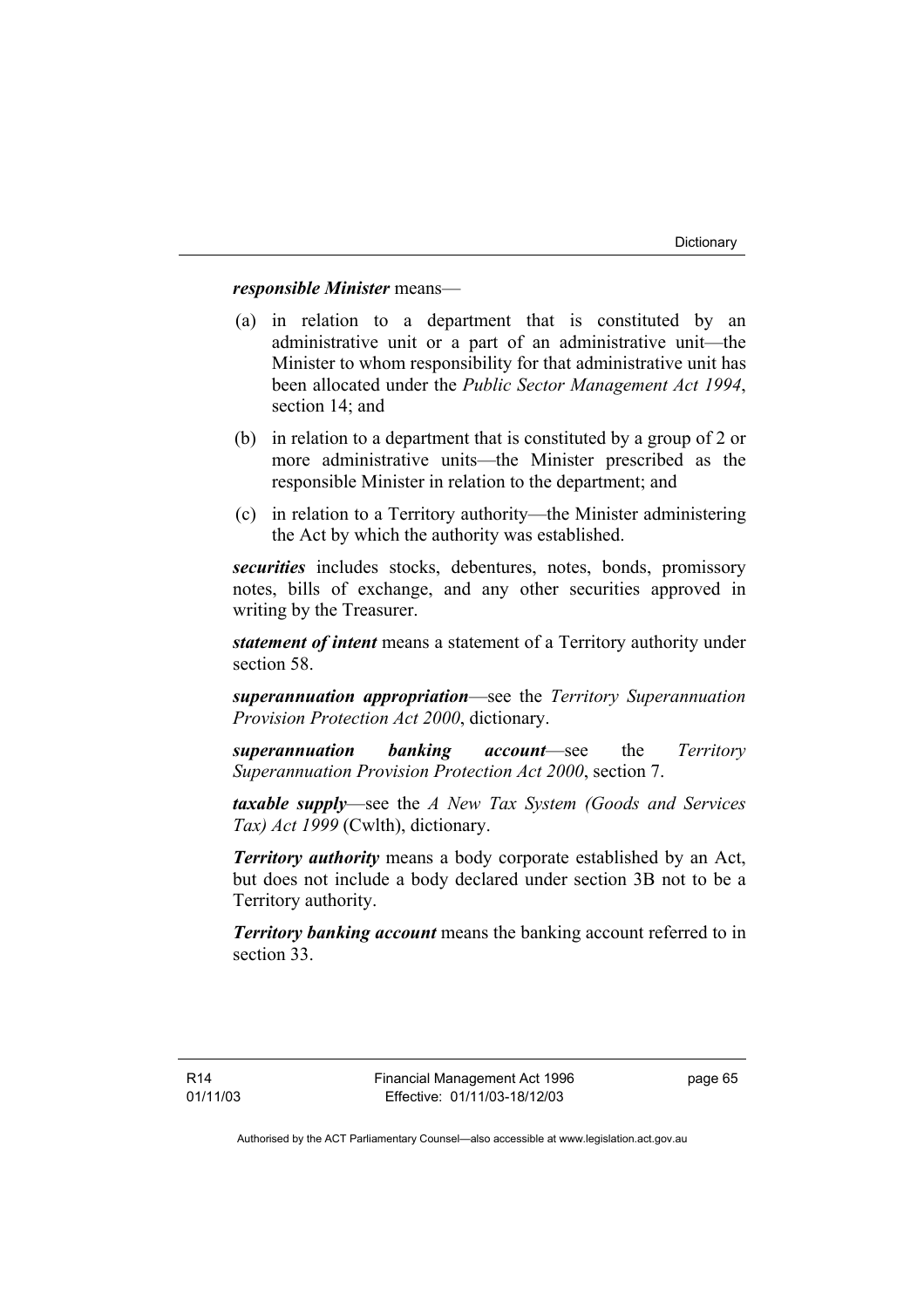## *responsible Minister* means—

- (a) in relation to a department that is constituted by an administrative unit or a part of an administrative unit—the Minister to whom responsibility for that administrative unit has been allocated under the *Public Sector Management Act 1994*, section 14; and
- (b) in relation to a department that is constituted by a group of 2 or more administrative units—the Minister prescribed as the responsible Minister in relation to the department; and
- (c) in relation to a Territory authority—the Minister administering the Act by which the authority was established.

*securities* includes stocks, debentures, notes, bonds, promissory notes, bills of exchange, and any other securities approved in writing by the Treasurer.

*statement of intent* means a statement of a Territory authority under section 58.

*superannuation appropriation*—see the *Territory Superannuation Provision Protection Act 2000*, dictionary.

*superannuation banking account*—see the *Territory Superannuation Provision Protection Act 2000*, section 7.

*taxable supply*—see the *A New Tax System (Goods and Services Tax) Act 1999* (Cwlth), dictionary.

*Territory authority* means a body corporate established by an Act, but does not include a body declared under section 3B not to be a Territory authority.

*Territory banking account* means the banking account referred to in section 33.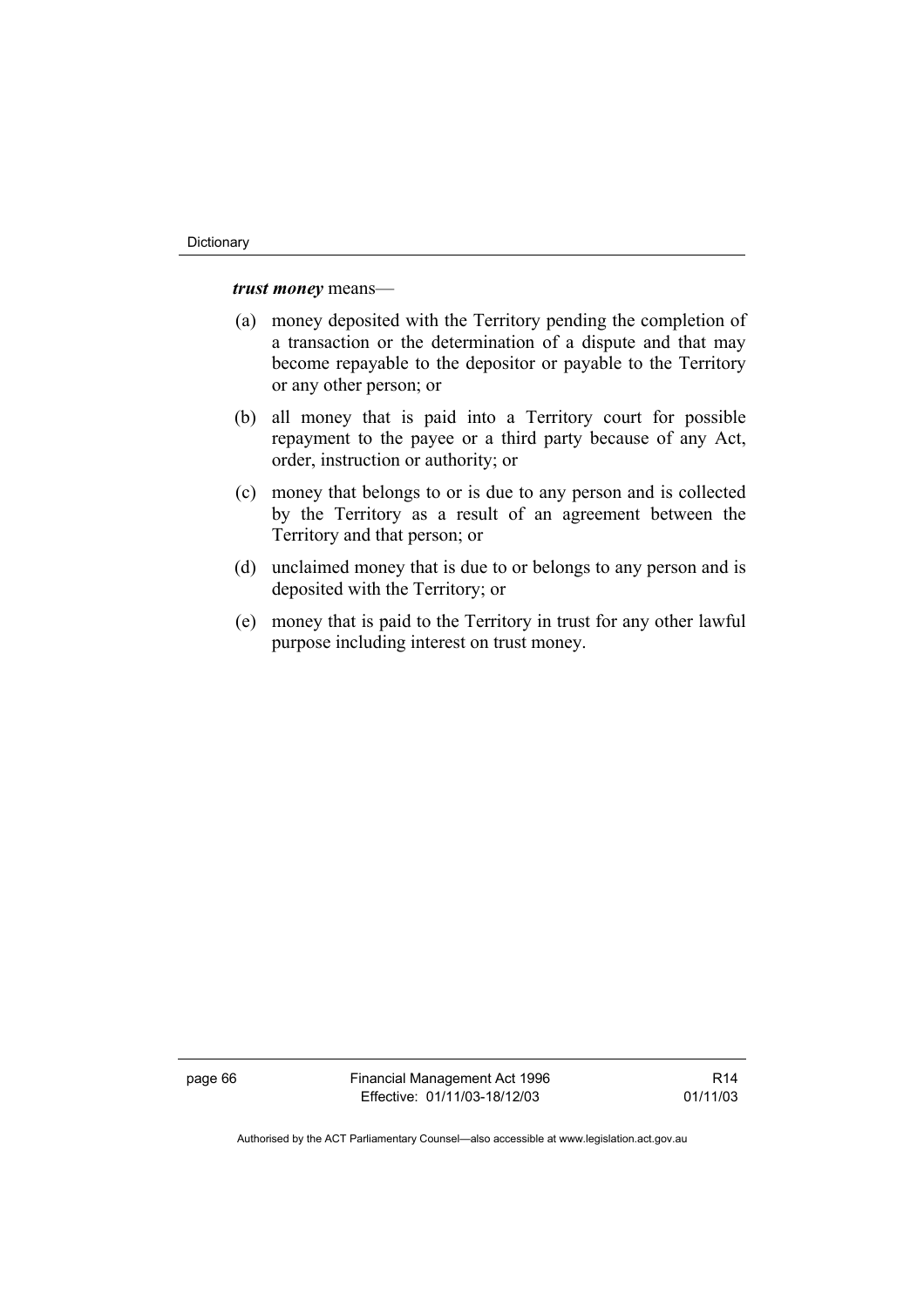### *trust money* means—

- (a) money deposited with the Territory pending the completion of a transaction or the determination of a dispute and that may become repayable to the depositor or payable to the Territory or any other person; or
- (b) all money that is paid into a Territory court for possible repayment to the payee or a third party because of any Act, order, instruction or authority; or
- (c) money that belongs to or is due to any person and is collected by the Territory as a result of an agreement between the Territory and that person; or
- (d) unclaimed money that is due to or belongs to any person and is deposited with the Territory; or
- (e) money that is paid to the Territory in trust for any other lawful purpose including interest on trust money.

page 66 Financial Management Act 1996 Effective: 01/11/03-18/12/03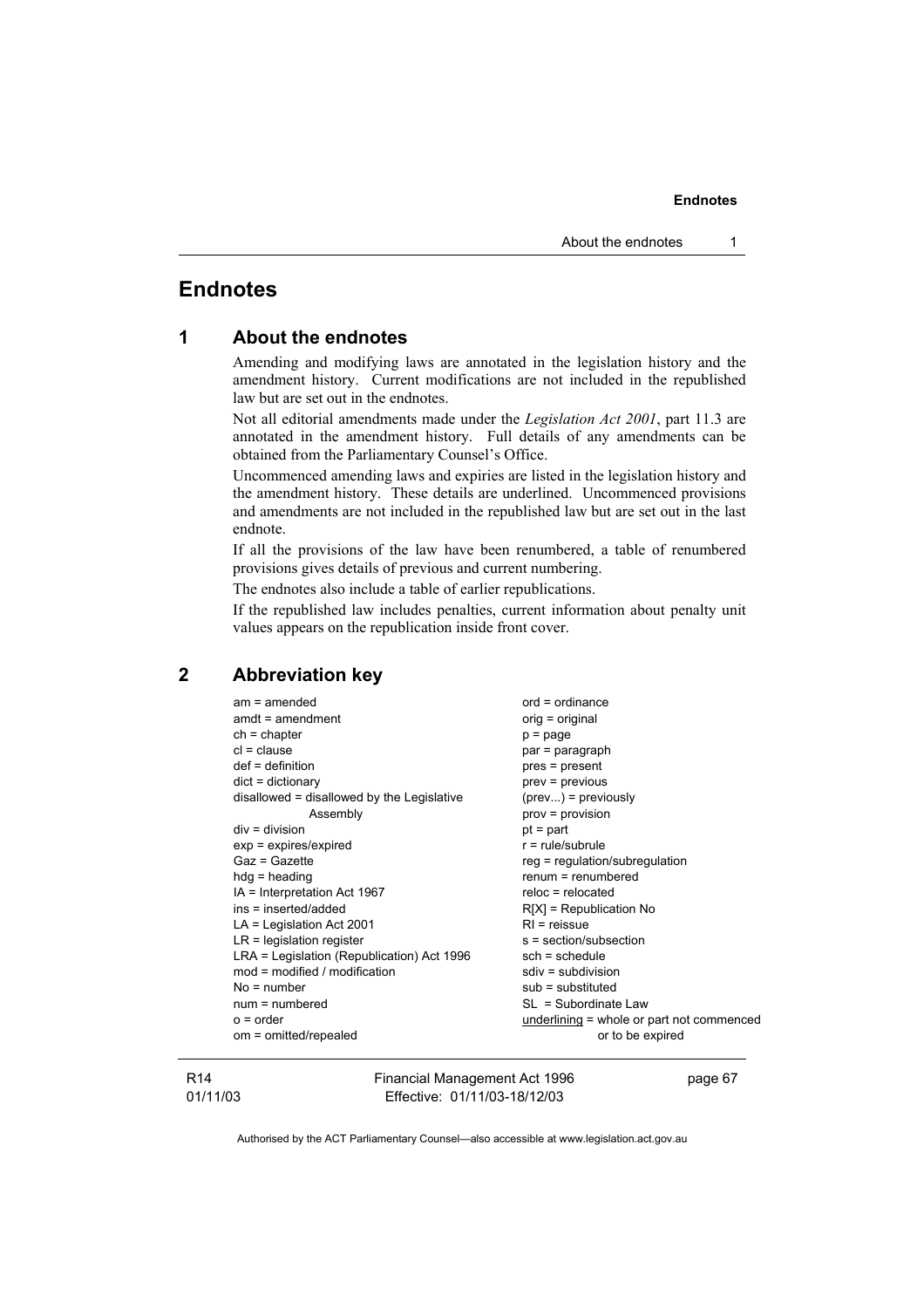# **Endnotes**

| 1 |  |  | <b>About the endnotes</b> |
|---|--|--|---------------------------|
|---|--|--|---------------------------|

Amending and modifying laws are annotated in the legislation history and the amendment history. Current modifications are not included in the republished law but are set out in the endnotes.

Not all editorial amendments made under the *Legislation Act 2001*, part 11.3 are annotated in the amendment history. Full details of any amendments can be obtained from the Parliamentary Counsel's Office.

Uncommenced amending laws and expiries are listed in the legislation history and the amendment history. These details are underlined. Uncommenced provisions and amendments are not included in the republished law but are set out in the last endnote.

If all the provisions of the law have been renumbered, a table of renumbered provisions gives details of previous and current numbering.

The endnotes also include a table of earlier republications.

If the republished law includes penalties, current information about penalty unit values appears on the republication inside front cover.

## **2 Abbreviation key**

| $am = amended$                             | $ord = ordinance$                         |
|--------------------------------------------|-------------------------------------------|
| $amdt = amendment$                         | orig = original                           |
| $ch = chapter$                             | $p = page$                                |
| $cl = clause$                              | par = paragraph                           |
| $def = definition$                         | pres = present                            |
| $dict = dictionary$                        | $prev = previous$                         |
| disallowed = disallowed by the Legislative | $(\text{prev})$ = previously              |
| Assembly                                   | $prov = provision$                        |
| $div = division$                           | $pt = part$                               |
| $exp = expires/expired$                    | $r = rule/subrule$                        |
| Gaz = Gazette                              | $reg = regulation/subregulation$          |
| $hdg =$ heading                            | $renum = renumbered$                      |
| IA = Interpretation Act 1967               | $reloc = relocated$                       |
| ins = inserted/added                       | $R[X]$ = Republication No                 |
| $LA =$ Legislation Act 2001                | $RI = reissue$                            |
| $LR =$ legislation register                | s = section/subsection                    |
| LRA = Legislation (Republication) Act 1996 | $sch = schedule$                          |
| mod = modified / modification              | $sdiv = subdivision$                      |
| $No = number$                              | $sub =$ substituted                       |
| $num = numbered$                           | $SL = Subordinate Law$                    |
| $o = order$                                | underlining = whole or part not commenced |
| om = omitted/repealed                      | or to be expired                          |
|                                            |                                           |

#### R14 01/11/03

Financial Management Act 1996 Effective: 01/11/03-18/12/03

page 67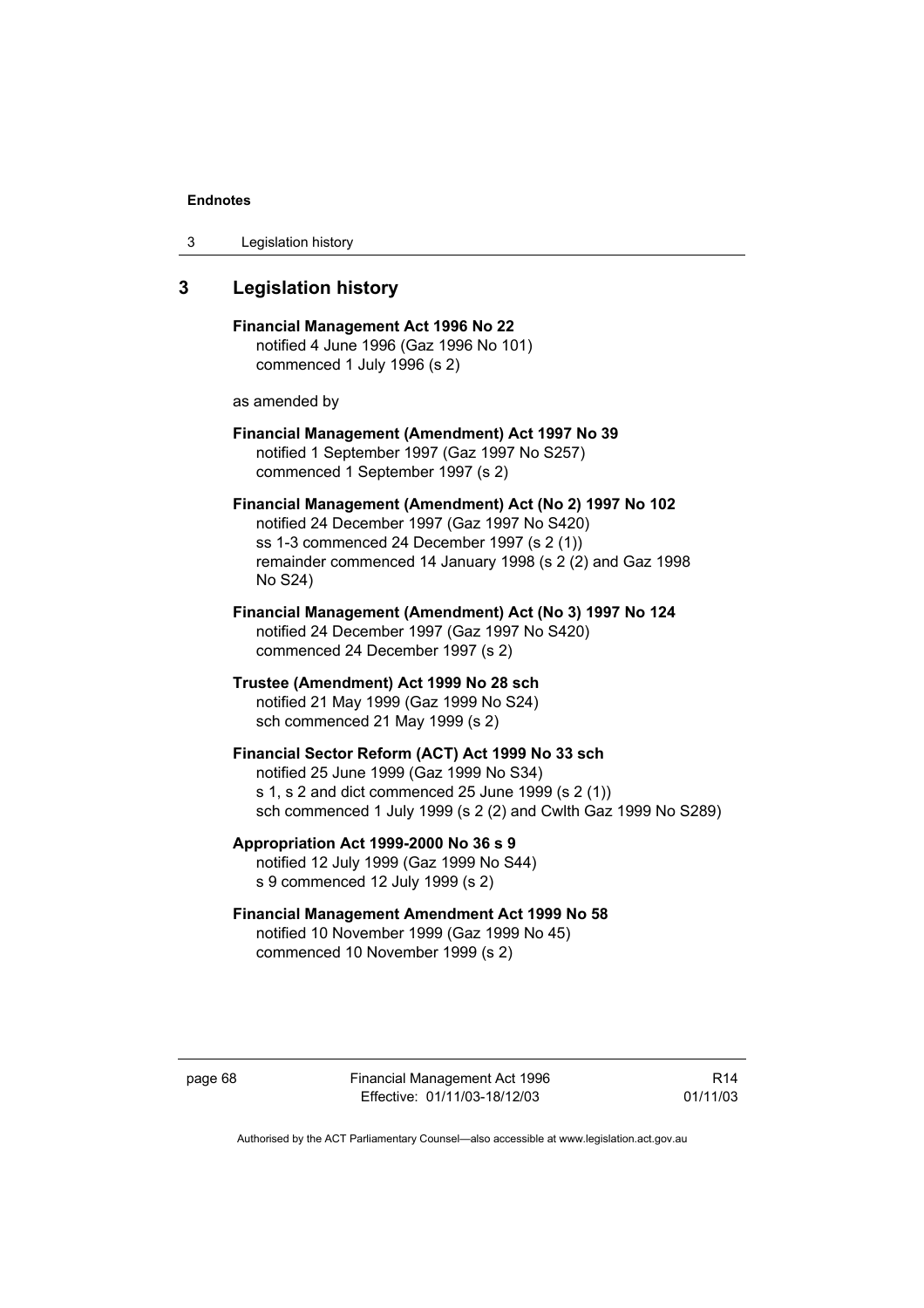3 Legislation history

# **3 Legislation history**

**Financial Management Act 1996 No 22**  notified 4 June 1996 (Gaz 1996 No 101) commenced 1 July 1996 (s 2)

as amended by

**Financial Management (Amendment) Act 1997 No 39**  notified 1 September 1997 (Gaz 1997 No S257) commenced 1 September 1997 (s 2)

**Financial Management (Amendment) Act (No 2) 1997 No 102**  notified 24 December 1997 (Gaz 1997 No S420) ss 1-3 commenced 24 December 1997 (s 2 (1)) remainder commenced 14 January 1998 (s 2 (2) and Gaz 1998 No S24)

- **Financial Management (Amendment) Act (No 3) 1997 No 124**  notified 24 December 1997 (Gaz 1997 No S420) commenced 24 December 1997 (s 2)
- **Trustee (Amendment) Act 1999 No 28 sch**  notified 21 May 1999 (Gaz 1999 No S24) sch commenced 21 May 1999 (s 2)

**Financial Sector Reform (ACT) Act 1999 No 33 sch**  notified 25 June 1999 (Gaz 1999 No S34) s 1, s 2 and dict commenced 25 June 1999 (s 2 (1)) sch commenced 1 July 1999 (s 2 (2) and Cwlth Gaz 1999 No S289)

- **Appropriation Act 1999-2000 No 36 s 9**  notified 12 July 1999 (Gaz 1999 No S44) s 9 commenced 12 July 1999 (s 2)
- **Financial Management Amendment Act 1999 No 58**  notified 10 November 1999 (Gaz 1999 No 45) commenced 10 November 1999 (s 2)

page 68 Financial Management Act 1996 Effective: 01/11/03-18/12/03

R14 01/11/03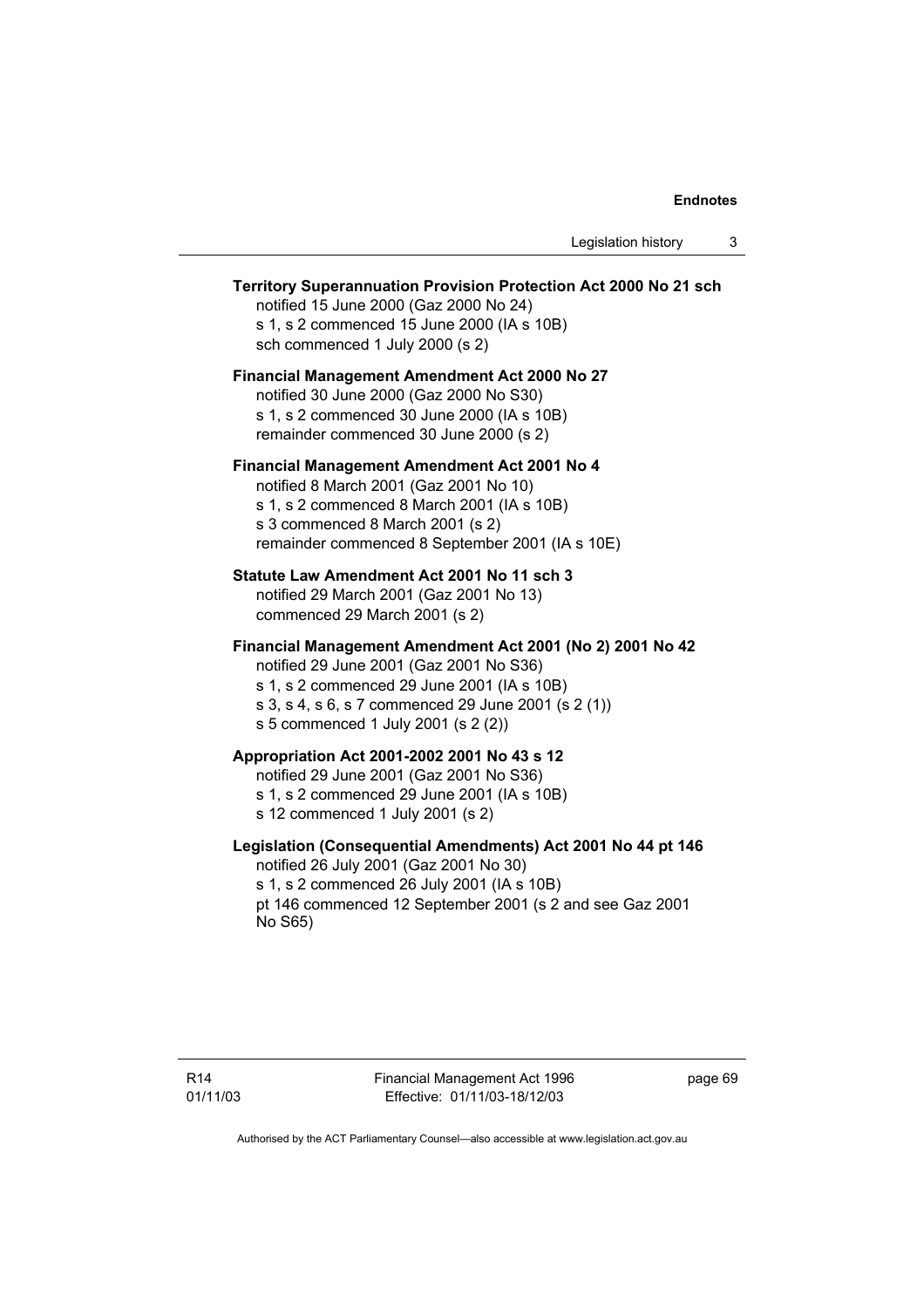Legislation history 3

# **Territory Superannuation Provision Protection Act 2000 No 21 sch**  notified 15 June 2000 (Gaz 2000 No 24) s 1, s 2 commenced 15 June 2000 (IA s 10B) sch commenced 1 July 2000 (s 2) **Financial Management Amendment Act 2000 No 27**  notified 30 June 2000 (Gaz 2000 No S30) s 1, s 2 commenced 30 June 2000 (IA s 10B) remainder commenced 30 June 2000 (s 2) **Financial Management Amendment Act 2001 No 4**  notified 8 March 2001 (Gaz 2001 No 10) s 1, s 2 commenced 8 March 2001 (IA s 10B) s 3 commenced 8 March 2001 (s 2) remainder commenced 8 September 2001 (IA s 10E) **Statute Law Amendment Act 2001 No 11 sch 3**  notified 29 March 2001 (Gaz 2001 No 13) commenced 29 March 2001 (s 2) **Financial Management Amendment Act 2001 (No 2) 2001 No 42**  notified 29 June 2001 (Gaz 2001 No S36) s 1, s 2 commenced 29 June 2001 (IA s 10B) s 3, s 4, s 6, s 7 commenced 29 June 2001 (s 2 (1)) s 5 commenced 1 July 2001 (s 2 (2)) **Appropriation Act 2001-2002 2001 No 43 s 12**  notified 29 June 2001 (Gaz 2001 No S36) s 1, s 2 commenced 29 June 2001 (IA s 10B) s 12 commenced 1 July 2001 (s 2) **Legislation (Consequential Amendments) Act 2001 No 44 pt 146**  notified 26 July 2001 (Gaz 2001 No 30) s 1, s 2 commenced 26 July 2001 (IA s 10B) pt 146 commenced 12 September 2001 (s 2 and see Gaz 2001 No S65)

page 69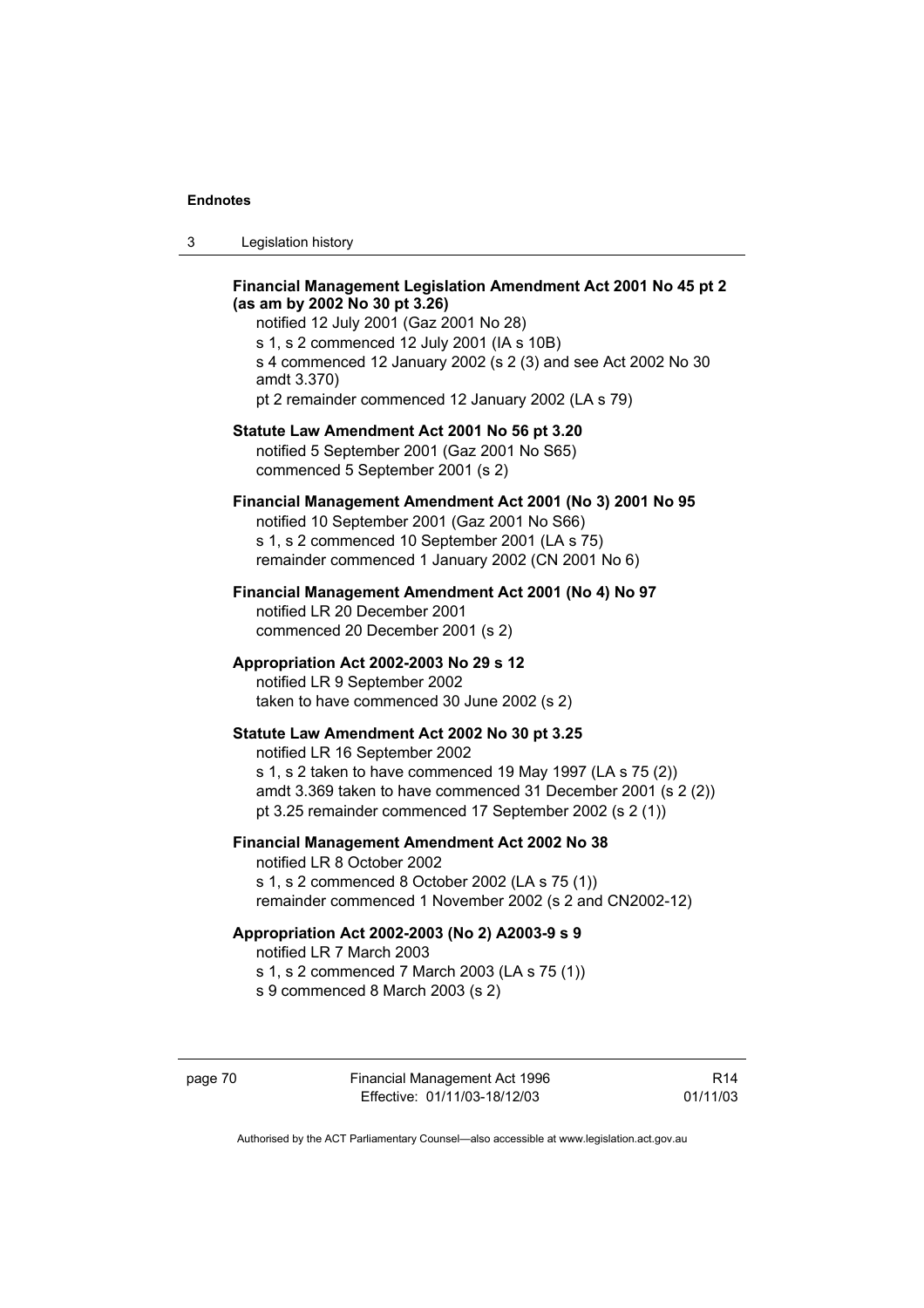| 3 | Legislation history |
|---|---------------------|
|---|---------------------|

### **Financial Management Legislation Amendment Act 2001 No 45 pt 2 (as am by 2002 No 30 pt 3.26)**

notified 12 July 2001 (Gaz 2001 No 28) s 1, s 2 commenced 12 July 2001 (IA s 10B) s 4 commenced 12 January 2002 (s 2 (3) and see Act 2002 No 30 amdt 3.370)

pt 2 remainder commenced 12 January 2002 (LA s 79)

## **Statute Law Amendment Act 2001 No 56 pt 3.20**

notified 5 September 2001 (Gaz 2001 No S65) commenced 5 September 2001 (s 2)

## **Financial Management Amendment Act 2001 (No 3) 2001 No 95**

notified 10 September 2001 (Gaz 2001 No S66) s 1, s 2 commenced 10 September 2001 (LA s 75) remainder commenced 1 January 2002 (CN 2001 No 6)

#### **Financial Management Amendment Act 2001 (No 4) No 97**

notified LR 20 December 2001 commenced 20 December 2001 (s 2)

### **Appropriation Act 2002-2003 No 29 s 12**

notified LR 9 September 2002 taken to have commenced 30 June 2002 (s 2)

### **Statute Law Amendment Act 2002 No 30 pt 3.25**

notified LR 16 September 2002 s 1, s 2 taken to have commenced 19 May 1997 (LA s 75 (2)) amdt 3.369 taken to have commenced 31 December 2001 (s 2 (2))

pt 3.25 remainder commenced 17 September 2002 (s 2 (1))

# **Financial Management Amendment Act 2002 No 38**  notified LR 8 October 2002

s 1, s 2 commenced 8 October 2002 (LA s 75 (1)) remainder commenced 1 November 2002 (s 2 and CN2002-12)

### **Appropriation Act 2002-2003 (No 2) A2003-9 s 9**

notified LR 7 March 2003

s 1, s 2 commenced 7 March 2003 (LA s 75 (1)) s 9 commenced 8 March 2003 (s 2)

page 70 Financial Management Act 1996 Effective: 01/11/03-18/12/03

R14 01/11/03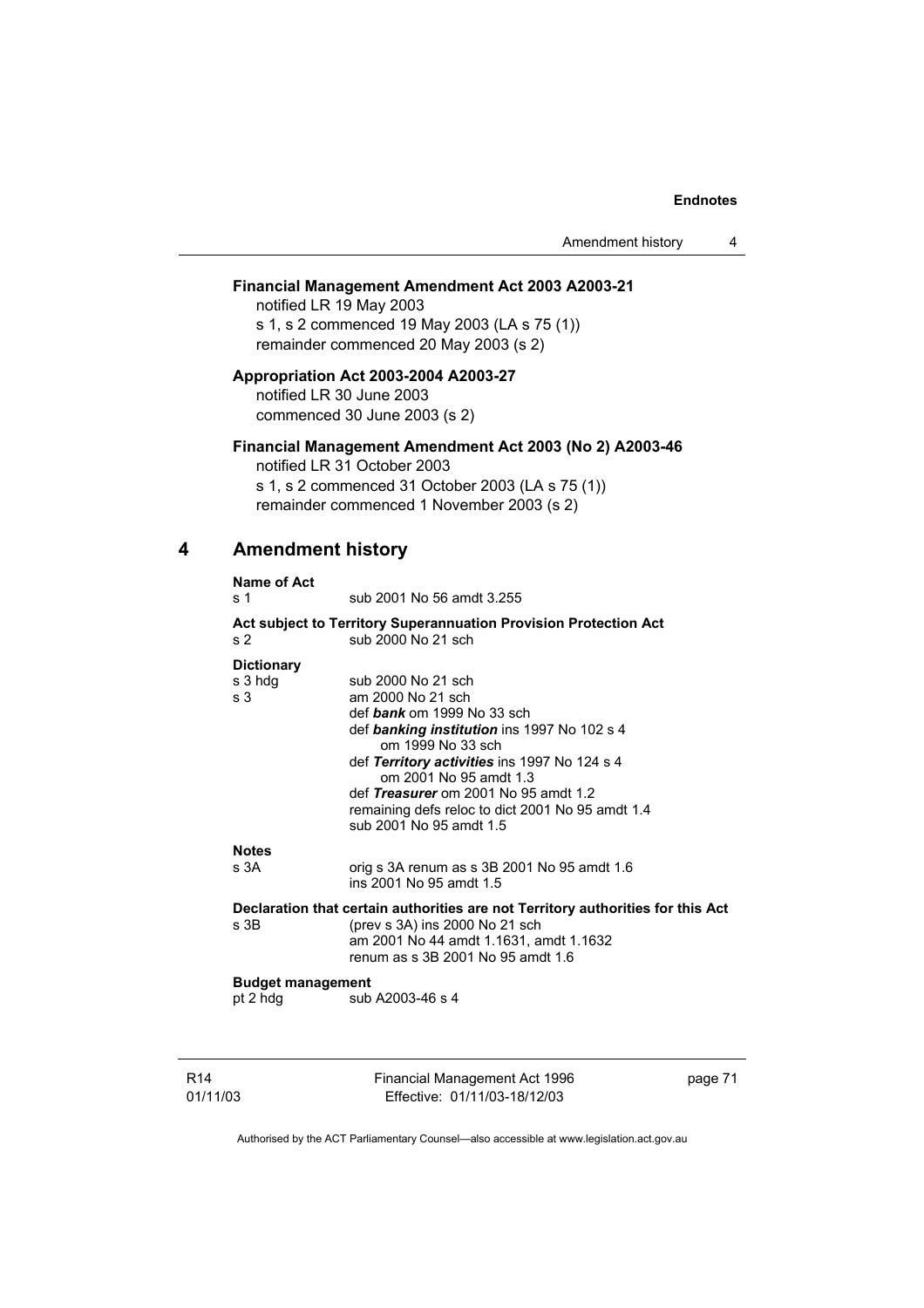Amendment history 4

### **Financial Management Amendment Act 2003 A2003-21**

notified LR 19 May 2003 s 1, s 2 commenced 19 May 2003 (LA s 75 (1)) remainder commenced 20 May 2003 (s 2)

**Appropriation Act 2003-2004 A2003-27**  notified LR 30 June 2003 commenced 30 June 2003 (s 2)

### **Financial Management Amendment Act 2003 (No 2) A2003-46**

notified LR 31 October 2003 s 1, s 2 commenced 31 October 2003 (LA s 75 (1)) remainder commenced 1 November 2003 (s 2)

### **4 Amendment history**

| Name of Act                                    |                                                                                                                                                                                                                                                                                                                                                                        |
|------------------------------------------------|------------------------------------------------------------------------------------------------------------------------------------------------------------------------------------------------------------------------------------------------------------------------------------------------------------------------------------------------------------------------|
| s <sub>1</sub>                                 | sub 2001 No 56 amdt 3.255                                                                                                                                                                                                                                                                                                                                              |
| s 2                                            | <b>Act subject to Territory Superannuation Provision Protection Act</b><br>sub 2000 No 21 sch                                                                                                                                                                                                                                                                          |
| <b>Dictionary</b><br>s 3 hdg<br>s <sub>3</sub> | sub 2000 No 21 sch<br>am 2000 No 21 sch<br>def $bank \text{ om } 1999 \text{ No } 33 \text{ sch}$<br>def banking institution ins 1997 No 102 s 4<br>om 1999 No 33 sch<br>def Territory activities ins 1997 No 124 s 4<br>om 2001 No 95 amdt 1.3<br>def Treasurer om 2001 No 95 amdt 1.2<br>remaining defs reloc to dict 2001 No 95 amdt 1.4<br>sub 2001 No 95 amdt 1.5 |
| <b>Notes</b><br>s 3A                           | orig s 3A renum as s 3B 2001 No 95 amdt 1.6<br>ins 2001 No 95 amdt 1.5                                                                                                                                                                                                                                                                                                 |
| s 3B                                           | Declaration that certain authorities are not Territory authorities for this Act<br>(prev s 3A) ins 2000 No 21 sch<br>am 2001 No 44 amdt 1.1631, amdt 1.1632<br>renum as s 3B 2001 No 95 amdt 1.6                                                                                                                                                                       |
| <b>Budget management</b><br>pt 2 hdg           | sub A2003-46 s 4                                                                                                                                                                                                                                                                                                                                                       |

R14 01/11/03 Financial Management Act 1996 Effective: 01/11/03-18/12/03

page 71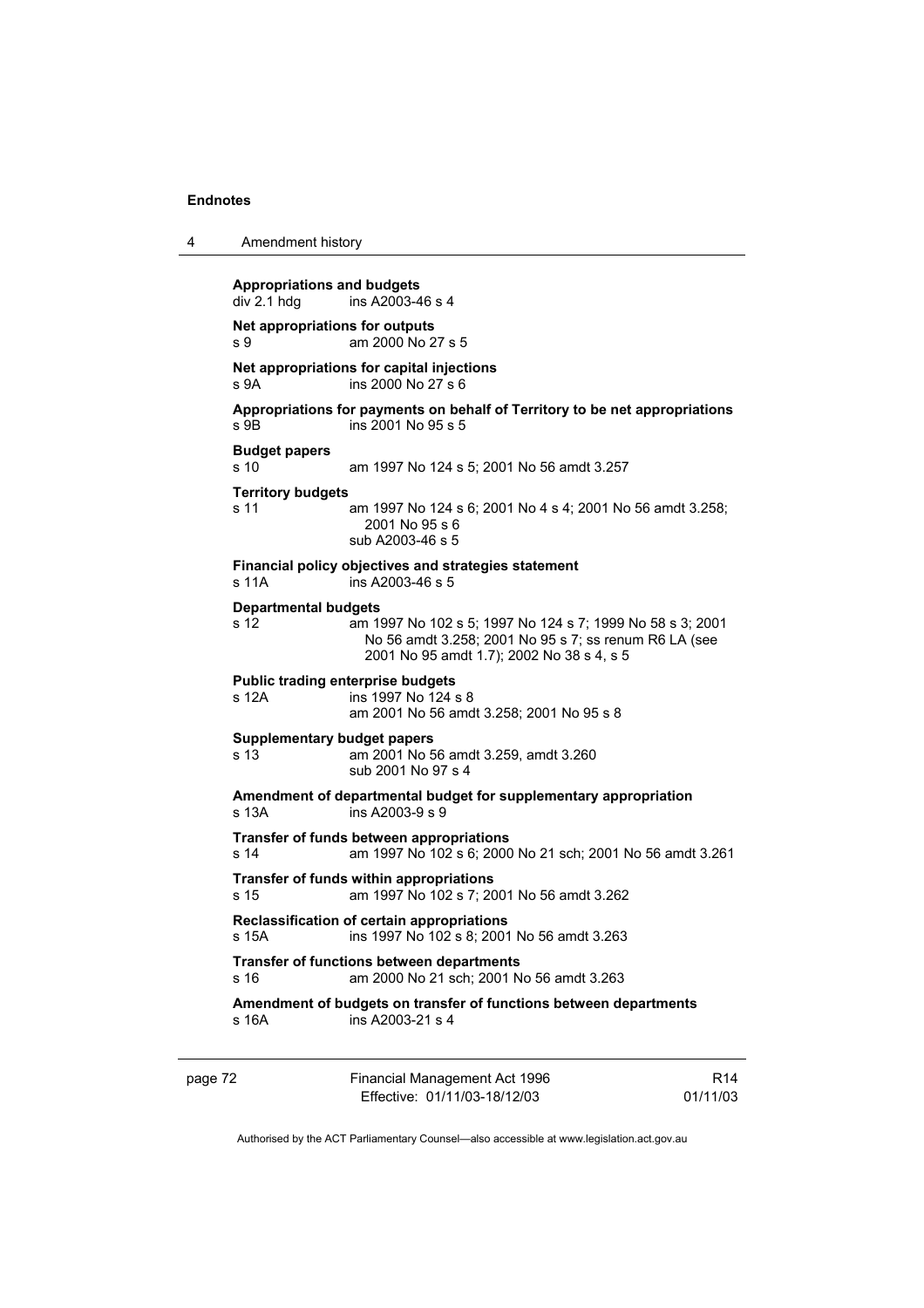4 Amendment history

|         | <b>Appropriations and budgets</b><br>div 2.1 hdg | ins A2003-46 s 4                                                                                                                                                |                             |
|---------|--------------------------------------------------|-----------------------------------------------------------------------------------------------------------------------------------------------------------------|-----------------------------|
|         | s 9                                              | Net appropriations for outputs<br>am 2000 No 27 s 5                                                                                                             |                             |
|         | s 9A                                             | Net appropriations for capital injections<br>ins 2000 No 27 s 6                                                                                                 |                             |
|         | s 9B                                             | Appropriations for payments on behalf of Territory to be net appropriations<br>ins 2001 No 95 s 5                                                               |                             |
|         | <b>Budget papers</b><br>s 10                     | am 1997 No 124 s 5; 2001 No 56 amdt 3.257                                                                                                                       |                             |
|         | <b>Territory budgets</b><br>s 11                 | am 1997 No 124 s 6; 2001 No 4 s 4; 2001 No 56 amdt 3.258;<br>2001 No 95 s 6<br>sub A2003-46 s 5                                                                 |                             |
|         | s 11A                                            | Financial policy objectives and strategies statement<br>ins A2003-46 s 5                                                                                        |                             |
|         | <b>Departmental budgets</b><br>s 12              | am 1997 No 102 s 5; 1997 No 124 s 7; 1999 No 58 s 3; 2001<br>No 56 amdt 3.258; 2001 No 95 s 7; ss renum R6 LA (see<br>2001 No 95 amdt 1.7); 2002 No 38 s 4, s 5 |                             |
|         | s 12A                                            | <b>Public trading enterprise budgets</b><br>ins 1997 No 124 s 8<br>am 2001 No 56 amdt 3.258; 2001 No 95 s 8                                                     |                             |
|         | s 13                                             | <b>Supplementary budget papers</b><br>am 2001 No 56 amdt 3.259, amdt 3.260<br>sub 2001 No 97 s 4                                                                |                             |
|         | s 13A                                            | Amendment of departmental budget for supplementary appropriation<br>ins A2003-9 s 9                                                                             |                             |
|         | s 14                                             | Transfer of funds between appropriations<br>am 1997 No 102 s 6; 2000 No 21 sch; 2001 No 56 amdt 3.261                                                           |                             |
|         | s 15                                             | Transfer of funds within appropriations<br>am 1997 No 102 s 7; 2001 No 56 amdt 3.262                                                                            |                             |
|         | s 15A                                            | Reclassification of certain appropriations<br>ins 1997 No 102 s 8; 2001 No 56 amdt 3.263                                                                        |                             |
|         | s 16                                             | Transfer of functions between departments<br>am 2000 No 21 sch; 2001 No 56 amdt 3.263                                                                           |                             |
|         | s 16A                                            | Amendment of budgets on transfer of functions between departments<br>ins A2003-21 s 4                                                                           |                             |
| page 72 |                                                  | Financial Management Act 1996<br>Effective: 01/11/03-18/12/03                                                                                                   | R <sub>14</sub><br>01/11/03 |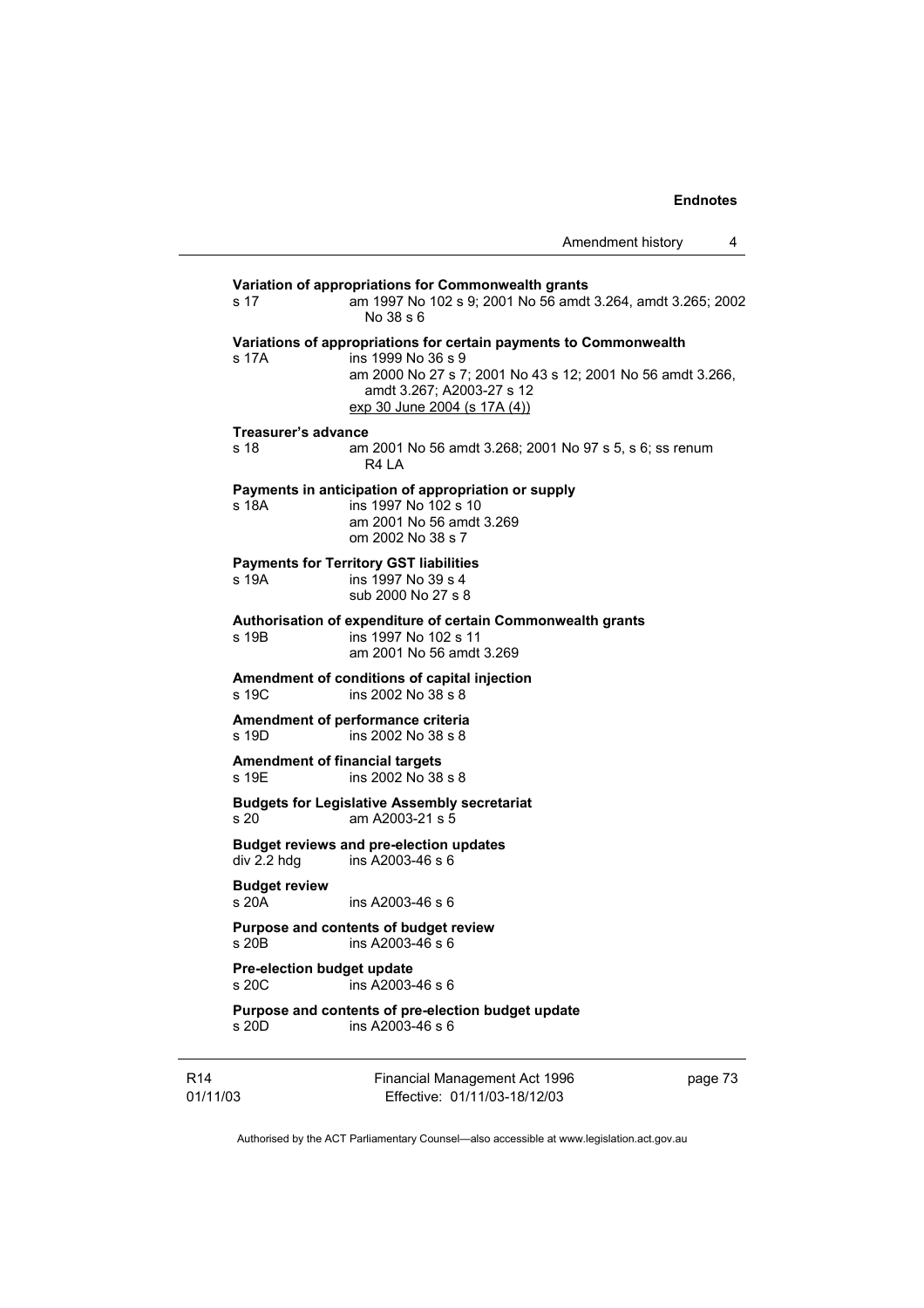**Variation of appropriations for Commonwealth grants** s 17 am 1997 No 102 s 9; 2001 No 56 amdt 3.264, amdt 3.265; 2002 No 38 s 6 **Variations of appropriations for certain payments to Commonwealth** s 17A ins 1999 No 36 s 9 am 2000 No 27 s 7; 2001 No 43 s 12; 2001 No 56 amdt 3.266, amdt 3.267; A2003-27 s 12 exp 30 June 2004 (s 17A (4)) **Treasurer's advance**  s 18 am 2001 No 56 amdt 3.268; 2001 No 97 s 5, s 6; ss renum R4 LA **Payments in anticipation of appropriation or supply** s 18A ins 1997 No 102 s 10 am 2001 No 56 amdt 3.269 om 2002 No 38 s 7 **Payments for Territory GST liabilities** s 19A ins 1997 No 39 s 4 sub 2000 No 27 s 8 **Authorisation of expenditure of certain Commonwealth grants**  ins 1997 No 102 s 11 am 2001 No 56 amdt 3.269 **Amendment of conditions of capital injection**  s 19C ins 2002 No 38 s 8 **Amendment of performance criteria**  s 19D ins 2002 No 38 s 8 **Amendment of financial targets**   $ins 2002 No 38 s 8$ **Budgets for Legislative Assembly secretariat**  s 20 am A2003-21 s 5 **Budget reviews and pre-election updates**   $ins$  A2003-46 s 6 **Budget review**  s 20A ins A2003-46 s 6 **Purpose and contents of budget review**   $ins A2003-46 s 6$ **Pre-election budget update**  s 20C ins A2003-46 s 6 **Purpose and contents of pre-election budget update** 

s 20D ins A2003-46 s 6

R14 01/11/03 Financial Management Act 1996 Effective: 01/11/03-18/12/03

page 73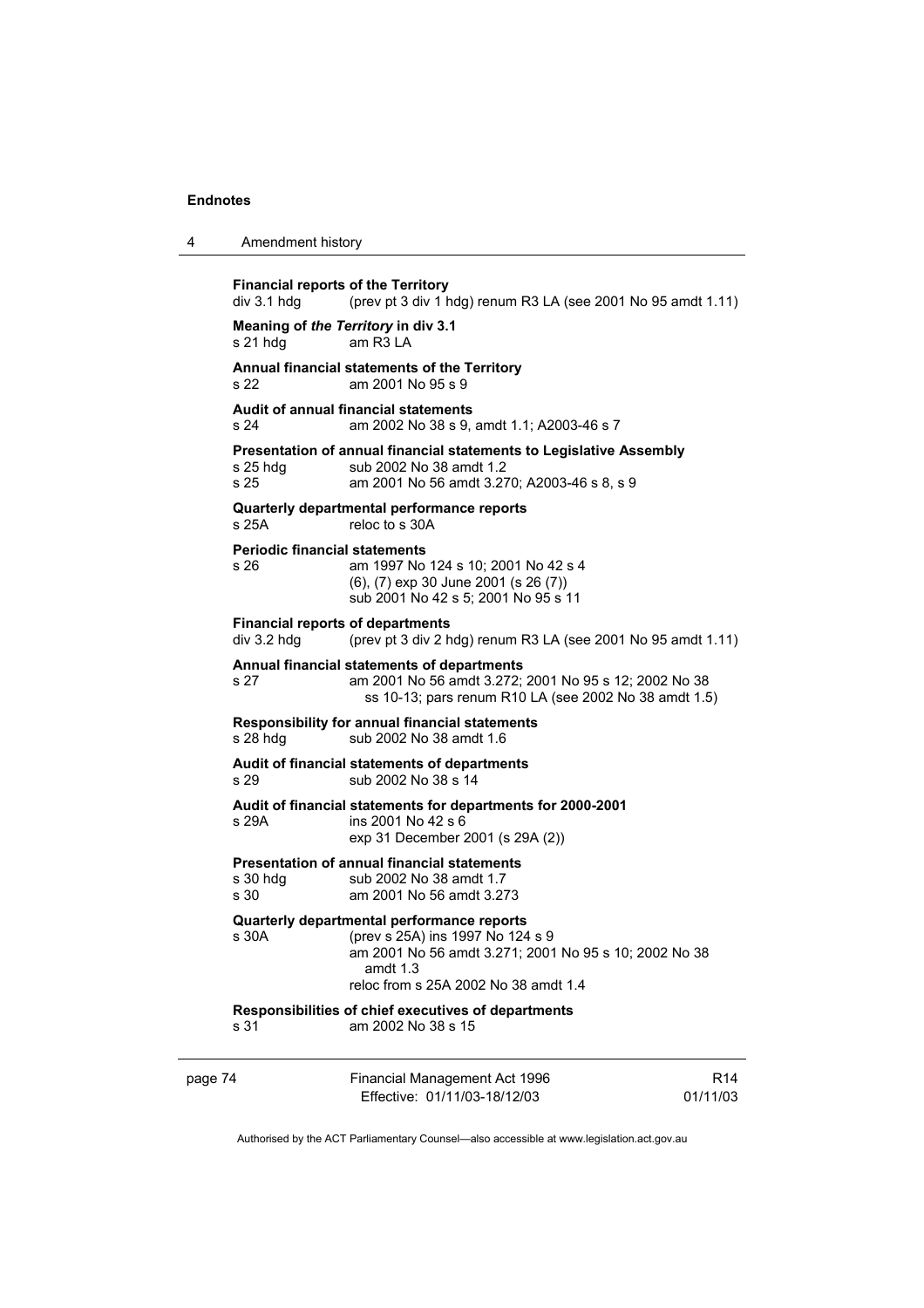| 4 | Amendment history |
|---|-------------------|
|---|-------------------|

| <b>Financial reports of the Territory</b><br>div 3.1 hdg | (prev pt 3 div 1 hdg) renum R3 LA (see 2001 No 95 amdt 1.11)                                                                                                                                |                             |
|----------------------------------------------------------|---------------------------------------------------------------------------------------------------------------------------------------------------------------------------------------------|-----------------------------|
| Meaning of the Territory in div 3.1<br>s 21 hdg          | am R <sub>3</sub> LA                                                                                                                                                                        |                             |
| s 22                                                     | Annual financial statements of the Territory<br>am 2001 No 95 s 9                                                                                                                           |                             |
| s 24                                                     | <b>Audit of annual financial statements</b><br>am 2002 No 38 s 9, amdt 1.1; A2003-46 s 7                                                                                                    |                             |
| $s$ 25 hdg<br>s 25                                       | Presentation of annual financial statements to Legislative Assembly<br>sub 2002 No 38 amdt 1.2<br>am 2001 No 56 amdt 3.270; A2003-46 s 8, s 9                                               |                             |
| s 25A                                                    | Quarterly departmental performance reports<br>reloc to s 30A                                                                                                                                |                             |
| <b>Periodic financial statements</b><br>s 26             | am 1997 No 124 s 10; 2001 No 42 s 4<br>(6), (7) exp 30 June 2001 (s 26 (7))<br>sub 2001 No 42 s 5; 2001 No 95 s 11                                                                          |                             |
| <b>Financial reports of departments</b><br>div 3.2 hdg   | (prev pt 3 div 2 hdg) renum R3 LA (see 2001 No 95 amdt 1.11)                                                                                                                                |                             |
| s 27                                                     | Annual financial statements of departments<br>am 2001 No 56 amdt 3.272; 2001 No 95 s 12; 2002 No 38<br>ss 10-13; pars renum R10 LA (see 2002 No 38 amdt 1.5)                                |                             |
| s 28 hdg                                                 | <b>Responsibility for annual financial statements</b><br>sub 2002 No 38 amdt 1.6                                                                                                            |                             |
| s 29                                                     | Audit of financial statements of departments<br>sub 2002 No 38 s 14                                                                                                                         |                             |
| s 29A                                                    | Audit of financial statements for departments for 2000-2001<br>ins 2001 No 42 s 6<br>exp 31 December 2001 (s 29A (2))                                                                       |                             |
| s 30 hdg<br>s 30                                         | <b>Presentation of annual financial statements</b><br>sub 2002 No 38 amdt 1.7<br>am 2001 No 56 amdt 3.273                                                                                   |                             |
| s 30A                                                    | Quarterly departmental performance reports<br>(prev s 25A) ins 1997 No 124 s 9<br>am 2001 No 56 amdt 3.271; 2001 No 95 s 10; 2002 No 38<br>amdt 1.3<br>reloc from s 25A 2002 No 38 amdt 1.4 |                             |
| s 31                                                     | Responsibilities of chief executives of departments<br>am 2002 No 38 s 15                                                                                                                   |                             |
| page 74                                                  | Financial Management Act 1996<br>Effective: 01/11/03-18/12/03                                                                                                                               | R <sub>14</sub><br>01/11/03 |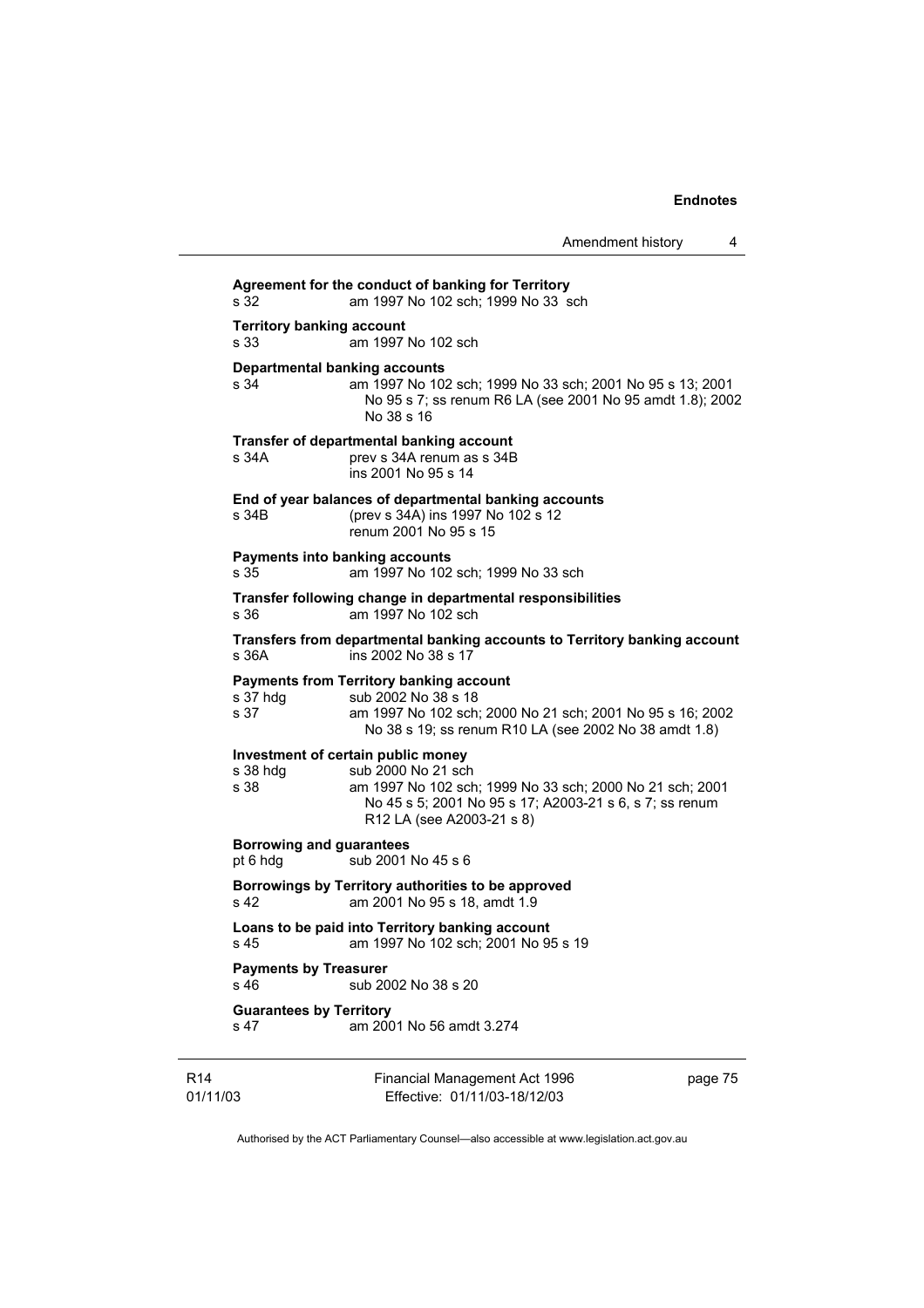R14 Financial Management Act 1996 page 75 **Agreement for the conduct of banking for Territory** s 32 am 1997 No 102 sch; 1999 No 33 sch **Territory banking account**<br>s 33 am 1997 am 1997 No 102 sch **Departmental banking accounts**  s 34 am 1997 No 102 sch; 1999 No 33 sch; 2001 No 95 s 13; 2001 No 95 s 7; ss renum R6 LA (see 2001 No 95 amdt 1.8); 2002 No 38 s 16 **Transfer of departmental banking account**  s 34A prev s 34A renum as s 34B ins 2001 No 95 s 14 **End of year balances of departmental banking accounts** s 34B (prev s 34A) ins 1997 No 102 s 12 renum 2001 No 95 s 15 **Payments into banking accounts**<br>s 35 am 1997 No 102 am 1997 No 102 sch; 1999 No 33 sch **Transfer following change in departmental responsibilities** s 36 am 1997 No 102 sch **Transfers from departmental banking accounts to Territory banking account**  ins 2002 No 38 s 17 **Payments from Territory banking account**  s 37 hdg sub 2002 No 38 s 18 s 37 am 1997 No 102 sch; 2000 No 21 sch; 2001 No 95 s 16; 2002 No 38 s 19; ss renum R10 LA (see 2002 No 38 amdt 1.8) **Investment of certain public money**  s 38 hdg sub 2000 No 21 sch s 38 am 1997 No 102 sch; 1999 No 33 sch; 2000 No 21 sch; 2001 No 45 s 5; 2001 No 95 s 17; A2003-21 s 6, s 7; ss renum R12 LA (see A2003-21 s 8) **Borrowing and guarantees**  pt 6 hdg  $5 \times 6$  sub 2001 No 45 s 6 **Borrowings by Territory authorities to be approved**  s 42 am 2001 No 95 s 18, amdt 1.9 **Loans to be paid into Territory banking account** s 45 am 1997 No 102 sch; 2001 No 95 s 19 **Payments by Treasurer**  sub 2002 No 38 s 20 **Guarantees by Territory**  s 47 am 2001 No 56 amdt 3.274

Authorised by the ACT Parliamentary Counsel—also accessible at www.legislation.act.gov.au

Effective: 01/11/03-18/12/03

01/11/03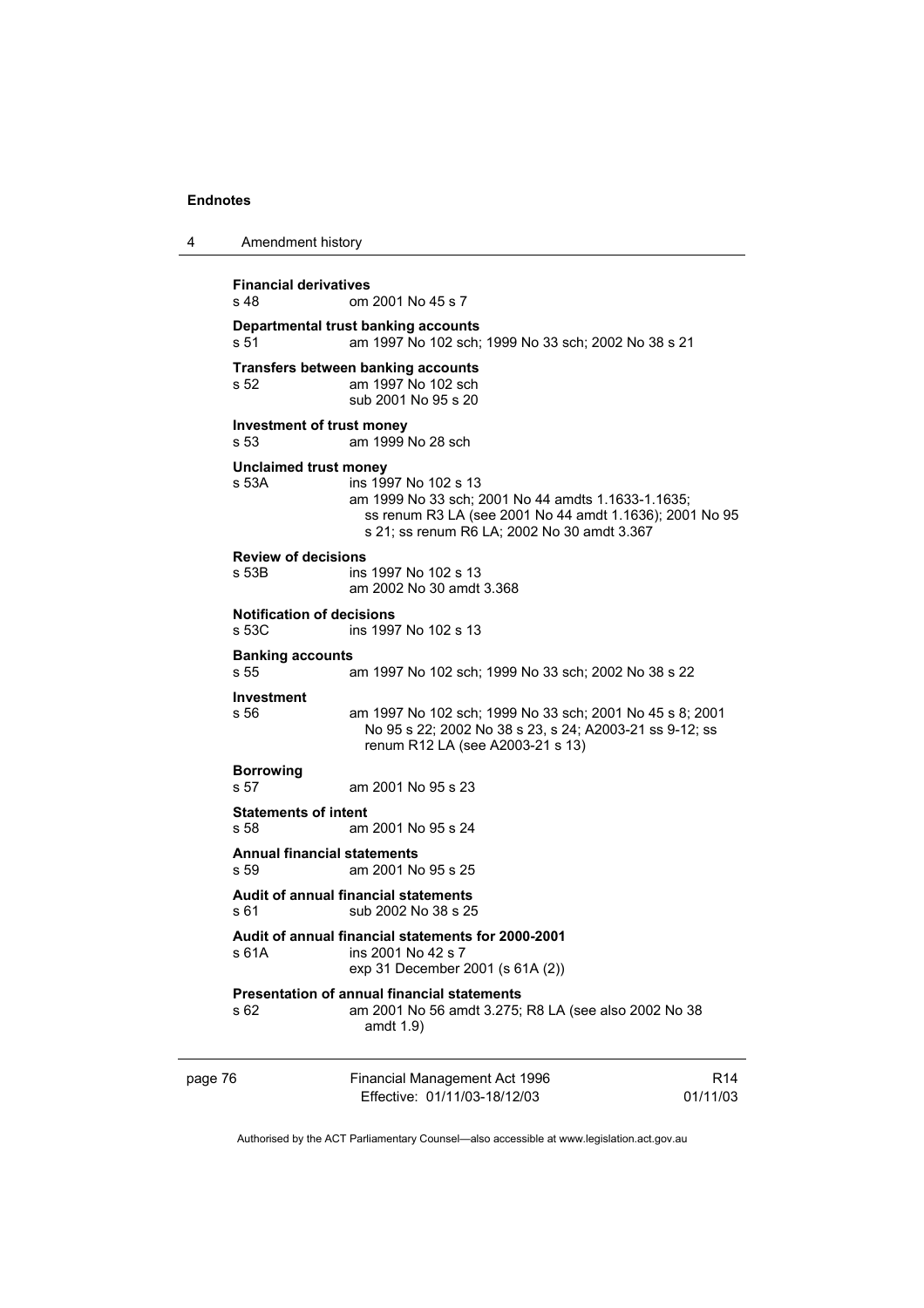4 Amendment history

page 76 Financial Management Act 1996 Effective: 01/11/03-18/12/03 R14 01/11/03 **Financial derivatives**  s 48 om 2001 No 45 s 7 **Departmental trust banking accounts** s 51 am 1997 No 102 sch; 1999 No 33 sch; 2002 No 38 s 21 **Transfers between banking accounts** s 52 am 1997 No 102 sch sub 2001 No 95 s 20 **Investment of trust money**  s 53 am 1999 No 28 sch **Unclaimed trust money**  s 53A ins 1997 No 102 s 13 am 1999 No 33 sch; 2001 No 44 amdts 1.1633-1.1635; ss renum R3 LA (see 2001 No 44 amdt 1.1636); 2001 No 95 s 21; ss renum R6 LA; 2002 No 30 amdt 3.367 **Review of decisions**  ins 1997 No 102 s 13 am 2002 No 30 amdt 3.368 **Notification of decisions**  s 53C ins 1997 No 102 s 13 **Banking accounts**  s 55 am 1997 No 102 sch; 1999 No 33 sch; 2002 No 38 s 22 **Investment**  s 56 am 1997 No 102 sch; 1999 No 33 sch; 2001 No 45 s 8; 2001 No 95 s 22; 2002 No 38 s 23, s 24; A2003-21 ss 9-12; ss renum R12 LA (see A2003-21 s 13) **Borrowing**  s 57 am 2001 No 95 s 23 **Statements of intent**  s 58 am 2001 No 95 s 24 **Annual financial statements**  s 59 am 2001 No 95 s 25 **Audit of annual financial statements**  s 61 sub 2002 No 38 s 25 **Audit of annual financial statements for 2000-2001**  s 61A ins 2001 No 42 s 7 exp 31 December 2001 (s 61A (2)) **Presentation of annual financial statements**  s 62 am 2001 No 56 amdt 3.275; R8 LA (see also 2002 No 38 amdt 1.9)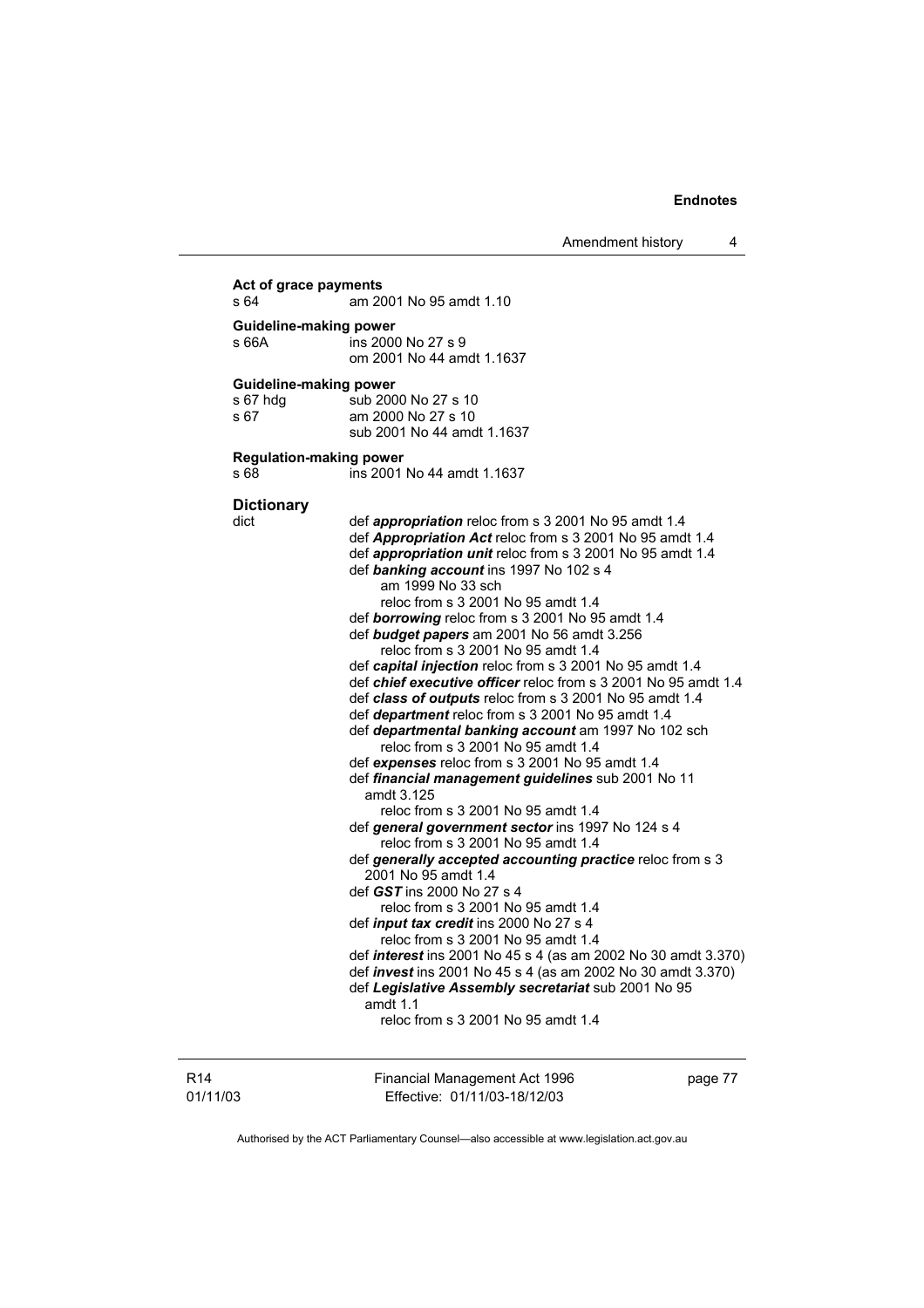Amendment history 4

#### R14 01/11/03 Financial Management Act 1996 Effective: 01/11/03-18/12/03 page 77 **Act of grace payments**  s 64 am 2001 No 95 amdt 1.10 **Guideline-making power**  s 66A ins 2000 No 27 s 9 om 2001 No 44 amdt 1.1637 **Guideline-making power** s 67 hdg sub 2000 No 27 s 10 s 67 am 2000 No 27 s 10 sub 2001 No 44 amdt 1.1637 **Regulation-making power**  s 68 ins 2001 No 44 amdt 1.1637 **Dictionary**  dict def *appropriation* reloc from s 3 2001 No 95 amdt 1.4 def *Appropriation Act* reloc from s 3 2001 No 95 amdt 1.4 def *appropriation unit* reloc from s 3 2001 No 95 amdt 1.4 def *banking account* ins 1997 No 102 s 4 am 1999 No 33 sch reloc from s 3 2001 No 95 amdt 1.4 def *borrowing* reloc from s 3 2001 No 95 amdt 1.4 def *budget papers* am 2001 No 56 amdt 3.256 reloc from s 3 2001 No 95 amdt 1.4 def *capital injection* reloc from s 3 2001 No 95 amdt 1.4 def *chief executive officer* reloc from s 3 2001 No 95 amdt 1.4 def *class of outputs* reloc from s 3 2001 No 95 amdt 1.4 def *department* reloc from s 3 2001 No 95 amdt 1.4 def *departmental banking account* am 1997 No 102 sch reloc from s 3 2001 No 95 amdt 1.4 def *expenses* reloc from s 3 2001 No 95 amdt 1.4 def *financial management guidelines* sub 2001 No 11 amdt 3.125 reloc from s 3 2001 No 95 amdt 1.4 def *general government sector* ins 1997 No 124 s 4 reloc from s 3 2001 No 95 amdt 1.4 def *generally accepted accounting practice* reloc from s 3 2001 No 95 amdt 1.4 def *GST* ins 2000 No 27 s 4 reloc from s 3 2001 No 95 amdt 1.4 def *input tax credit* ins 2000 No 27 s 4 reloc from s 3 2001 No 95 amdt 1.4 def *interest* ins 2001 No 45 s 4 (as am 2002 No 30 amdt 3.370) def *invest* ins 2001 No 45 s 4 (as am 2002 No 30 amdt 3.370) def *Legislative Assembly secretariat* sub 2001 No 95 amdt 1.1 reloc from s 3 2001 No 95 amdt 1.4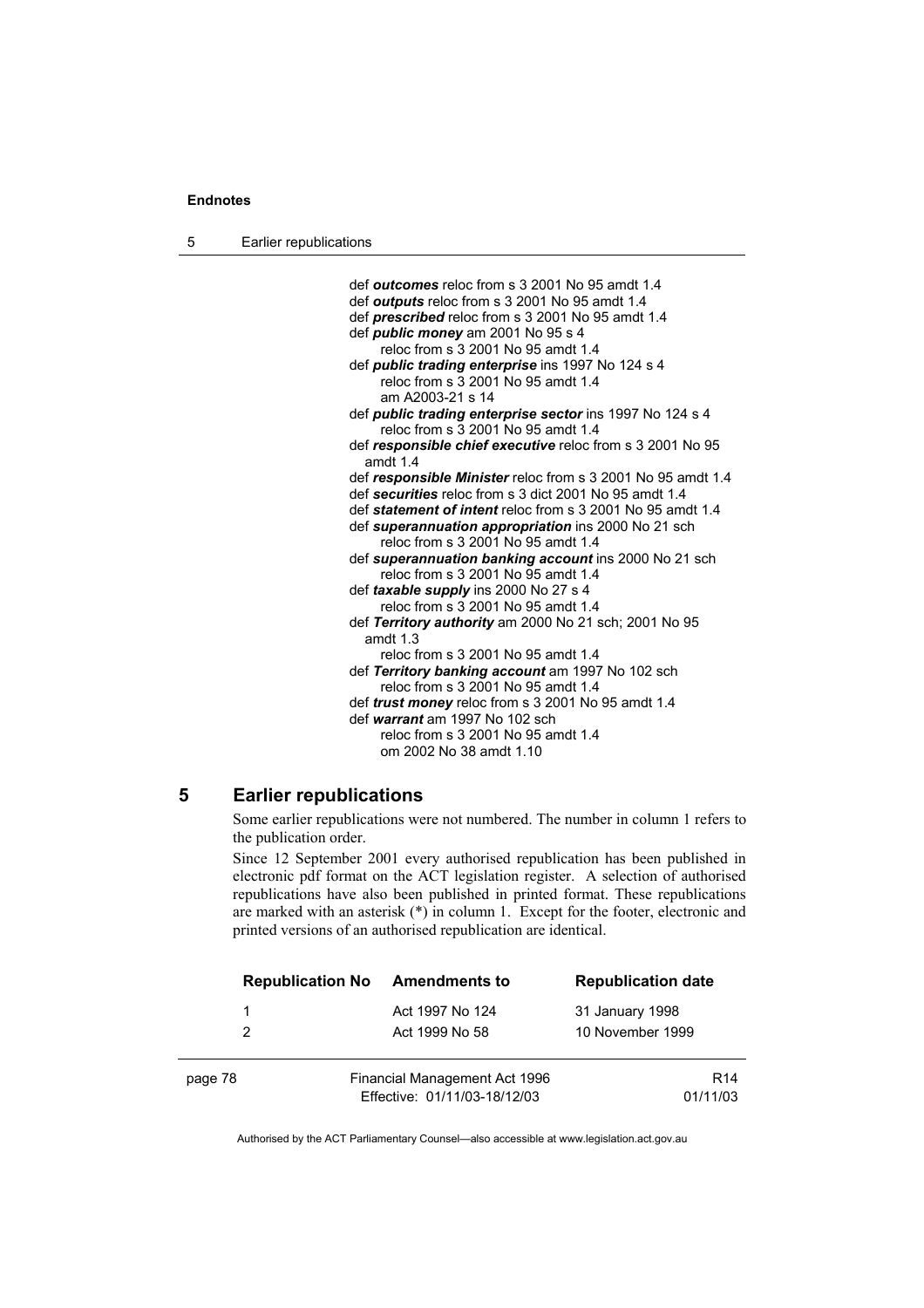5 Earlier republications

 def *outcomes* reloc from s 3 2001 No 95 amdt 1.4 def *outputs* reloc from s 3 2001 No 95 amdt 1.4 def *prescribed* reloc from s 3 2001 No 95 amdt 1.4 def *public money* am 2001 No 95 s 4 reloc from s 3 2001 No 95 amdt 1.4 def *public trading enterprise* ins 1997 No 124 s 4 reloc from s 3 2001 No 95 amdt 1.4 am A2003-21 s 14 def *public trading enterprise sector* ins 1997 No 124 s 4 reloc from s 3 2001 No 95 amdt 1.4 def *responsible chief executive* reloc from s 3 2001 No 95 amdt 1.4 def *responsible Minister* reloc from s 3 2001 No 95 amdt 1.4 def *securities* reloc from s 3 dict 2001 No 95 amdt 1.4 def *statement of intent* reloc from s 3 2001 No 95 amdt 1.4 def *superannuation appropriation* ins 2000 No 21 sch reloc from s 3 2001 No 95 amdt 1.4 def *superannuation banking account* ins 2000 No 21 sch reloc from s 3 2001 No 95 amdt 1.4 def *taxable supply* ins 2000 No 27 s 4 reloc from s 3 2001 No 95 amdt 1.4 def *Territory authority* am 2000 No 21 sch; 2001 No 95 amdt 1.3 reloc from s 3 2001 No 95 amdt 1.4 def *Territory banking account* am 1997 No 102 sch reloc from s 3 2001 No 95 amdt 1.4 def *trust money* reloc from s 3 2001 No 95 amdt 1.4 def *warrant* am 1997 No 102 sch reloc from s 3 2001 No 95 amdt 1.4 om 2002 No 38 amdt 1.10

## **5 Earlier republications**

Some earlier republications were not numbered. The number in column 1 refers to the publication order.

Since 12 September 2001 every authorised republication has been published in electronic pdf format on the ACT legislation register. A selection of authorised republications have also been published in printed format. These republications are marked with an asterisk (\*) in column 1. Except for the footer, electronic and printed versions of an authorised republication are identical.

| <b>Republication No</b> | <b>Amendments to</b>                                          | <b>Republication date</b>           |
|-------------------------|---------------------------------------------------------------|-------------------------------------|
| 2                       | Act 1997 No 124<br>Act 1999 No 58                             | 31 January 1998<br>10 November 1999 |
| page 78                 | Financial Management Act 1996<br>Effective: 01/11/03-18/12/03 | R <sub>14</sub><br>01/11/03         |